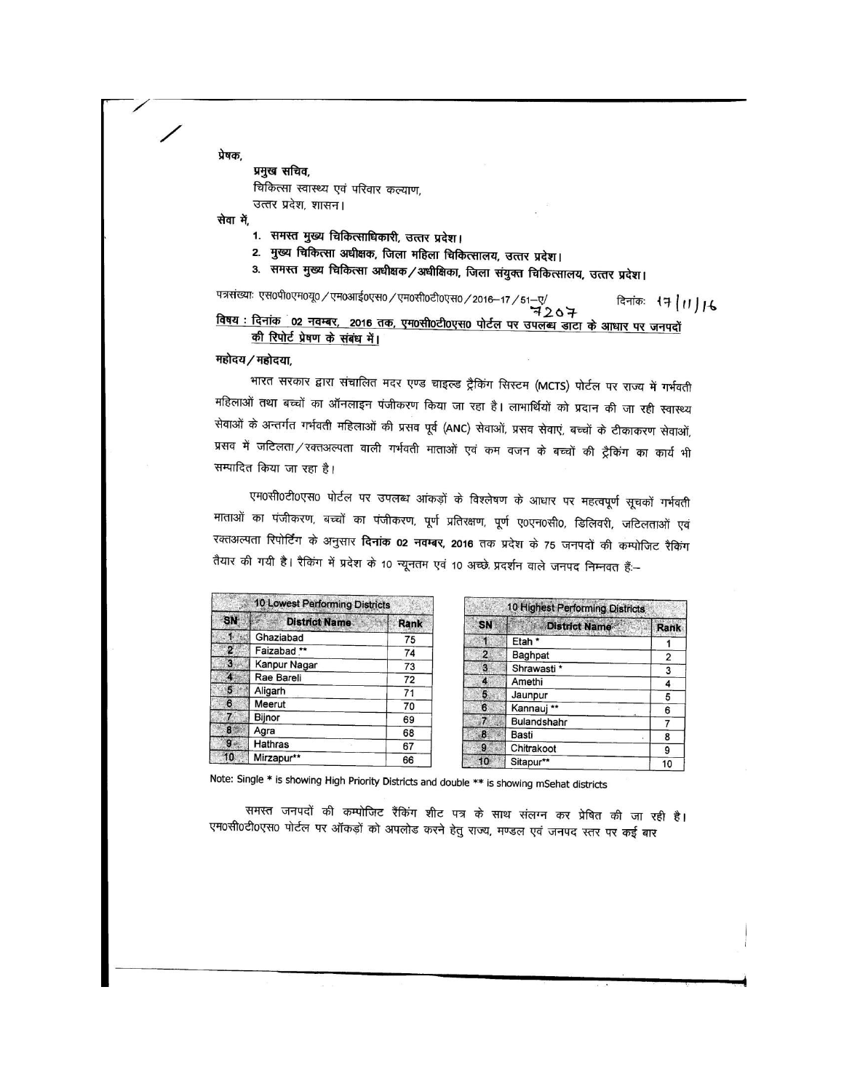प्रेषक,

प्रमुख सचिव, चिकित्सा स्वास्थ्य एवं परिवार कल्याण, उत्तर प्रदेश, शासन।

सेवा में,

- 1. समस्त मुख्य चिकित्साधिकारी, उत्तर प्रदेश।
- 2. मुख्य चिकित्सा अधीक्षक, जिला महिला चिकित्सालय, उत्तर प्रदेश।
- 3. समस्त मुख्य चिकित्सा अधीक्षक / अधीक्षिका, जिला संयुक्त चिकित्सालय, उत्तर प्रदेश।

पत्रसंख्याः एस०पी०एम०यू० / एम०आई०एस० / एम०सी०टी०एस० / 2016-17 /  $\overset{\mathsf{''51}\rightarrow\mathbb{Q}^{\prime}}{\mathbf{4207}}$ दिनांकः १7 | 11 | 16 विषय : दिनांक 02 नवम्बर, 2016 तक, एम0सी0टी0एस0 पोर्टल पर उपलब्ध डाटा के आधार पर जनपदों की रिपोर्ट प्रेषण के संबंध में।

महोदय/महोदया,

भारत सरकार द्वारा संचालित मदर एण्ड चाइल्ड ट्रैकिंग सिस्टम (MCTS) पोर्टल पर राज्य में गर्भवती महिलाओं तथा बच्चों का ऑनलाइन पंजीकरण किया जा रहा है। लाभार्थियों को प्रदान की जा रही स्वास्थ्य सेवाओं के अन्तर्गत गर्भवती महिलाओं की प्रसव पूर्व (ANC) सेवाओं, प्रसव सेवाएं, बच्चों के टीकाकरण सेवाओं, प्रसव में जटिलता/रक्तअल्पता वाली गर्भवती माताओं एवं कम वजन के बच्चों की ट्रैकिंग का कार्य भी सम्पादित किया जा रहा है।

एम0सी0टी0एस0 पोर्टल पर उपलब्ध आंकड़ों के विश्लेषण के आधार पर महत्वपूर्ण सूचकों गर्भवती माताओं का पंजीकरण, बच्चों का पंजीकरण, पूर्ण प्रतिरक्षण, पूर्ण ए०एन०सी०, डिलिवरी, जटिलताओं एवं रक्तअल्पता रिपोर्टिंग के अनुसार **दिनांक 02 नवम्बर, 2016** तक प्रदेश के 75 जनपदों की कम्पोजिट रैकिंग तैयार की गयी है। रैकिंग में प्रदेश के 10 न्यूनतम एवं 10 अच्छे प्रदर्शन वाले जनपद निम्नवत हैं:--

|    | 10 Lowest Performing Districts |             |  |  |  |  |  |  |
|----|--------------------------------|-------------|--|--|--|--|--|--|
| SN | <b>District Name</b>           | <b>Rank</b> |  |  |  |  |  |  |
|    | Ghaziabad                      | 75          |  |  |  |  |  |  |
| 2  | Faizabad **                    | 74          |  |  |  |  |  |  |
| 3  | Kanpur Nagar                   | 73          |  |  |  |  |  |  |
|    | Rae Bareli                     | 72          |  |  |  |  |  |  |
| 5  | Aligarh                        | 71          |  |  |  |  |  |  |
| 6  | Meerut                         | 70          |  |  |  |  |  |  |
|    | Bijnor                         | 69          |  |  |  |  |  |  |
| 8  | Agra                           | 68          |  |  |  |  |  |  |
| 9  | Hathras                        | 67          |  |  |  |  |  |  |
| 10 | Mirzapur**                     | 66          |  |  |  |  |  |  |

| 10 Highest Performing Districts |                      |                |  |  |  |  |  |  |  |  |
|---------------------------------|----------------------|----------------|--|--|--|--|--|--|--|--|
| SN                              | <b>District Name</b> | <b>Rank</b>    |  |  |  |  |  |  |  |  |
|                                 | Etah <sup>*</sup>    |                |  |  |  |  |  |  |  |  |
| 2                               | Baghpat              | $\overline{2}$ |  |  |  |  |  |  |  |  |
| 3                               | Shrawasti *          | 3              |  |  |  |  |  |  |  |  |
| 4                               | Amethi               | 4              |  |  |  |  |  |  |  |  |
| 5                               | Jaunpur              | 5              |  |  |  |  |  |  |  |  |
| 6                               | Kannauj<br>**        | 6              |  |  |  |  |  |  |  |  |
|                                 | Bulandshahr          |                |  |  |  |  |  |  |  |  |
| 8                               | Basti                | 8              |  |  |  |  |  |  |  |  |
| 9                               | Chitrakoot           | 9              |  |  |  |  |  |  |  |  |
| 10                              | Sitapur**            | 10             |  |  |  |  |  |  |  |  |

Note: Single \* is showing High Priority Districts and double \*\* is showing mSehat districts

समस्त जनपदों की कम्पोजिट रैंकिंग शीट पत्र के साथ संलग्न कर प्रेषित की जा रही है। एम0सी0टी0एस0 पोर्टल पर ऑकड़ों को अपलोड करने हेतु राज्य, मण्डल एवं जनपद स्तर पर कई बार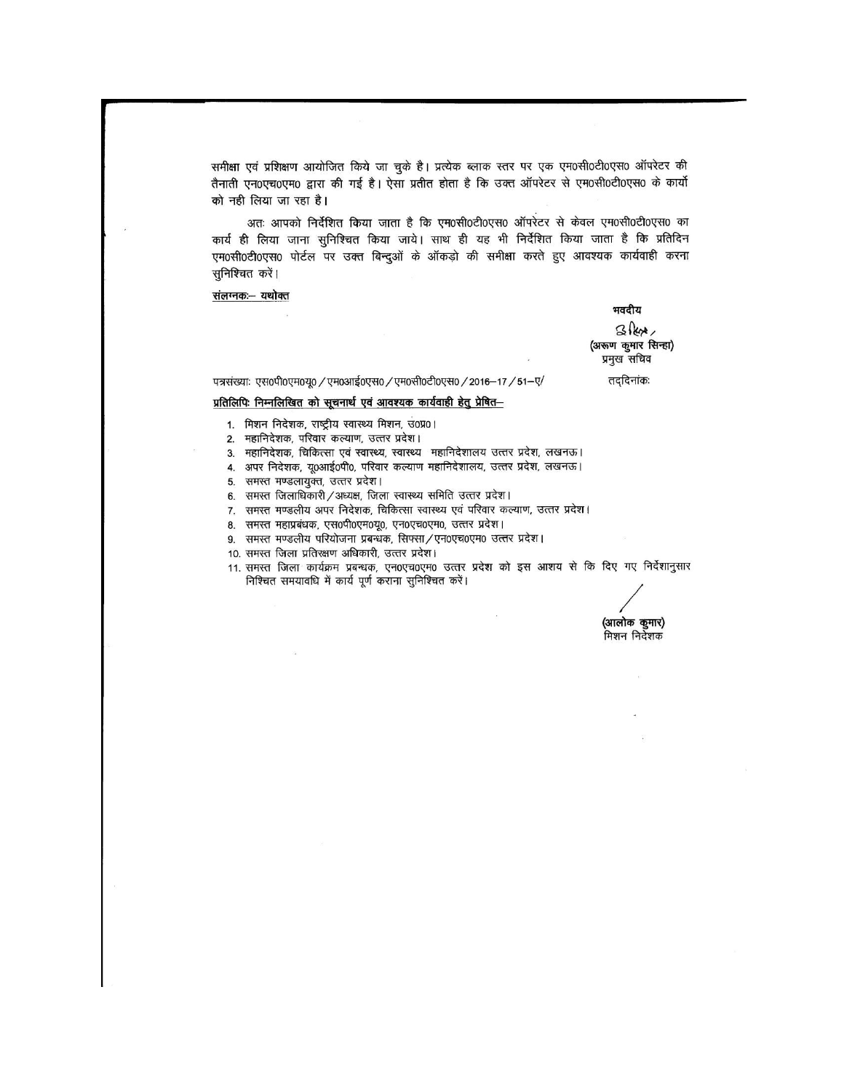समीक्षा एवं प्रशिक्षण आयोजित किये जा चुके है। प्रत्येक ब्लाक स्तर पर एक एम0सी0टी0एस0 ऑपरेटर की तैनाती एन0एच0एम0 द्वारा की गई है। ऐसा प्रतीत होता है कि उक्त ऑपरेटर से एम0सी0टी0एस0 के कार्यो को नही लिया जा रहा है।

अतः आपको निर्देशित किया जाता है कि एम0सी0टी0एस0 ऑपरेटर से केवल एम0सी0टी0एस0 का कार्य ही लिया जाना सुनिश्चित किया जाये। साथ ही यह भी निर्देशित किया जाता है कि प्रतिदिन एम0सी0टी0एस0 पोर्टल पर उक्त बिन्दुओं के ऑकड़ो की समीक्षा करते हुए आवश्यक कार्यवाही करना सुनिश्चित करें।

संलग्नकः- यथोक्त

भवदीय

 $3$ lex (अरूण कुमार सिन्हा) प्रमुख सचिव

तददिनांकः

पत्रसंख्याः एस0पी0एम0यू0 / एम0आई0एस0 / एम0सी0टी0एस0 / 2016-17 / 51-ए/

### प्रतिलिपिः निम्नलिखित को सूचनार्थ एवं आवश्यक कार्यवाही हेतु प्रेषित-

- 1. मिशन निदेशक, राष्ट्रीय स्वास्थ्य मिशन, उ0प्र0।
- 2. महानिदेशक, परिवार कल्याण, उत्तर प्रदेश।
- 3. महानिदेशक, चिकित्सा एवं स्वास्थ्य, स्वास्थ्य महानिदेशालय उत्तर प्रदेश, लखनऊ।
- 4. अपर निदेशक, यू0आई0पी0, परिवार कल्याण महानिदेशालय, उत्तर प्रदेश, लखनऊ।
- 5. समस्त मण्डलायुक्त, उत्तर प्रदेश।
- 6. समस्त जिलाधिकारी / अध्यक्ष, जिला स्वास्थ्य समिति उत्तर प्रदेश।
- 7. समस्त मण्डलीय अपर निदेशक, चिकित्सा स्वास्थ्य एवं परिवार कल्याण, उत्तर प्रदेश।
- 8. समस्त महाप्रबंधक, एस0पी0एम0यू0, एन0एच0एम0, उत्तर प्रदेश।
- 9. समस्त मण्डलीय परियोजना प्रबन्धक, सिफ्सा/एन0एच0एम0 उत्तर प्रदेश।
- 10. समस्त जिला प्रतिरक्षण अधिकारी, उत्तर प्रदेश।
- 11. समस्त जिला कार्यक्रम प्रबन्धक, एन0एच0एम0 उत्तर प्रदेश को इस आशय से कि दिए गए निर्देशानुसार निश्चित समयावधि में कार्य पूर्ण कराना सुनिश्चित करें।

(आलोक कुमार) .<br>मिशन निर्देशक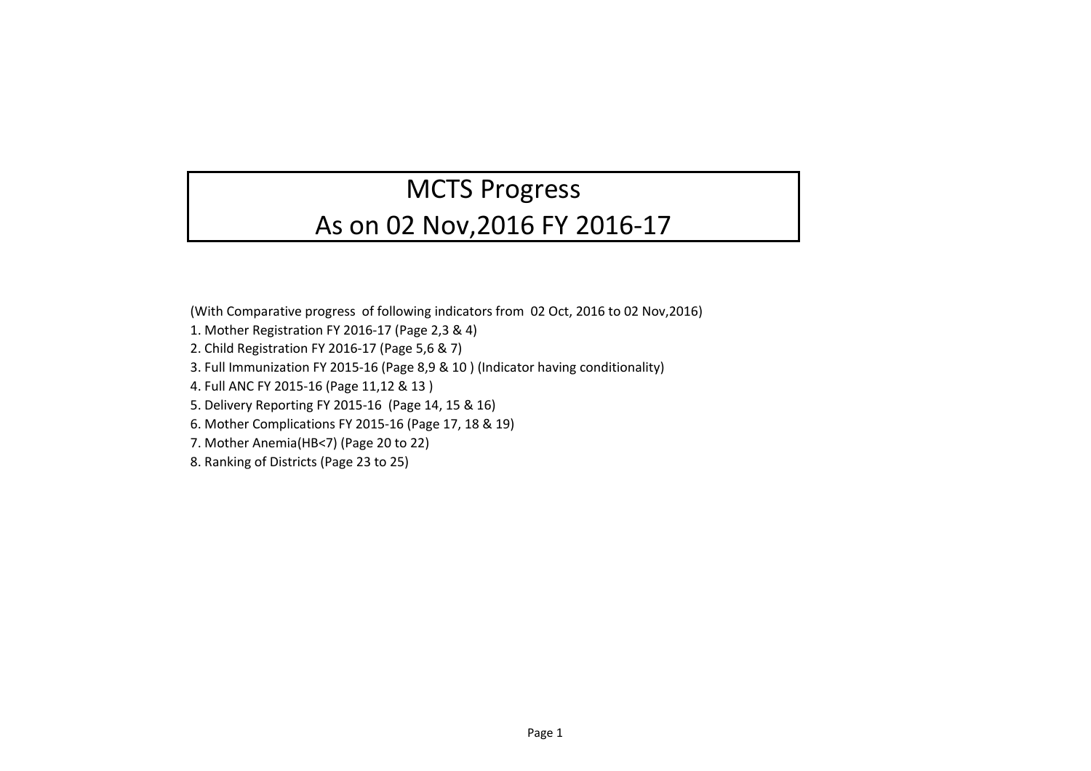## MCTS Progress

## As on 02 Nov,2016 FY 2016-17

(With Comparative progress of following indicators from 02 Oct, 2016 to 02 Nov,2016)

- 1. Mother Registration FY 2016-17 (Page 2,3 & 4)
- 2. Child Registration FY 2016-17 (Page 5,6 & 7)
- 3. Full Immunization FY 2015-16 (Page 8,9 & 10 ) (Indicator having conditionality)
- 4. Full ANC FY 2015-16 (Page 11,12 & 13 )
- 5. Delivery Reporting FY 2015-16 (Page 14, 15 & 16)
- 6. Mother Complications FY 2015-16 (Page 17, 18 & 19)
- 7. Mother Anemia(HB<7) (Page 20 to 22)
- 8. Ranking of Districts (Page 23 to 25)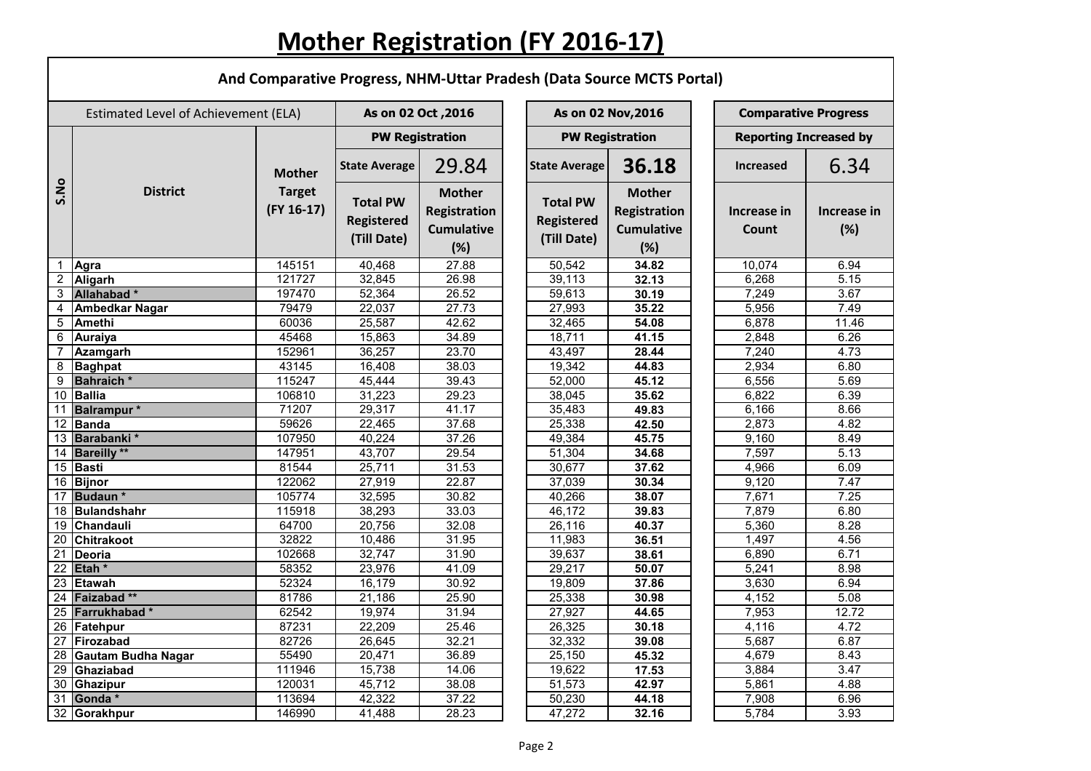## **Mother Registration (FY 2016-17)**

|                 | And Comparative Progress, NHM-Uttar Pradesh (Data Source MCTS Portal) |                                                |                                                     |                                                                  |                                                     |                                                                  |                               |                    |  |  |  |  |
|-----------------|-----------------------------------------------------------------------|------------------------------------------------|-----------------------------------------------------|------------------------------------------------------------------|-----------------------------------------------------|------------------------------------------------------------------|-------------------------------|--------------------|--|--|--|--|
|                 | Estimated Level of Achievement (ELA)                                  |                                                | As on 02 Oct, 2016                                  |                                                                  |                                                     | As on 02 Nov, 2016                                               | <b>Comparative Progress</b>   |                    |  |  |  |  |
|                 |                                                                       |                                                | <b>PW Registration</b>                              |                                                                  |                                                     | <b>PW Registration</b>                                           | <b>Reporting Increased by</b> |                    |  |  |  |  |
|                 |                                                                       | <b>Mother</b><br><b>Target</b><br>$(FY 16-17)$ | <b>State Average</b>                                | 29.84                                                            | <b>State Average</b>                                | 36.18                                                            | <b>Increased</b>              | 6.34               |  |  |  |  |
| S.No            | <b>District</b>                                                       |                                                | <b>Total PW</b><br><b>Registered</b><br>(Till Date) | <b>Mother</b><br><b>Registration</b><br><b>Cumulative</b><br>(%) | <b>Total PW</b><br><b>Registered</b><br>(Till Date) | <b>Mother</b><br><b>Registration</b><br><b>Cumulative</b><br>(%) | Increase in<br>Count          | Increase in<br>(%) |  |  |  |  |
| $\mathbf 1$     | Agra                                                                  | 145151                                         | 40,468                                              | 27.88                                                            | 50,542                                              | 34.82                                                            | 10,074                        | 6.94               |  |  |  |  |
|                 | 2 Aligarh                                                             | 121727                                         | 32,845                                              | 26.98                                                            | 39,113                                              | 32.13                                                            | 6,268                         | 5.15               |  |  |  |  |
|                 | 3 Allahabad*                                                          | 197470                                         | 52,364                                              | 26.52                                                            | 59,613                                              | 30.19                                                            | 7,249                         | 3.67               |  |  |  |  |
| 4               | <b>Ambedkar Nagar</b>                                                 | 79479                                          | 22,037                                              | 27.73                                                            | 27,993                                              | 35.22                                                            | 5,956                         | 7.49               |  |  |  |  |
| $5\overline{)}$ | <b>Amethi</b>                                                         | 60036                                          | 25,587                                              | 42.62                                                            | 32,465                                              | 54.08                                                            | 6,878                         | 11.46              |  |  |  |  |
| 6               | <b>Auraiya</b>                                                        | 45468                                          | 15,863                                              | 34.89                                                            | 18,711                                              | 41.15                                                            | 2,848                         | 6.26               |  |  |  |  |
|                 | Azamgarh                                                              | 152961                                         | 36,257                                              | 23.70                                                            | 43,497                                              | 28.44                                                            | 7,240                         | 4.73               |  |  |  |  |
| 8               | <b>Baghpat</b>                                                        | 43145                                          | 16,408                                              | 38.03                                                            | 19,342                                              | 44.83                                                            | 2,934                         | 6.80               |  |  |  |  |
| 9               | <b>Bahraich</b> *                                                     | 115247                                         | 45,444                                              | 39.43                                                            | 52,000                                              | 45.12                                                            | 6,556                         | 5.69               |  |  |  |  |
|                 | 10 Ballia                                                             | 106810                                         | 31,223                                              | 29.23                                                            | 38,045                                              | 35.62                                                            | 6,822                         | 6.39               |  |  |  |  |
| 11              | <b>Balrampur</b> *                                                    | 71207                                          | 29,317                                              | 41.17                                                            | 35,483                                              | 49.83                                                            | 6,166                         | 8.66               |  |  |  |  |
| 12              | <b>Banda</b>                                                          | 59626                                          | 22,465                                              | 37.68                                                            | 25,338                                              | 42.50                                                            | 2,873                         | 4.82               |  |  |  |  |
| 13              | Barabanki *                                                           | 107950                                         | 40,224                                              | 37.26                                                            | 49,384                                              | 45.75                                                            | 9,160                         | 8.49               |  |  |  |  |
| 14              | <b>Bareilly **</b>                                                    | 147951                                         | 43,707                                              | 29.54                                                            | 51,304                                              | 34.68                                                            | 7,597                         | 5.13               |  |  |  |  |
|                 | 15 Basti                                                              | 81544                                          | 25,711                                              | 31.53                                                            | 30,677                                              | 37.62                                                            | 4,966                         | 6.09               |  |  |  |  |
|                 | 16 Bijnor                                                             | 122062                                         | 27,919                                              | 22.87                                                            | 37,039                                              | 30.34                                                            | 9,120                         | 7.47               |  |  |  |  |
|                 | 17 Budaun*                                                            | 105774                                         | 32,595                                              | 30.82                                                            | 40,266                                              | 38.07                                                            | 7,671                         | 7.25               |  |  |  |  |
|                 | 18 Bulandshahr                                                        | 115918                                         | 38,293                                              | 33.03                                                            | 46,172                                              | 39.83                                                            | 7,879                         | 6.80               |  |  |  |  |
|                 | 19 Chandauli                                                          | 64700                                          | 20,756                                              | 32.08                                                            | 26,116                                              | 40.37                                                            | 5,360                         | 8.28               |  |  |  |  |
|                 | 20 Chitrakoot                                                         | 32822                                          | 10,486                                              | 31.95                                                            | 11,983                                              | 36.51                                                            | 1,497                         | 4.56               |  |  |  |  |
| 21              | Deoria                                                                | 102668                                         | 32,747                                              | 31.90                                                            | 39,637                                              | 38.61                                                            | 6,890                         | 6.71               |  |  |  |  |
|                 | $\overline{22}$ Etah *                                                | 58352                                          | 23,976                                              | 41.09                                                            | 29,217                                              | 50.07                                                            | 5,241                         | 8.98               |  |  |  |  |
|                 | 23 Etawah                                                             | 52324                                          | 16,179                                              | 30.92                                                            | 19,809                                              | 37.86                                                            | 3,630                         | 6.94               |  |  |  |  |
|                 | 24 Faizabad**                                                         | 81786                                          | 21,186                                              | 25.90                                                            | 25,338                                              | 30.98                                                            | 4,152                         | 5.08               |  |  |  |  |
|                 | 25 Farrukhabad*                                                       | 62542                                          | 19,974                                              | 31.94                                                            | 27,927                                              | 44.65                                                            | 7,953                         | $\overline{12.72}$ |  |  |  |  |
|                 | 26 Fatehpur                                                           | 87231                                          | 22,209                                              | 25.46                                                            | 26,325                                              | 30.18                                                            | 4,116                         | 4.72               |  |  |  |  |
|                 | 27 Firozabad                                                          | 82726                                          | 26,645                                              | 32.21                                                            | 32,332                                              | 39.08                                                            | 5,687                         | 6.87               |  |  |  |  |
|                 | 28 Gautam Budha Nagar                                                 | 55490                                          | 20,471                                              | 36.89                                                            | 25,150                                              | 45.32                                                            | 4,679                         | 8.43               |  |  |  |  |
|                 | 29 Ghaziabad                                                          | 111946                                         | 15,738                                              | 14.06                                                            | 19,622                                              | 17.53                                                            | 3,884                         | 3.47               |  |  |  |  |
|                 | 30 Ghazipur                                                           | 120031                                         | 45,712                                              | 38.08                                                            | 51,573                                              | 42.97                                                            | 5,861                         | 4.88               |  |  |  |  |
|                 | $\overline{31}$ Gonda *                                               | 113694                                         | 42,322                                              | 37.22                                                            | 50,230                                              | 44.18                                                            | 7,908                         | 6.96               |  |  |  |  |
|                 | 32 Gorakhpur                                                          | 146990                                         | 41,488                                              | 28.23                                                            | 47,272                                              | 32.16                                                            | 5,784                         | 3.93               |  |  |  |  |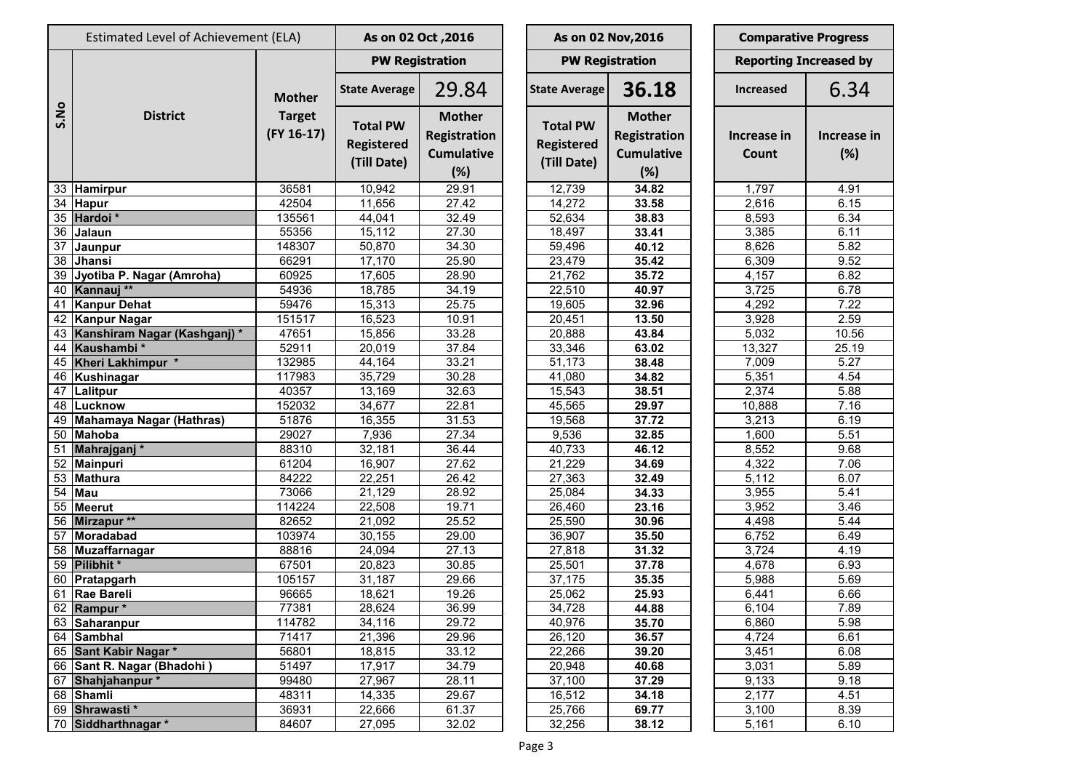|      | Estimated Level of Achievement (ELA) |                                              |                                                     | As on 02 Oct, 2016                                               |  |                                                     | As on 02 Nov, 2016                                               | <b>Comparative Progress</b>   |                    |  |
|------|--------------------------------------|----------------------------------------------|-----------------------------------------------------|------------------------------------------------------------------|--|-----------------------------------------------------|------------------------------------------------------------------|-------------------------------|--------------------|--|
|      |                                      |                                              |                                                     | <b>PW Registration</b>                                           |  |                                                     | <b>PW Registration</b>                                           | <b>Reporting Increased by</b> |                    |  |
|      |                                      | <b>Mother</b><br><b>Target</b><br>(FY 16-17) | <b>State Average</b>                                | 29.84                                                            |  | <b>State Average</b>                                | 36.18                                                            | <b>Increased</b>              | 6.34               |  |
| S.No | <b>District</b>                      |                                              | <b>Total PW</b><br><b>Registered</b><br>(Till Date) | <b>Mother</b><br><b>Registration</b><br><b>Cumulative</b><br>(%) |  | <b>Total PW</b><br><b>Registered</b><br>(Till Date) | <b>Mother</b><br><b>Registration</b><br><b>Cumulative</b><br>(%) | Increase in<br>Count          | Increase in<br>(%) |  |
|      | 33 Hamirpur                          | 36581                                        | 10,942                                              | 29.91                                                            |  | 12,739                                              | 34.82                                                            | 1,797                         | 4.91               |  |
|      | 34 Hapur                             | 42504                                        | 11,656                                              | 27.42                                                            |  | 14,272                                              | 33.58                                                            | 2,616                         | 6.15               |  |
|      | 35 Hardoi *                          | 135561                                       | 44,041                                              | 32.49                                                            |  | 52,634                                              | 38.83                                                            | 8,593                         | 6.34               |  |
| 36   | Jalaun                               | 55356                                        | 15,112                                              | 27.30                                                            |  | 18,497                                              | 33.41                                                            | 3,385                         | 6.11               |  |
| 37   | Jaunpur                              | 148307                                       | 50,870                                              | 34.30                                                            |  | 59,496                                              | 40.12                                                            | 8,626                         | 5.82               |  |
| 38   | Jhansi                               | 66291                                        | 17,170                                              | 25.90                                                            |  | 23,479                                              | 35.42                                                            | 6,309                         | 9.52               |  |
| 39   | Jyotiba P. Nagar (Amroha)            | 60925                                        | 17,605                                              | 28.90                                                            |  | 21,762                                              | 35.72                                                            | 4,157                         | 6.82               |  |
| 40   | Kannauj **                           | 54936                                        | 18,785                                              | 34.19                                                            |  | 22,510                                              | 40.97                                                            | 3,725                         | 6.78               |  |
| 41   | <b>Kanpur Dehat</b>                  | 59476                                        | 15,313                                              | 25.75                                                            |  | 19,605                                              | 32.96                                                            | 4,292                         | 7.22               |  |
|      | 42 Kanpur Nagar                      | 151517                                       | 16,523                                              | 10.91                                                            |  | 20,451                                              | 13.50                                                            | 3,928                         | 2.59               |  |
| 43   | Kanshiram Nagar (Kashganj)*          | 47651                                        | 15,856                                              | 33.28                                                            |  | 20,888                                              | 43.84                                                            | 5,032                         | 10.56              |  |
| 44   | Kaushambi*                           | 52911                                        | 20,019                                              | 37.84                                                            |  | 33,346                                              | 63.02                                                            | 13,327                        | 25.19              |  |
|      | 45 Kheri Lakhimpur *                 | 132985                                       | 44,164                                              | 33.21                                                            |  | 51,173                                              | 38.48                                                            | 7,009                         | 5.27               |  |
|      | 46 Kushinagar                        | 117983                                       | 35,729                                              | 30.28                                                            |  | $\overline{4}1,080$                                 | 34.82                                                            | 5,351                         | 4.54               |  |
| 47   | Lalitpur                             | 40357                                        | 13,169                                              | 32.63                                                            |  | 15,543                                              | 38.51                                                            | 2,374                         | 5.88               |  |
|      | 48 Lucknow                           | 152032                                       | 34,677                                              | 22.81                                                            |  | 45,565                                              | 29.97                                                            | 10,888                        | 7.16               |  |
|      | 49 Mahamaya Nagar (Hathras)          | 51876                                        | 16,355                                              | 31.53                                                            |  | 19,568                                              | 37.72                                                            | 3,213                         | 6.19               |  |
|      | 50 Mahoba                            | 29027                                        | 7,936                                               | 27.34                                                            |  | 9,536                                               | 32.85                                                            | 1,600                         | 5.51               |  |
| 51   | Mahrajganj*                          | 88310                                        | 32,181                                              | 36.44                                                            |  | 40,733                                              | 46.12                                                            | 8,552                         | 9.68               |  |
|      | $\overline{52}$ Mainpuri             | 61204                                        | 16,907                                              | 27.62                                                            |  | 21,229                                              | 34.69                                                            | 4,322                         | 7.06               |  |
|      | 53 Mathura                           | 84222                                        | 22,251                                              | 26.42                                                            |  | 27,363                                              | 32.49                                                            | 5,112                         | 6.07               |  |
| 54   | Mau                                  | 73066                                        | 21,129                                              | 28.92                                                            |  | 25,084                                              | 34.33                                                            | 3,955                         | 5.41               |  |
|      | 55 Meerut                            | 114224                                       | 22,508                                              | 19.71                                                            |  | 26,460                                              | 23.16                                                            | 3,952                         | 3.46               |  |
|      | 56 Mirzapur **                       | 82652                                        | 21,092                                              | 25.52                                                            |  | 25,590                                              | 30.96                                                            | 4,498                         | 5.44               |  |
|      | 57 Moradabad                         | 103974                                       | 30,155                                              | 29.00                                                            |  | 36,907                                              | 35.50                                                            | 6,752                         | 6.49               |  |
|      | 58 Muzaffarnagar                     | 88816                                        | 24,094                                              | 27.13                                                            |  | 27,818                                              | 31.32                                                            | 3,724                         | 4.19               |  |
|      | 59 Pilibhit *                        | 67501                                        | $\overline{20,823}$                                 | 30.85                                                            |  | 25,501                                              | 37.78                                                            | 4,678                         | 6.93               |  |
|      | 60 Pratapgarh                        | 105157                                       | 31,187                                              | 29.66                                                            |  | 37,175                                              | 35.35                                                            | 5,988                         | 5.69               |  |
|      | 61 Rae Bareli                        | 96665                                        | 18,621                                              | 19.26                                                            |  | 25,062                                              | 25.93                                                            | 6,441                         | 6.66               |  |
|      | 62 Rampur*                           | 77381                                        | 28,624                                              | 36.99                                                            |  | 34,728                                              | 44.88                                                            | 6,104                         | 7.89               |  |
|      | 63 Saharanpur                        | 114782                                       | 34,116                                              | 29.72                                                            |  | 40,976                                              | 35.70                                                            | 6,860                         | 5.98               |  |
|      | 64 Sambhal                           | 71417                                        | 21,396                                              | 29.96                                                            |  | 26,120                                              | 36.57                                                            | 4,724                         | 6.61               |  |
|      | 65 Sant Kabir Nagar *                | 56801                                        | 18,815                                              | 33.12                                                            |  | 22,266                                              | 39.20                                                            | 3,451                         | 6.08               |  |
|      | 66 Sant R. Nagar (Bhadohi)           | 51497                                        | 17,917                                              | 34.79                                                            |  | 20,948                                              | 40.68                                                            | 3,031                         | 5.89               |  |
|      | 67 Shahjahanpur*                     | 99480                                        | 27,967                                              | 28.11                                                            |  | 37,100                                              | 37.29                                                            | 9,133                         | 9.18               |  |
|      | 68 Shamli                            | 48311                                        | 14,335                                              | 29.67                                                            |  | 16,512                                              | 34.18                                                            | 2,177                         | 4.51               |  |
|      | 69 Shrawasti*                        | 36931                                        | 22,666                                              | 61.37                                                            |  | 25,766                                              | 69.77                                                            | 3,100                         | 8.39               |  |
|      | 70 Siddharthnagar *                  | 84607                                        | 27,095                                              | 32.02                                                            |  | 32,256                                              | 38.12                                                            | 5,161                         | 6.10               |  |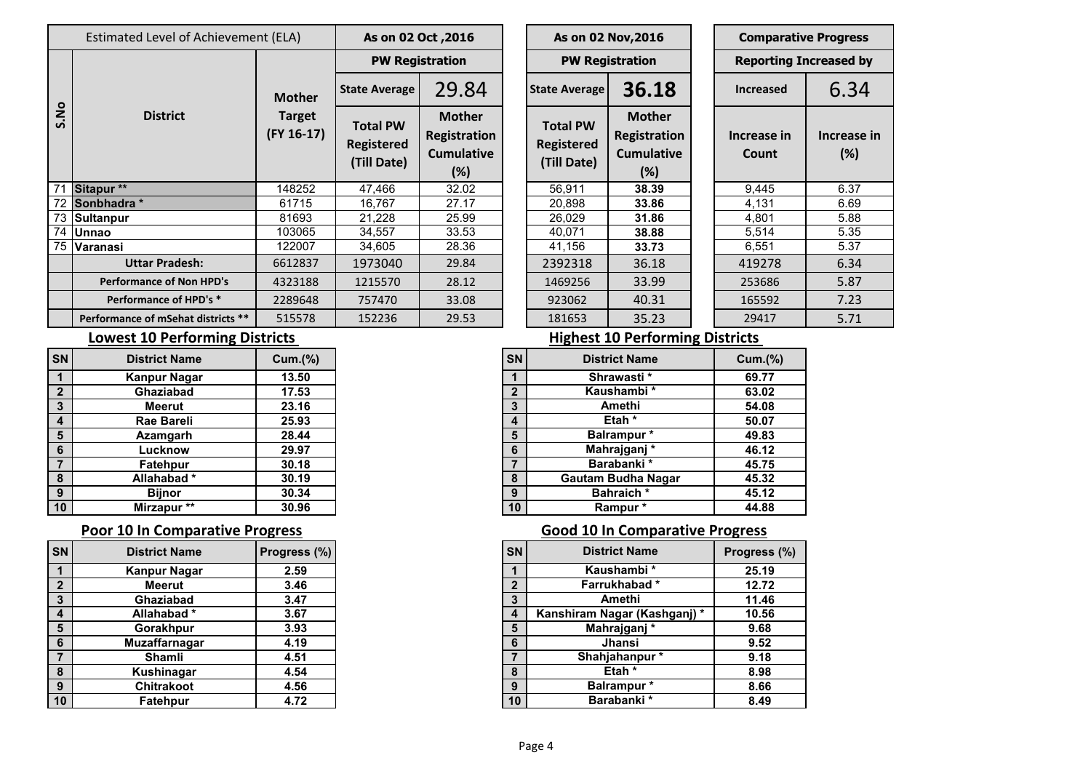|                     | Estimated Level of Achievement (ELA) |                               | As on 02 Oct , 2016                                 |                                                              |  |                                                     | As on 02 Nov, 2016                                        |  | <b>Comparative Progres</b>   |                  |  |
|---------------------|--------------------------------------|-------------------------------|-----------------------------------------------------|--------------------------------------------------------------|--|-----------------------------------------------------|-----------------------------------------------------------|--|------------------------------|------------------|--|
|                     |                                      | <b>Mother</b>                 |                                                     | <b>PW Registration</b>                                       |  |                                                     | <b>PW Registration</b>                                    |  | <b>Reporting Increased I</b> |                  |  |
|                     |                                      |                               | <b>State Average</b>                                | 29.84                                                        |  | <b>State Average</b>                                | 36.18                                                     |  | <b>Increased</b>             | 6.3 <sup>4</sup> |  |
| os.<br>$\mathbf{v}$ | <b>District</b>                      | <b>Target</b><br>$(FY 16-17)$ | <b>Total PW</b><br><b>Registered</b><br>(Till Date) | <b>Mother</b><br>Registration<br><b>Cumulative</b><br>$(\%)$ |  | <b>Total PW</b><br><b>Registered</b><br>(Till Date) | <b>Mother</b><br>Registration<br><b>Cumulative</b><br>(%) |  | Increase in<br>Count         | Increas<br>(%)   |  |
| 71                  | Sitapur **                           | 148252                        | 47,466                                              | 32.02                                                        |  | 56,911                                              | 38.39                                                     |  | 9,445                        | 6.37             |  |
| 72                  | Sonbhadra *                          | 61715                         | 16,767                                              | 27.17                                                        |  | 20,898                                              | 33.86                                                     |  | 4,131                        | 6.69             |  |
|                     | 73 Sultanpur                         | 81693                         | 21,228                                              | 25.99                                                        |  | 26,029                                              | 31.86                                                     |  | 4,801                        | 5.88             |  |
|                     | 74 Unnao                             | 103065                        | 34,557                                              | 33.53                                                        |  | 40,071                                              | 38.88                                                     |  | 5,514                        | 5.35             |  |
|                     | 75 Varanasi                          | 122007                        | 34,605                                              | 28.36                                                        |  | 41,156                                              | 33.73                                                     |  | 6,551                        | 5.37             |  |
|                     | <b>Uttar Pradesh:</b>                | 6612837                       | 1973040                                             | 29.84                                                        |  | 2392318                                             | 36.18                                                     |  | 419278                       | 6.34             |  |
|                     | <b>Performance of Non HPD's</b>      | 4323188                       | 1215570                                             | 28.12                                                        |  | 1469256                                             | 33.99                                                     |  | 253686                       | 5.87             |  |
|                     | Performance of HPD's *               | 2289648                       | 757470                                              | 33.08                                                        |  | 923062                                              | 40.31                                                     |  | 165592                       | 7.23             |  |
|                     | Performance of mSehat districts **   | 515578                        | 152236                                              | 29.53                                                        |  | 181653                                              | 35.23                                                     |  | 29417                        | 5.71             |  |

| As on 02 Oct, 2016                                  |                                                                  |                                              | As on 02 Nov, 2016   |                                                                  | <b>Comparative Progress</b>   |                   |  |  |
|-----------------------------------------------------|------------------------------------------------------------------|----------------------------------------------|----------------------|------------------------------------------------------------------|-------------------------------|-------------------|--|--|
| <b>PW Registration</b>                              |                                                                  |                                              |                      | <b>PW Registration</b>                                           | <b>Reporting Increased by</b> |                   |  |  |
| <b>State Average</b>                                | 29.84                                                            |                                              | <b>State Average</b> | 36.18                                                            | <b>Increased</b>              | 6.34              |  |  |
| <b>Total PW</b><br><b>Registered</b><br>(Till Date) | <b>Mother</b><br><b>Registration</b><br><b>Cumulative</b><br>(%) | <b>Total PW</b><br>Registered<br>(Till Date) |                      | <b>Mother</b><br><b>Registration</b><br><b>Cumulative</b><br>(%) | Increase in<br>Count          | Increase i<br>(%) |  |  |
| 47,466                                              | 32.02                                                            |                                              | 56,911               | 38.39                                                            | 9,445                         | 6.37              |  |  |
| 16,767                                              | 27.17                                                            |                                              | 20,898               | 33.86                                                            | 4,131                         | 6.69              |  |  |
| 21,228                                              | 25.99                                                            |                                              | 26,029               | 31.86                                                            | 4,801                         | 5.88              |  |  |
| 34,557                                              | 33.53                                                            |                                              | 40,071               | 38.88                                                            | 5,514                         | 5.35              |  |  |
| 34,605                                              | 28.36                                                            |                                              | 41,156               | 33.73                                                            | 6,551                         | 5.37              |  |  |
| 1973040                                             | 29.84                                                            |                                              | 2392318              | 36.18                                                            | 419278                        | 6.34              |  |  |
| 1215570                                             | 28.12                                                            |                                              | 1469256              | 33.99                                                            | 253686                        | 5.87              |  |  |
| 757470                                              | 33.08                                                            |                                              | 923062               | 40.31                                                            | 165592                        | 7.23              |  |  |
| 152236                                              | 29.53                                                            |                                              | 181653               | 35.23                                                            | 29417                         | 5.71              |  |  |

# **Se** in nt **Increase in (%)**

### **Lowest 10 Performing Districts**

| <b>SN</b>      | <b>District Name</b> | <b>Cum.(%)</b> | <b>SN</b> | <b>District Name</b>      | <b>Cum.(%)</b> |
|----------------|----------------------|----------------|-----------|---------------------------|----------------|
|                | <b>Kanpur Nagar</b>  | 13.50          |           | Shrawasti*                | 69.77          |
| $\overline{2}$ | Ghaziabad            | 17.53          | C         | Kaushambi*                | 63.02          |
| 3              | <b>Meerut</b>        | 23.16          | 3         | Amethi                    | 54.08          |
| $\overline{4}$ | <b>Rae Bareli</b>    | 25.93          |           | Etah *                    | 50.07          |
| 5              | Azamgarh             | 28.44          | 5         | Balrampur *               | 49.83          |
| 6              | Lucknow              | 29.97          | 6         | Mahrajganj*               | 46.12          |
| $\overline{7}$ | <b>Fatehpur</b>      | 30.18          |           | Barabanki*                | 45.75          |
| 8              | Allahabad*           | 30.19          | 8         | <b>Gautam Budha Nagar</b> | 45.32          |
| 9              | <b>Bijnor</b>        | 30.34          | 9         | <b>Bahraich</b> *         | 45.12          |
| 10             | Mirzapur **          | 30.96          | 10        | Rampur*                   | 44.88          |

| lsn             | <b>District Name</b> | Progress (%) | <b>SN</b> | <b>District Name</b>        | <b>Progress</b> |
|-----------------|----------------------|--------------|-----------|-----------------------------|-----------------|
| $\overline{1}$  | <b>Kanpur Nagar</b>  | 2.59         |           | Kaushambi*                  | 25.19           |
| $\overline{2}$  | Meerut               | 3.46         | C         | Farrukhabad*                | 12.72           |
| $\mathbf{3}$    | Ghaziabad            | 3.47         |           | Amethi                      | 11.46           |
| $\overline{4}$  | Allahabad*           | 3.67         | 4         | Kanshiram Nagar (Kashganj)* | 10.56           |
| 5               | Gorakhpur            | 3.93         | 5         | Mahrajganj*                 | 9.68            |
| $6\phantom{1}6$ | <b>Muzaffarnagar</b> | 4.19         | 6         | Jhansi                      | 9.52            |
| $\overline{7}$  | Shamli               | 4.51         |           | Shahjahanpur*               | 9.18            |
| 8               | Kushinagar           | 4.54         | 8         | Etah *                      | 8.98            |
| 9               | Chitrakoot           | 4.56         | 9         | Balrampur *                 | 8.66            |
| $\sqrt{10}$     | <b>Fatehpur</b>      | 4.72         | 10        | Barabanki *                 | 8.49            |

### **Highest 10 Performing Districts**

| <b>SN</b>    | <b>District Name</b>      | Cum.(%) |
|--------------|---------------------------|---------|
| 1            | Shrawasti*                | 69.77   |
| $\mathbf{2}$ | Kaushambi *               | 63.02   |
| $\mathbf{3}$ | Amethi                    | 54.08   |
| 4            | Etah <sup>*</sup>         | 50.07   |
| 5            | Balrampur*                | 49.83   |
| 6            | Mahrajganj*               | 46.12   |
| 7            | Barabanki*                | 45.75   |
| 8            | <b>Gautam Budha Nagar</b> | 45.32   |
| 9            | <b>Bahraich*</b>          | 45.12   |
| 10           | Rampur*                   | 44.88   |

### **Poor 10 In Comparative Progress Good 10 In Comparative Progress**

| SN l            | <b>District Name</b> | <b>Progress (%)</b> | <b>SN</b>       | <b>District Name</b>         | Progress (%) |
|-----------------|----------------------|---------------------|-----------------|------------------------------|--------------|
|                 | <b>Kanpur Nagar</b>  | 2.59                |                 | Kaushambi *                  | 25.19        |
| $\overline{2}$  | <b>Meerut</b>        | 3.46                |                 | Farrukhabad*                 | 12.72        |
| 3               | Ghaziabad            | 3.47                |                 | Amethi                       | 11.46        |
| 4               | Allahabad*           | 3.67                | 4               | Kanshiram Nagar (Kashganj) * | 10.56        |
| $5\phantom{1}$  | Gorakhpur            | 3.93                | 5               | Mahrajganj*                  | 9.68         |
| 6               | Muzaffarnagar        | 4.19                | 6               | Jhansi                       | 9.52         |
| 7               | Shamli               | 4.51                |                 | Shahjahanpur*                | 9.18         |
| 8               | Kushinagar           | 4.54                | 8               | Etah *                       | 8.98         |
| 9               | <b>Chitrakoot</b>    | 4.56                | 9               | <b>Balrampur</b> *           | 8.66         |
| 10 <sup>°</sup> | Fatehpur             | 4.72                | 10 <sup>°</sup> | Barabanki *                  | 8.49         |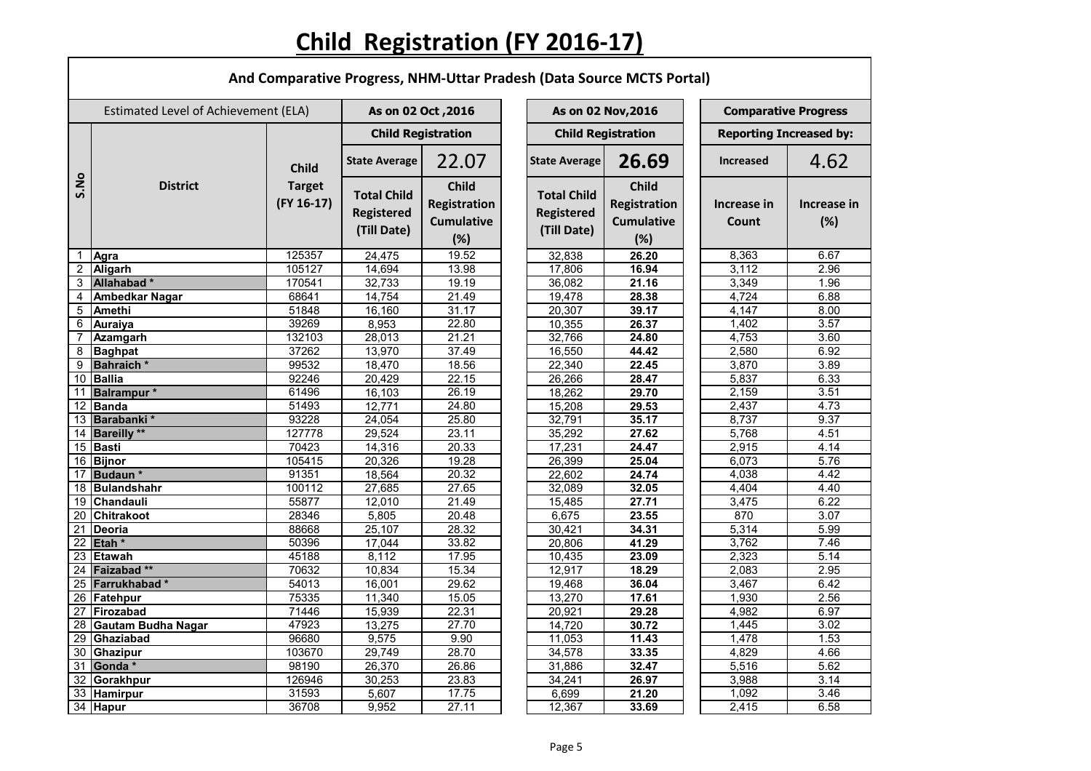## **Child Registration (FY 2016-17)**

Г

|                | And Comparative Progress, NHM-Uttar Pradesh (Data Source MCTS Portal) |                                               |                                                        |                                                          |  |                                                        |                                                          |                                |                    |  |  |  |
|----------------|-----------------------------------------------------------------------|-----------------------------------------------|--------------------------------------------------------|----------------------------------------------------------|--|--------------------------------------------------------|----------------------------------------------------------|--------------------------------|--------------------|--|--|--|
|                | Estimated Level of Achievement (ELA)                                  |                                               | As on 02 Oct, 2016                                     |                                                          |  | As on 02 Nov, 2016                                     |                                                          | <b>Comparative Progress</b>    |                    |  |  |  |
|                |                                                                       |                                               | <b>Child Registration</b>                              |                                                          |  | <b>Child Registration</b>                              |                                                          | <b>Reporting Increased by:</b> |                    |  |  |  |
|                |                                                                       | <b>Child</b><br><b>Target</b><br>$(FY 16-17)$ | <b>State Average</b>                                   | 22.07                                                    |  | <b>State Average</b>                                   | 26.69                                                    | <b>Increased</b>               | 4.62               |  |  |  |
| S.No           | <b>District</b>                                                       |                                               | <b>Total Child</b><br><b>Registered</b><br>(Till Date) | <b>Child</b><br>Registration<br><b>Cumulative</b><br>(%) |  | <b>Total Child</b><br><b>Registered</b><br>(Till Date) | <b>Child</b><br>Registration<br><b>Cumulative</b><br>(%) | Increase in<br>Count           | Increase in<br>(%) |  |  |  |
| 1              | Agra                                                                  | 125357                                        | 24,475                                                 | 19.52                                                    |  | 32,838                                                 | 26.20                                                    | 8,363                          | 6.67               |  |  |  |
| $\overline{2}$ | <b>Aligarh</b>                                                        | 105127                                        | 14,694                                                 | 13.98                                                    |  | 17,806                                                 | 16.94                                                    | 3,112                          | 2.96               |  |  |  |
| $\mathbf{3}$   | Allahabad*                                                            | 170541                                        | 32,733                                                 | 19.19                                                    |  | 36,082                                                 | 21.16                                                    | 3,349                          | 1.96               |  |  |  |
| 4              | <b>Ambedkar Nagar</b>                                                 | 68641                                         | 14,754                                                 | 21.49                                                    |  | 19,478                                                 | 28.38                                                    | 4,724                          | 6.88               |  |  |  |
| 5              | <b>Amethi</b>                                                         | 51848                                         | 16,160                                                 | 31.17                                                    |  | 20,307                                                 | 39.17                                                    | 4,147                          | 8.00               |  |  |  |
| 6              | <b>Auraiya</b>                                                        | 39269                                         | 8,953                                                  | 22.80                                                    |  | 10,355                                                 | 26.37                                                    | 1,402                          | 3.57               |  |  |  |
|                | <b>Azamgarh</b>                                                       | 132103                                        | 28,013                                                 | 21.21                                                    |  | 32,766                                                 | 24.80                                                    | 4,753                          | 3.60               |  |  |  |
| 8              | <b>Baghpat</b>                                                        | 37262                                         | 13,970                                                 | 37.49                                                    |  | 16,550                                                 | 44.42                                                    | 2,580                          | 6.92               |  |  |  |
| $\overline{9}$ | <b>Bahraich</b> *                                                     | 99532                                         | 18,470                                                 | 18.56                                                    |  | 22,340                                                 | 22.45                                                    | 3,870                          | 3.89               |  |  |  |
|                | 10 Ballia                                                             | 92246                                         | 20,429                                                 | 22.15                                                    |  | 26,266                                                 | 28.47                                                    | 5,837                          | 6.33               |  |  |  |
| 11             | <b>Balrampur</b> *                                                    | 61496                                         | 16,103                                                 | 26.19                                                    |  | 18,262                                                 | 29.70                                                    | 2,159                          | 3.51               |  |  |  |
| 12             | <b>Banda</b>                                                          | 51493                                         | 12,771                                                 | 24.80                                                    |  | 15,208                                                 | 29.53                                                    | 2,437                          | 4.73               |  |  |  |
| 13             | Barabanki*                                                            | 93228                                         | 24,054                                                 | 25.80                                                    |  | 32,791                                                 | 35.17                                                    | 8,737                          | 9.37               |  |  |  |
|                | 14 Bareilly **                                                        | 127778                                        | 29,524                                                 | 23.11                                                    |  | 35,292                                                 | 27.62                                                    | 5,768                          | 4.51               |  |  |  |
|                | 15 Basti                                                              | 70423                                         | 14,316                                                 | 20.33                                                    |  | 17,231                                                 | 24.47                                                    | 2,915                          | 4.14               |  |  |  |
|                | 16 Bijnor                                                             | 105415                                        | 20,326                                                 | 19.28                                                    |  | 26,399                                                 | 25.04                                                    | 6,073                          | 5.76               |  |  |  |
|                | 17 Budaun *                                                           | 91351                                         | 18,564                                                 | 20.32                                                    |  | 22,602                                                 | 24.74                                                    | 4,038                          | 4.42               |  |  |  |
|                | 18 Bulandshahr                                                        | 100112                                        | 27,685                                                 | 27.65                                                    |  | 32,089                                                 | 32.05                                                    | 4,404                          | 4.40               |  |  |  |
|                | 19 Chandauli                                                          | 55877                                         | 12,010                                                 | 21.49                                                    |  | 15,485                                                 | 27.71                                                    | 3,475                          | 6.22               |  |  |  |
|                | 20 Chitrakoot                                                         | 28346                                         | 5,805                                                  | 20.48                                                    |  | 6,675                                                  | 23.55                                                    | 870                            | 3.07               |  |  |  |
| 21             | Deoria                                                                | 88668                                         | 25,107                                                 | 28.32                                                    |  | 30,421                                                 | 34.31                                                    | 5,314                          | 5.99               |  |  |  |
|                | $22$ Etah $*$                                                         | 50396                                         | 17,044                                                 | 33.82                                                    |  | 20,806                                                 | 41.29                                                    | 3,762                          | 7.46               |  |  |  |
|                | 23 Etawah                                                             | 45188                                         | 8,112                                                  | 17.95                                                    |  | 10,435                                                 | 23.09                                                    | 2,323                          | 5.14               |  |  |  |
|                | 24 Faizabad **                                                        | 70632                                         | 10,834                                                 | 15.34                                                    |  | 12,917                                                 | 18.29                                                    | 2,083                          | 2.95               |  |  |  |
|                | 25 Farrukhabad*                                                       | 54013                                         | 16,001                                                 | 29.62                                                    |  | 19,468                                                 | 36.04                                                    | 3,467                          | 6.42               |  |  |  |
|                | 26 Fatehpur                                                           | 75335                                         | 11,340                                                 | 15.05                                                    |  | 13,270                                                 | 17.61                                                    | 1,930                          | 2.56               |  |  |  |
|                | 27 Firozabad                                                          | 71446                                         | 15,939                                                 | 22.31                                                    |  | 20,921                                                 | 29.28                                                    | 4,982                          | 6.97               |  |  |  |
|                | 28 Gautam Budha Nagar                                                 | 47923                                         | 13,275                                                 | 27.70                                                    |  | 14,720                                                 | 30.72                                                    | 1,445                          | 3.02               |  |  |  |
|                | 29 Ghaziabad                                                          | 96680                                         | 9,575                                                  | 9.90                                                     |  | 11,053                                                 | 11.43                                                    | 1,478                          | 1.53               |  |  |  |
|                | 30 Ghazipur                                                           | 103670                                        | 29,749                                                 | 28.70                                                    |  | 34,578                                                 | 33.35                                                    | 4,829                          | 4.66               |  |  |  |
|                | 31 Gonda *                                                            | 98190                                         | 26,370                                                 | 26.86                                                    |  | 31,886                                                 | 32.47                                                    | 5,516                          | 5.62               |  |  |  |
|                | 32 Gorakhpur                                                          | 126946                                        | 30,253                                                 | 23.83                                                    |  | 34,241                                                 | 26.97                                                    | 3,988                          | 3.14               |  |  |  |
|                | 33 Hamirpur                                                           | 31593                                         | 5,607                                                  | 17.75                                                    |  | 6,699                                                  | 21.20                                                    | 1,092                          | 3.46               |  |  |  |
|                | 34 Hapur                                                              | 36708                                         | 9,952                                                  | 27.11                                                    |  | 12,367                                                 | 33.69                                                    | 2,415                          | 6.58               |  |  |  |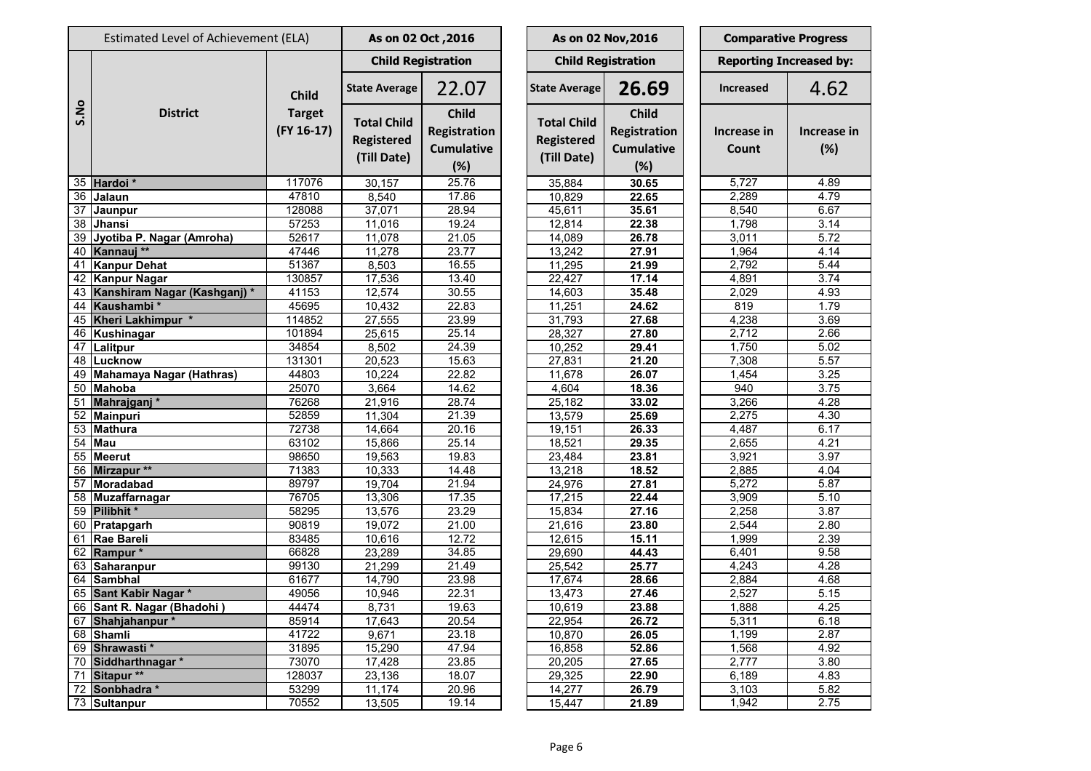|                 | Estimated Level of Achievement (ELA) |                               | As on 02 Oct, 2016                                     |                                                          |  |                                                        | As on 02 Nov, 2016                                              | <b>Comparative Progress</b> |                                |                    |
|-----------------|--------------------------------------|-------------------------------|--------------------------------------------------------|----------------------------------------------------------|--|--------------------------------------------------------|-----------------------------------------------------------------|-----------------------------|--------------------------------|--------------------|
|                 |                                      |                               |                                                        | <b>Child Registration</b>                                |  |                                                        | <b>Child Registration</b>                                       |                             | <b>Reporting Increased by:</b> |                    |
|                 |                                      | <b>Child</b>                  | <b>State Average</b>                                   | 22.07                                                    |  | <b>State Average</b>                                   | 26.69                                                           |                             | <b>Increased</b>               | 4.62               |
| S.No            | <b>District</b>                      | <b>Target</b><br>$(FY 16-17)$ | <b>Total Child</b><br><b>Registered</b><br>(Till Date) | <b>Child</b><br>Registration<br><b>Cumulative</b><br>(%) |  | <b>Total Child</b><br><b>Registered</b><br>(Till Date) | <b>Child</b><br><b>Registration</b><br><b>Cumulative</b><br>(%) |                             | Increase in<br>Count           | Increase in<br>(%) |
|                 | 35 Hardoi *                          | 117076                        | 30,157                                                 | 25.76                                                    |  | 35,884                                                 | 30.65                                                           |                             | 5,727                          | 4.89               |
| 36              | Jalaun                               | 47810                         | 8,540                                                  | 17.86                                                    |  | 10,829                                                 | 22.65                                                           |                             | 2,289                          | 4.79               |
| $\overline{37}$ | Jaunpur                              | 128088                        | 37,071                                                 | 28.94                                                    |  | 45,611                                                 | 35.61                                                           |                             | 8,540                          | 6.67               |
| 38              | Jhansi                               | 57253                         | 11,016                                                 | 19.24                                                    |  | 12,814                                                 | 22.38                                                           |                             | 1,798                          | 3.14               |
| 39              | Jyotiba P. Nagar (Amroha)            | 52617                         | 11,078                                                 | 21.05                                                    |  | 14,089                                                 | 26.78                                                           |                             | 3,011                          | 5.72               |
|                 | 40 Kannauj **                        | 47446                         | 11,278                                                 | 23.77                                                    |  | 13,242                                                 | 27.91                                                           |                             | 1,964                          | 4.14               |
| 41              | <b>Kanpur Dehat</b>                  | 51367                         | 8,503                                                  | 16.55                                                    |  | 11,295                                                 | 21.99                                                           |                             | 2,792                          | 5.44               |
| 42              | <b>Kanpur Nagar</b>                  | 130857                        | 17,536                                                 | 13.40                                                    |  | 22,427                                                 | 17.14                                                           |                             | 4,891                          | 3.74               |
| 43              | Kanshiram Nagar (Kashganj)*          | 41153                         | 12,574                                                 | 30.55                                                    |  | 14,603                                                 | 35.48                                                           |                             | 2,029                          | 4.93               |
| 44              | Kaushambi*                           | 45695                         | 10,432                                                 | 22.83                                                    |  | 11,251                                                 | 24.62                                                           |                             | 819                            | 1.79               |
| 45              | Kheri Lakhimpur *                    | 114852                        | 27,555                                                 | 23.99                                                    |  | 31,793                                                 | 27.68                                                           |                             | 4,238                          | 3.69               |
| 46              | Kushinagar                           | 101894                        | 25,615                                                 | 25.14                                                    |  | 28,327                                                 | 27.80                                                           |                             | 2,712                          | 2.66               |
| 47              | Lalitpur                             | 34854                         | 8,502                                                  | 24.39                                                    |  | 10,252                                                 | 29.41                                                           |                             | 1,750                          | 5.02               |
| 48              | Lucknow                              | 131301                        | 20,523                                                 | 15.63                                                    |  | 27,831                                                 | 21.20                                                           |                             | 7,308                          | 5.57               |
| 49              | Mahamaya Nagar (Hathras)             | 44803                         | 10,224                                                 | 22.82                                                    |  | 11,678                                                 | 26.07                                                           |                             | 1,454                          | 3.25               |
| 50              | <b>Mahoba</b>                        | 25070                         | 3,664                                                  | 14.62                                                    |  | 4,604                                                  | 18.36                                                           |                             | 940                            | 3.75               |
| 51              | Mahrajganj*                          | 76268                         | 21,916                                                 | 28.74                                                    |  | 25,182                                                 | 33.02                                                           |                             | 3,266                          | 4.28               |
| 52              | <b>Mainpuri</b>                      | 52859                         | 11,304                                                 | 21.39                                                    |  | 13,579                                                 | 25.69                                                           |                             | 2,275                          | 4.30               |
| 53              | <b>Mathura</b>                       | 72738                         | 14,664                                                 | 20.16                                                    |  | 19,151                                                 | 26.33                                                           |                             | 4,487                          | 6.17               |
| 54              | <b>Mau</b>                           | 63102                         | 15,866                                                 | 25.14                                                    |  | 18,521                                                 | 29.35                                                           |                             | 2,655                          | 4.21               |
| 55              | <b>Meerut</b>                        | 98650                         | 19,563                                                 | 19.83                                                    |  | 23,484                                                 | 23.81                                                           |                             | 3,921                          | 3.97               |
| 56              | Mirzapur **                          | 71383                         | 10,333                                                 | 14.48                                                    |  | 13,218                                                 | 18.52                                                           |                             | 2,885                          | 4.04               |
| 57              | Moradabad                            | 89797                         | 19,704                                                 | 21.94                                                    |  | 24,976                                                 | 27.81                                                           |                             | 5,272                          | 5.87               |
| 58              | Muzaffarnagar                        | 76705                         | 13,306                                                 | 17.35                                                    |  | 17,215                                                 | 22.44                                                           |                             | 3,909                          | 5.10               |
| 59              | Pilibhit*                            | 58295                         | 13,576                                                 | 23.29                                                    |  | 15,834                                                 | 27.16                                                           |                             | 2,258                          | 3.87               |
|                 | 60 Pratapgarh                        | 90819                         | 19,072                                                 | 21.00                                                    |  | 21,616                                                 | 23.80                                                           |                             | 2,544                          | 2.80               |
|                 | 61   Rae Bareli                      | 83485                         | 10,616                                                 | 12.72                                                    |  | 12,615                                                 | 15.11                                                           |                             | 1,999                          | 2.39               |
|                 | 62 Rampur *                          | 66828                         | 23,289                                                 | 34.85                                                    |  | 29,690                                                 | 44.43                                                           |                             | 6,401                          | 9.58               |
|                 | 63 Saharanpur                        | 99130                         | 21,299                                                 | 21.49                                                    |  | 25,542                                                 | 25.77                                                           |                             | 4,243                          | 4.28               |
|                 | 64 Sambhal                           | 61677                         | 14,790                                                 | 23.98                                                    |  | 17,674                                                 | 28.66                                                           |                             | 2,884                          | 4.68               |
|                 | 65 Sant Kabir Nagar *                | 49056                         | 10,946                                                 | 22.31                                                    |  | 13,473                                                 | 27.46                                                           |                             | 2,527                          | 5.15               |
|                 | 66 Sant R. Nagar (Bhadohi)           | 44474                         | 8,731                                                  | 19.63                                                    |  | 10,619                                                 | 23.88                                                           |                             | 1,888                          | 4.25               |
|                 | 67 Shahjahanpur*                     | 85914                         | 17,643                                                 | 20.54                                                    |  | 22,954                                                 | 26.72                                                           |                             | 5,311                          | 6.18               |
|                 | 68 Shamli                            | 41722                         | 9,671                                                  | 23.18                                                    |  | 10,870                                                 | 26.05                                                           |                             | 1,199                          | 2.87               |
|                 | 69 Shrawasti *                       | 31895                         | 15,290                                                 | 47.94                                                    |  | 16,858                                                 | 52.86                                                           |                             | 1,568                          | 4.92               |
|                 | 70 Siddharthnagar *                  | 73070                         | 17,428                                                 | 23.85                                                    |  | 20,205                                                 | 27.65                                                           |                             | 2,777                          | 3.80               |
|                 | 71 Sitapur **                        | 128037                        | 23,136                                                 | 18.07                                                    |  | 29,325                                                 | 22.90                                                           |                             | 6,189                          | 4.83               |
|                 | 72 Sonbhadra *                       | 53299                         | 11,174                                                 | 20.96                                                    |  | 14,277                                                 | 26.79                                                           |                             | 3,103                          | 5.82               |
|                 | 73 Sultanpur                         | 70552                         | 13,505                                                 | 19.14                                                    |  | 15,447                                                 | 21.89                                                           |                             | 1,942                          | 2.75               |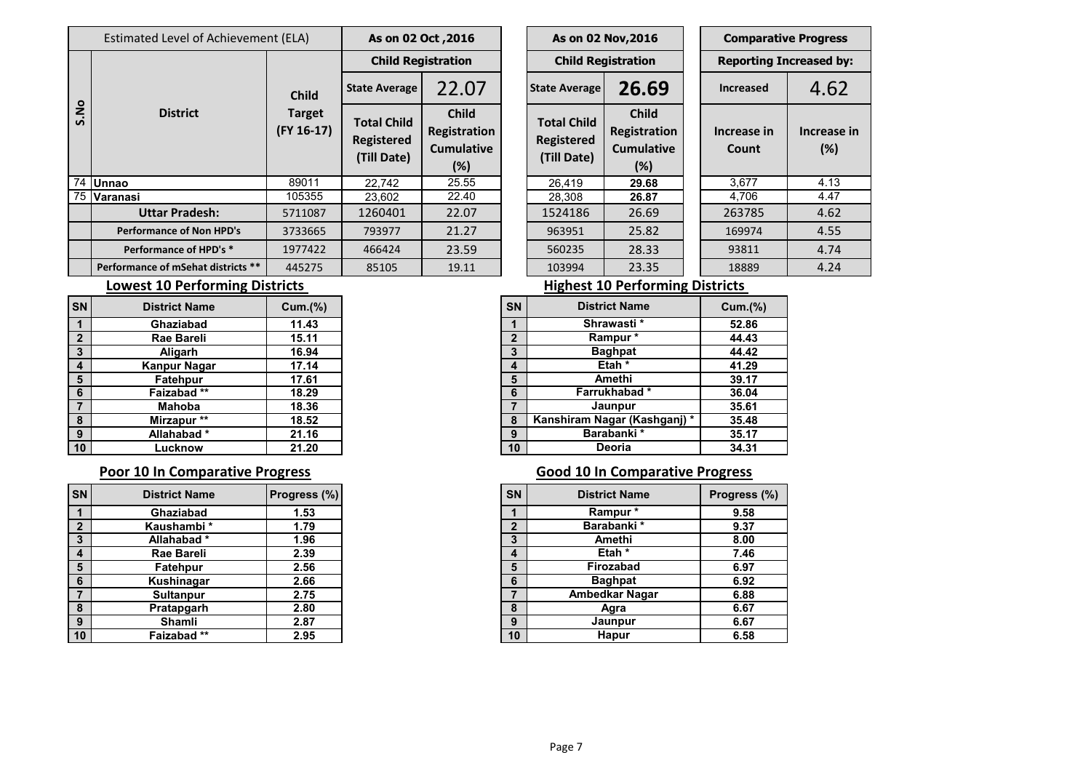|                 | Estimated Level of Achievement (ELA) | As on 02 Oct, 2016                |                                                        |                                                          | As on 02 Nov, 2016 |                                                        |                                                             | <b>Comparative Progress</b> |                               |                        |  |
|-----------------|--------------------------------------|-----------------------------------|--------------------------------------------------------|----------------------------------------------------------|--------------------|--------------------------------------------------------|-------------------------------------------------------------|-----------------------------|-------------------------------|------------------------|--|
|                 | <b>District</b>                      |                                   | <b>Child Registration</b><br><b>Child Registration</b> |                                                          |                    |                                                        |                                                             |                             | <b>Reporting Increased by</b> |                        |  |
| ON.<br><u>ທ</u> |                                      | <b>Child</b>                      | <b>State Average</b>                                   | 22.07                                                    |                    | <b>State Average</b>                                   | 26.69                                                       |                             | <b>Increased</b>              | 4.62                   |  |
|                 |                                      | <b>Target</b><br>$($ FY 16-17 $)$ | <b>Total Child</b><br><b>Registered</b><br>(Till Date) | <b>Child</b><br>Registration<br><b>Cumulative</b><br>(%) |                    | <b>Total Child</b><br><b>Registered</b><br>(Till Date) | <b>Child</b><br>Registration<br><b>Cumulative</b><br>$(\%)$ |                             | Increase in<br><b>Count</b>   | <b>Increase</b><br>(%) |  |
|                 | 74 Unnao                             | 89011                             | 22,742                                                 | 25.55                                                    |                    | 26,419                                                 | 29.68                                                       |                             | 3,677                         | 4.13                   |  |
|                 | 75 Varanasi                          | 105355                            | 23,602                                                 | 22.40                                                    |                    | 28,308                                                 | 26.87                                                       |                             | 4,706                         | 4.47                   |  |
|                 | <b>Uttar Pradesh:</b>                | 5711087                           | 1260401                                                | 22.07                                                    |                    | 1524186                                                | 26.69                                                       |                             | 263785                        | 4.62                   |  |
|                 | <b>Performance of Non HPD's</b>      | 3733665                           | 793977                                                 | 21.27                                                    |                    | 963951                                                 | 25.82                                                       |                             | 169974                        | 4.55                   |  |
|                 | Performance of HPD's *               | 1977422                           | 466424                                                 | 23.59                                                    |                    | 560235                                                 | 28.33                                                       |                             | 93811                         | 4.74                   |  |
|                 | Performance of mSehat districts **   | 445275                            | 85105                                                  | 19.11                                                    |                    | 103994                                                 | 23.35                                                       |                             | 18889                         | 4.24                   |  |

| As on 02 Oct, 2016                                     |                                                             |  | As on 02 Nov, 2016                                     |                                                             |  | <b>Comparative Progress</b>    |                    |  |  |
|--------------------------------------------------------|-------------------------------------------------------------|--|--------------------------------------------------------|-------------------------------------------------------------|--|--------------------------------|--------------------|--|--|
| <b>Child Registration</b>                              |                                                             |  | <b>Child Registration</b>                              |                                                             |  | <b>Reporting Increased by:</b> |                    |  |  |
| <b>State Average</b>                                   | 22.07                                                       |  | <b>State Average</b>                                   | 26.69                                                       |  | <b>Increased</b>               | 4.62               |  |  |
| <b>Total Child</b><br><b>Registered</b><br>(Till Date) | <b>Child</b><br>Registration<br><b>Cumulative</b><br>$(\%)$ |  | <b>Total Child</b><br><b>Registered</b><br>(Till Date) | <b>Child</b><br>Registration<br><b>Cumulative</b><br>$(\%)$ |  | Increase in<br>Count           | Increase in<br>(%) |  |  |
| 22,742                                                 | 25.55                                                       |  | 26,419                                                 | 29.68                                                       |  | 3,677                          | 4.13               |  |  |
| 23,602                                                 | 22.40                                                       |  | 28,308                                                 | 26.87                                                       |  | 4,706                          | 4.47               |  |  |
| 1260401                                                | 22.07                                                       |  | 1524186                                                | 26.69                                                       |  | 263785                         | 4.62               |  |  |
| 793977                                                 | 21.27                                                       |  | 963951                                                 | 25.82                                                       |  | 169974                         | 4.55               |  |  |
| 466424                                                 | 23.59                                                       |  | 560235                                                 | 28.33                                                       |  | 93811                          | 4.74               |  |  |
| 85105                                                  | 19.11                                                       |  | 103994                                                 | 23.35                                                       |  | 18889                          | 4.24               |  |  |

| <b>District Name</b> | Cum.(% ) | <b>SN</b>    | <b>District Name</b>         | <b>Cum.(%)</b> |
|----------------------|----------|--------------|------------------------------|----------------|
| Ghaziabad            | 11.43    |              | Shrawasti*                   |                |
| <b>Rae Bareli</b>    | 15.11    | $\mathbf{2}$ | Rampur *                     |                |
| Aligarh              | 16.94    | 3            | <b>Baghpat</b>               |                |
| Kanpur Nagar         | 17.14    | 4            | Etah <sup>*</sup>            |                |
| Fatehpur             | 17.61    | 5            | Amethi                       |                |
| Faizabad**           | 18.29    | 6            | Farrukhabad*                 |                |
| <b>Mahoba</b>        | 18.36    |              | Jaunpur                      |                |
| Mirzapur **          | 18.52    | 8            | Kanshiram Nagar (Kashganj) * |                |
| Allahabad*           | 21.16    | 9            | Barabanki *                  |                |
| Lucknow              | 21.20    | 10           | <b>Deoria</b>                |                |

### **Poor 10 In Comparative Progress Comparative Progress Good 10 In Comparative Progress**

| <b>SN</b>               | <b>District Name</b> | Progress (%) |
|-------------------------|----------------------|--------------|
| $\overline{\mathbf{1}}$ | Ghaziabad            | 1.53         |
| $\overline{2}$          | Kaushambi*           | 1.79         |
| $\mathbf{3}$            | Allahabad*           | 1.96         |
| $\overline{4}$          | Rae Bareli           | 2.39         |
| 5                       | Fatehpur             | 2.56         |
| $6\phantom{1}6$         | Kushinagar           | 2.66         |
|                         | <b>Sultanpur</b>     | 2.75         |
| 8                       | Pratapgarh           | 2.80         |
| 9                       | Shamli               | 2.87         |
| $ 10\rangle$            | Faizabad**           | 2.95         |

### **Lowest 10 Performing Districts Lowest 10 Performing Districts**

| SN           | <b>District Name</b>         | Cum.(%) |
|--------------|------------------------------|---------|
|              | Shrawasti*                   | 52.86   |
| $\mathbf{2}$ | Rampur*                      | 44.43   |
| 3            | <b>Baghpat</b>               | 44.42   |
| 4            | Etah <sup>*</sup>            | 41.29   |
| 5            | Amethi                       | 39.17   |
| 6            | Farrukhabad*                 | 36.04   |
| 7            | Jaunpur                      | 35.61   |
| 8            | Kanshiram Nagar (Kashganj) * | 35.48   |
| 9            | Barabanki*                   | 35.17   |
| 10           | Deoria                       | 34.31   |

| SN Í           | <b>District Name</b> | <b>Progress (%)</b> |
|----------------|----------------------|---------------------|
|                | Ghaziabad            | 1.53                |
| $\overline{2}$ | Kaushambi*           | 1.79                |
| $\mathbf{3}$   | Allahabad*           | 1.96                |
| $\overline{4}$ | <b>Rae Bareli</b>    | 2.39                |
| 5              | Fatehpur             | 2.56                |
| 6              | Kushinagar           | 2.66                |
| $\overline{7}$ | <b>Sultanpur</b>     | 2.75                |
| 8              | Pratapgarh           | 2.80                |
| 9              | Shamli               | 2.87                |
| 10             | Faizabad**           | 2.95                |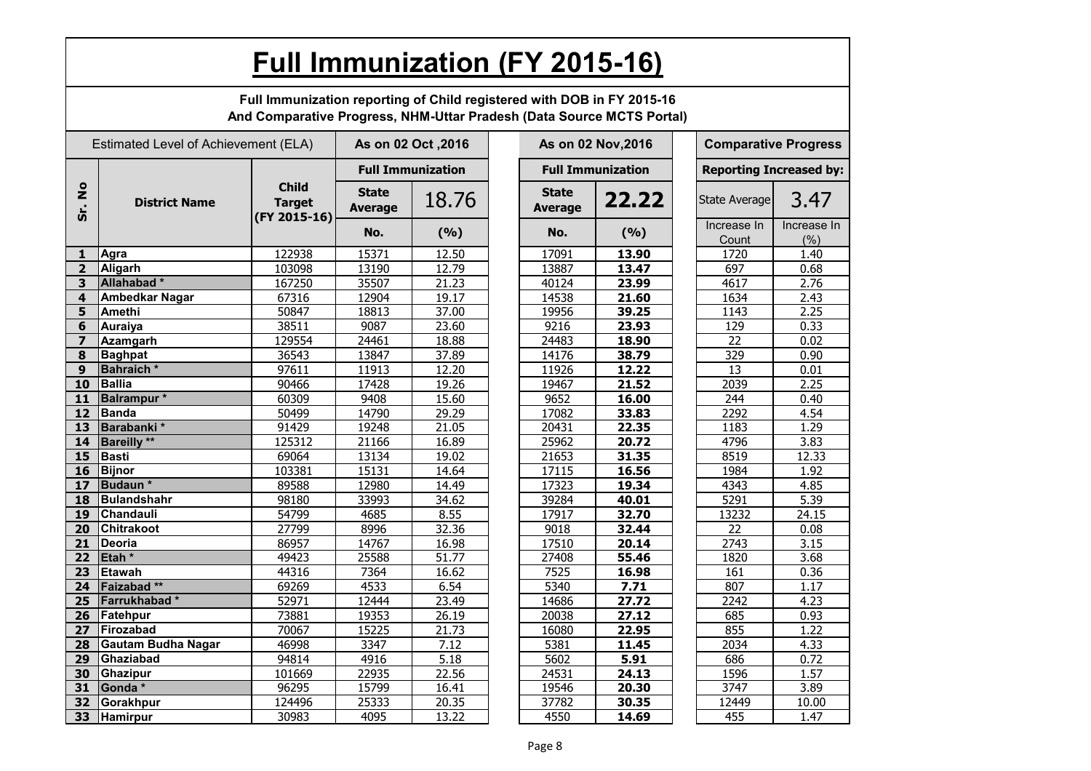|                            | Full Immunization (FY 2015-16)                                                                                                                  |                                               |                                |                          |  |                                |                          |  |                                |                    |  |
|----------------------------|-------------------------------------------------------------------------------------------------------------------------------------------------|-----------------------------------------------|--------------------------------|--------------------------|--|--------------------------------|--------------------------|--|--------------------------------|--------------------|--|
|                            | Full Immunization reporting of Child registered with DOB in FY 2015-16<br>And Comparative Progress, NHM-Uttar Pradesh (Data Source MCTS Portal) |                                               |                                |                          |  |                                |                          |  |                                |                    |  |
|                            | Estimated Level of Achievement (ELA)                                                                                                            |                                               |                                | As on 02 Oct , 2016      |  |                                | As on 02 Nov, 2016       |  | <b>Comparative Progress</b>    |                    |  |
|                            |                                                                                                                                                 |                                               |                                | <b>Full Immunization</b> |  |                                | <b>Full Immunization</b> |  | <b>Reporting Increased by:</b> |                    |  |
| $\circ$<br>Ž<br><u>င်္</u> | <b>District Name</b>                                                                                                                            | <b>Child</b><br><b>Target</b><br>(FY 2015-16) | <b>State</b><br><b>Average</b> | 18.76                    |  | <b>State</b><br><b>Average</b> | 22.22                    |  | State Average                  | 3.47               |  |
|                            |                                                                                                                                                 |                                               | No.                            | (9/6)                    |  | No.                            | (9/6)                    |  | Increase In<br>Count           | Increase In<br>(%) |  |
| $\mathbf{1}$               | Agra                                                                                                                                            | 122938                                        | 15371                          | 12.50                    |  | 17091                          | 13.90                    |  | 1720                           | 1.40               |  |
| 2 <sup>1</sup>             | Aligarh                                                                                                                                         | 103098                                        | 13190                          | 12.79                    |  | 13887                          | 13.47                    |  | 697                            | 0.68               |  |
| 3                          | Allahabad <sup>*</sup>                                                                                                                          | 167250                                        | 35507                          | 21.23                    |  | 40124                          | 23.99                    |  | 4617                           | 2.76               |  |
| $\overline{\mathbf{4}}$    | <b>Ambedkar Nagar</b>                                                                                                                           | 67316                                         | 12904                          | 19.17                    |  | 14538                          | 21.60                    |  | 1634                           | 2.43               |  |
| 5                          | <b>Amethi</b>                                                                                                                                   | 50847                                         | 18813                          | 37.00                    |  | 19956                          | 39.25                    |  | 1143                           | 2.25               |  |
| 6                          | <b>Auraiya</b>                                                                                                                                  | 38511                                         | 9087                           | 23.60                    |  | 9216                           | 23.93                    |  | 129                            | 0.33               |  |
| $\overline{\mathbf{z}}$    | <b>Azamgarh</b>                                                                                                                                 | 129554                                        | 24461                          | 18.88                    |  | 24483                          | 18.90                    |  | 22                             | 0.02               |  |
| 8                          | <b>Baghpat</b>                                                                                                                                  | 36543                                         | 13847                          | 37.89                    |  | 14176                          | 38.79                    |  | 329                            | 0.90               |  |
| 9                          | <b>Bahraich</b> *                                                                                                                               | 97611                                         | 11913                          | 12.20                    |  | 11926                          | 12.22                    |  | 13                             | 0.01               |  |
| 10                         | <b>Ballia</b>                                                                                                                                   | 90466                                         | 17428                          | 19.26                    |  | 19467                          | 21.52                    |  | 2039                           | 2.25               |  |
| 11                         | <b>Balrampur</b> *                                                                                                                              | 60309                                         | 9408                           | 15.60                    |  | 9652                           | 16.00                    |  | 244                            | 0.40               |  |
| 12                         | Banda                                                                                                                                           | 50499                                         | 14790                          | 29.29                    |  | 17082                          | 33.83                    |  | 2292                           | 4.54               |  |
| 13                         | Barabanki *                                                                                                                                     | 91429                                         | 19248                          | 21.05                    |  | 20431                          | 22.35                    |  | 1183                           | 1.29               |  |
| 14                         | <b>Bareilly **</b>                                                                                                                              | 125312                                        | 21166                          | 16.89                    |  | 25962                          | 20.72                    |  | 4796                           | 3.83               |  |
| 15                         | Basti                                                                                                                                           | 69064                                         | 13134                          | 19.02                    |  | 21653                          | 31.35                    |  | 8519                           | 12.33              |  |
| 16                         | <b>Bijnor</b>                                                                                                                                   | 103381                                        | 15131                          | 14.64                    |  | 17115                          | 16.56                    |  | 1984                           | 1.92               |  |
| 17                         | Budaun *                                                                                                                                        | 89588                                         | 12980                          | 14.49                    |  | 17323                          | 19.34                    |  | 4343                           | 4.85               |  |
| 18                         | <b>Bulandshahr</b>                                                                                                                              | 98180                                         | 33993                          | 34.62                    |  | 39284                          | 40.01                    |  | 5291                           | 5.39               |  |
| 19                         | <b>Chandauli</b>                                                                                                                                | 54799                                         | 4685                           | 8.55                     |  | 17917                          | 32.70                    |  | 13232                          | 24.15              |  |
| 20                         | <b>Chitrakoot</b>                                                                                                                               | 27799                                         | 8996                           | 32.36                    |  | 9018                           | 32.44                    |  | 22                             | 0.08               |  |
| 21                         | <b>Deoria</b>                                                                                                                                   | 86957                                         | 14767                          | 16.98                    |  | 17510                          | 20.14                    |  | 2743                           | 3.15               |  |
|                            | 22 Etah $*$                                                                                                                                     | 49423                                         | 25588                          | 51.77                    |  | 27408                          | 55.46                    |  | 1820                           | 3.68               |  |
| 23                         | Etawah                                                                                                                                          | 44316                                         | 7364                           | 16.62                    |  | 7525                           | 16.98                    |  | 161                            | 0.36               |  |
| 24                         | Faizabad **                                                                                                                                     | 69269                                         | 4533                           | 6.54                     |  | 5340                           | 7.71                     |  | 807                            | 1.17               |  |
| 25 <sub>2</sub>            | Farrukhabad*                                                                                                                                    | 52971                                         | 12444                          | 23.49                    |  | 14686                          | 27.72                    |  | 2242                           | 4.23               |  |
|                            | 26   Fatehpur                                                                                                                                   | 73881                                         | 19353                          | 26.19                    |  | 20038                          | 27.12                    |  | 685                            | 0.93               |  |
| 27                         | Firozabad                                                                                                                                       | 70067                                         | 15225                          | 21.73                    |  | 16080                          | 22.95                    |  | 855                            | 1.22               |  |
| 28                         | Gautam Budha Nagar                                                                                                                              | 46998                                         | 3347                           | 7.12                     |  | 5381                           | 11.45                    |  | 2034                           | 4.33               |  |
| 29                         | Ghaziabad                                                                                                                                       | 94814                                         | 4916                           | 5.18                     |  | 5602                           | 5.91                     |  | 686                            | 0.72               |  |
| 30                         | Ghazipur                                                                                                                                        | 101669                                        | 22935                          | 22.56                    |  | 24531                          | 24.13                    |  | 1596                           | 1.57               |  |
| 31                         | Gonda *                                                                                                                                         | 96295                                         | 15799                          | 16.41                    |  | 19546                          | 20.30                    |  | 3747                           | 3.89               |  |
| 32                         | Gorakhpur                                                                                                                                       | 124496                                        |                                | 20.35                    |  |                                | 30.35                    |  |                                |                    |  |
|                            |                                                                                                                                                 |                                               | 25333                          |                          |  | 37782                          |                          |  | 12449                          | 10.00              |  |
| 33                         | <b>Hamirpur</b>                                                                                                                                 | 30983                                         | 4095                           | 13.22                    |  | 4550                           | 14.69                    |  | 455                            | 1.47               |  |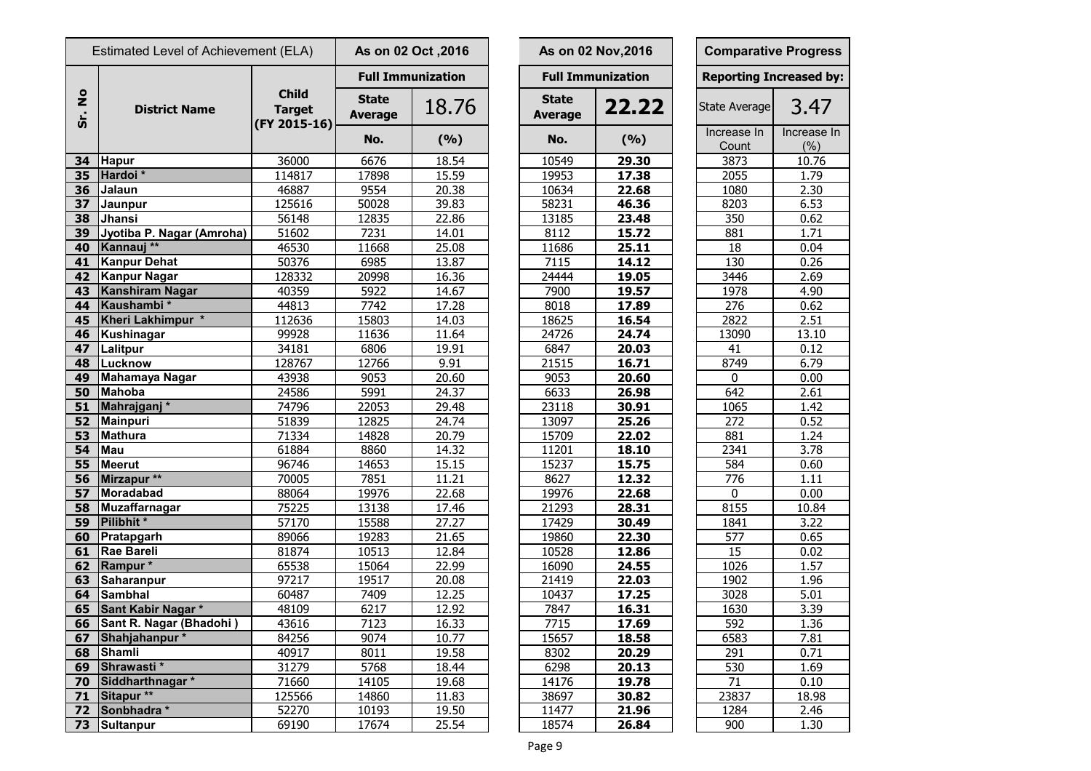| Estimated Level of Achievement (ELA) |                           | As on 02 Oct , 2016           |                                |                          | As on 02 Nov, 2016             | <b>Comparative Progre</b> |                            |                  |
|--------------------------------------|---------------------------|-------------------------------|--------------------------------|--------------------------|--------------------------------|---------------------------|----------------------------|------------------|
|                                      |                           |                               |                                | <b>Full Immunization</b> |                                | <b>Full Immunization</b>  | <b>Reporting Increased</b> |                  |
| $\frac{1}{2}$<br>Sr.                 | <b>District Name</b>      | <b>Child</b><br><b>Target</b> | <b>State</b><br><b>Average</b> | 18.76                    | <b>State</b><br><b>Average</b> | 22.22                     | State Average              | 3.47             |
|                                      |                           | (FY 2015-16)                  | No.                            | (%)                      | No.                            | (%)                       | Increase In<br>Count       | Increase<br>(% ) |
| 34                                   | <b>Hapur</b>              | 36000                         | 6676                           | 18.54                    | 10549                          | 29.30                     | 3873                       | 10.76            |
| 35                                   | Hardoi*                   | 114817                        | 17898                          | 15.59                    | 19953                          | 17.38                     | 2055                       | 1.79             |
| 36                                   | Jalaun                    | 46887                         | 9554                           | 20.38                    | 10634                          | 22.68                     | 1080                       | 2.30             |
| 37                                   | Jaunpur                   | 125616                        | 50028                          | 39.83                    | 58231                          | 46.36                     | 8203                       | 6.53             |
| 38                                   | Jhansi                    | 56148                         | 12835                          | 22.86                    | 13185                          | 23.48                     | 350                        | 0.62             |
| 39                                   | Jyotiba P. Nagar (Amroha) | 51602                         | 7231                           | 14.01                    | 8112                           | 15.72                     | 881                        | 1.71             |
| 40                                   | Kannauj **                | 46530                         | 11668                          | 25.08                    | 11686                          | 25.11                     | 18                         | 0.04             |
| 41                                   | <b>Kanpur Dehat</b>       | 50376                         | 6985                           | 13.87                    | 7115                           | 14.12                     | 130                        | 0.26             |
| 42                                   | <b>Kanpur Nagar</b>       | 128332                        | 20998                          | 16.36                    | 24444                          | 19.05                     | 3446                       | 2.69             |
| 43                                   | <b>Kanshiram Nagar</b>    | 40359                         | 5922                           | 14.67                    | 7900                           | 19.57                     | 1978                       | 4.90             |
| 44                                   | Kaushambi*                | 44813                         | 7742                           | 17.28                    | 8018                           | 17.89                     | 276                        | 0.62             |
| 45                                   | Kheri Lakhimpur *         | 112636                        | 15803                          | 14.03                    | 18625                          | 16.54                     | 2822                       | 2.51             |
| 46                                   | Kushinagar                | 99928                         | 11636                          | 11.64                    | 24726                          | 24.74                     | 13090                      | 13.10            |
| 47                                   | Lalitpur                  | 34181                         | 6806                           | 19.91                    | 6847                           | 20.03                     | 41                         | 0.12             |
| 48                                   | Lucknow                   | 128767                        | 12766                          | 9.91                     | 21515                          | 16.71                     | 8749                       | 6.79             |
| 49                                   | <b>Mahamaya Nagar</b>     | 43938                         | 9053                           | 20.60                    | 9053                           | 20.60                     | 0                          | 0.00             |
| 50                                   | <b>Mahoba</b>             | 24586                         | 5991                           | 24.37                    | 6633                           | 26.98                     | 642                        | 2.61             |
| 51                                   | Mahrajganj <sup>*</sup>   | 74796                         | 22053                          | 29.48                    | 23118                          | 30.91                     | 1065                       | 1.42             |
| 52                                   | <b>Mainpuri</b>           | 51839                         | 12825                          | 24.74                    | 13097                          | 25.26                     | 272                        | 0.52             |
| 53                                   | <b>Mathura</b>            | 71334                         | 14828                          | 20.79                    | 15709                          | 22.02                     | 881                        | 1.24             |
| 54                                   | Mau                       | 61884                         | 8860                           | 14.32                    | 11201                          | 18.10                     | 2341                       | 3.78             |
| 55                                   | <b>Meerut</b>             | 96746                         | 14653                          | 15.15                    | 15237                          | 15.75                     | 584                        | 0.60             |
| 56                                   | Mirzapur <sup>**</sup>    | 70005                         | 7851                           | 11.21                    | 8627                           | 12.32                     | 776                        | 1.11             |
| 57                                   | <b>Moradabad</b>          | 88064                         | 19976                          | 22.68                    | 19976                          | 22.68                     | $\Omega$                   | 0.00             |
| 58                                   | <b>Muzaffarnagar</b>      | 75225                         | 13138                          | 17.46                    | 21293                          | 28.31                     | 8155                       | 10.84            |
| 59                                   | Pilibhit*                 | 57170                         | 15588                          | 27.27                    | 17429                          | 30.49                     | 1841                       | 3.22             |
| 60                                   | Pratapgarh                | 89066                         | 19283                          | 21.65                    | 19860                          | 22.30                     | 577                        | 0.65             |
| 61                                   | <b>Rae Bareli</b>         | 81874                         | 10513                          | 12.84                    | 10528                          | 12.86                     | 15                         | 0.02             |
|                                      | 62 Rampur*                | 65538                         | 15064                          | 22.99                    | 16090                          | 24.55                     | 1026                       | 1.57             |
| 63                                   | <b>Saharanpur</b>         | 97217                         | 19517                          | 20.08                    | 21419                          | 22.03                     | 1902                       | 1.96             |
| 64                                   | Sambhal                   | 60487                         | 7409                           | 12.25                    | 10437                          | 17.25                     | 3028                       | 5.01             |
| 65                                   | Sant Kabir Nagar*         | 48109                         | 6217                           | 12.92                    | 7847                           | 16.31                     | 1630                       | 3.39             |
| 66                                   | Sant R. Nagar (Bhadohi)   | 43616                         | 7123                           | 16.33                    | 7715                           | 17.69                     | 592                        | 1.36             |
| 67                                   | Shahjahanpur*             | 84256                         | 9074                           | 10.77                    | 15657                          | 18.58                     | 6583                       | 7.81             |
| 68                                   | <b>Shamli</b>             | 40917                         | 8011                           | 19.58                    | 8302                           | 20.29                     | 291                        | 0.71             |
| 69                                   | Shrawasti*                | 31279                         | 5768                           | 18.44                    | 6298                           | 20.13                     | 530                        | 1.69             |
| 70                                   | Siddharthnagar *          | 71660                         | 14105                          | 19.68                    | 14176                          | 19.78                     | 71                         | 0.10             |
| 71                                   | Sitapur <sup>**</sup>     | 125566                        | 14860                          | 11.83                    | 38697                          | 30.82                     | 23837                      | 18.98            |
| 72                                   | Sonbhadra *               | 52270                         | 10193                          | 19.50                    | 11477                          | 21.96                     | 1284                       | 2.46             |
| 73                                   | Sultanpur                 | 69190                         | 17674                          | 25.54                    | 18574                          | 26.84                     | 900                        | 1.30             |

|                                             | As on 02 Oct, 2016       |                                | As on 02 Nov, 2016       | <b>Comparative Progress</b> |                                |                     |  |  |
|---------------------------------------------|--------------------------|--------------------------------|--------------------------|-----------------------------|--------------------------------|---------------------|--|--|
|                                             | <b>Full Immunization</b> |                                | <b>Full Immunization</b> |                             | <b>Reporting Increased by:</b> |                     |  |  |
| <b>State</b><br><b><i><u>verage</u></i></b> | 18.76                    | <b>State</b><br><b>Average</b> | 22.22                    |                             | State Average                  | 3.47                |  |  |
| No.                                         | (%)                      | No.                            | (%)                      |                             | Increase In<br>Count           | Increase In<br>(% ) |  |  |
| 6676                                        | 18.54                    | 10549                          | 29.30                    |                             | 3873                           | 10.76               |  |  |
| 17898                                       | 15.59                    | 19953                          | 17.38                    |                             | 2055                           | 1.79                |  |  |
| 9554                                        | 20.38                    | 10634                          | 22.68                    |                             | 1080                           | 2.30                |  |  |
| 50028                                       | 39.83                    | 58231                          | 46.36                    |                             | 8203                           | 6.53                |  |  |
| 12835                                       | 22.86                    | 13185                          | 23.48                    |                             | 350                            | 0.62                |  |  |
| 7231                                        | 14.01                    | 8112                           | 15.72                    |                             | 881                            | 1.71                |  |  |
| 11668                                       | 25.08                    | 11686                          | 25.11                    |                             | 18                             | 0.04                |  |  |
| 6985                                        | 13.87                    | 7115                           | 14.12                    |                             | 130                            | 0.26                |  |  |
| 20998                                       | 16.36                    | 24444                          | 19.05                    |                             | 3446                           | 2.69                |  |  |
| 5922                                        | 14.67                    | 7900                           | 19.57                    |                             | 1978                           | 4.90                |  |  |
| 7742                                        | 17.28                    | 8018                           | 17.89                    |                             | 276                            | 0.62                |  |  |
| 15803                                       | 14.03                    | 18625                          | 16.54                    |                             | 2822                           | 2.51                |  |  |
| 11636                                       | 11.64                    | 24726                          | 24.74                    |                             | 13090                          | 13.10               |  |  |
| 6806                                        | 19.91                    | 6847                           | 20.03                    |                             | 41                             | 0.12                |  |  |
| 12766                                       | 9.91                     | 21515                          | 16.71                    |                             | 8749                           | 6.79                |  |  |
| 9053                                        | 20.60                    | 9053                           | 20.60                    |                             | 0                              | 0.00                |  |  |
| 5991                                        | 24.37                    | 6633                           | 26.98                    |                             | 642                            | 2.61                |  |  |
| 22053                                       | 29.48                    | 23118                          | 30.91                    |                             | 1065                           | 1.42                |  |  |
| 12825                                       | 24.74                    | 13097                          | 25.26                    |                             | 272                            | 0.52                |  |  |
| 14828                                       | 20.79                    | 15709                          | 22.02                    |                             | 881                            | 1.24                |  |  |
| 8860                                        | 14.32                    | 11201                          | 18.10                    |                             | 2341                           | 3.78                |  |  |
| 14653                                       | 15.15                    | 15237                          | 15.75                    |                             | 584                            | 0.60                |  |  |
| 7851                                        | 11.21                    | 8627                           | 12.32                    |                             | 776                            | 1.11                |  |  |
| 19976                                       | 22.68                    | 19976                          | 22.68                    |                             | $\mathbf 0$                    | 0.00                |  |  |
| 13138                                       | 17.46                    | 21293                          | 28.31                    |                             | 8155                           | 10.84               |  |  |
| 15588                                       | 27.27                    | 17429                          | 30.49                    |                             | 1841                           | 3.22                |  |  |
| 19283                                       | 21.65                    | 19860                          | 22.30                    |                             | 577                            | 0.65                |  |  |
| 10513                                       | 12.84                    | 10528                          | 12.86                    |                             | 15                             | 0.02                |  |  |
| 15064                                       | 22.99                    | 16090                          | 24.55                    |                             | 1026                           | 1.57                |  |  |
| 19517                                       | 20.08                    | 21419                          | 22.03                    |                             | 1902                           | 1.96                |  |  |
| 7409                                        | 12.25                    | 10437                          | 17.25                    |                             | 3028                           | 5.01                |  |  |
| 6217                                        | 12.92                    | 7847                           | 16.31                    |                             | 1630                           | 3.39                |  |  |
| 7123                                        | 16.33                    | 7715                           | 17.69                    |                             | 592                            | 1.36                |  |  |
| 9074                                        | 10.77                    | 15657                          | 18.58                    |                             | 6583                           | 7.81                |  |  |
| 8011                                        | 19.58                    | 8302                           | 20.29                    |                             | 291                            | 0.71                |  |  |
| 5768                                        | 18.44                    | 6298                           | 20.13                    |                             | 530                            | 1.69                |  |  |
| 14105                                       | 19.68                    | 14176                          | 19.78                    |                             | 71                             | 0.10                |  |  |
| 14860                                       | 11.83                    | 38697                          | 30.82                    |                             | 23837                          | 18.98               |  |  |
| 10193                                       | 19.50                    | 11477                          | 21.96                    |                             | 1284                           | 2.46                |  |  |
| 17674                                       | 25.54                    | 18574                          | <b>26.84</b>             |                             | 900                            | 1.30                |  |  |

| <b>Comparative Progress</b> |                                |  |  |  |  |  |  |  |  |
|-----------------------------|--------------------------------|--|--|--|--|--|--|--|--|
|                             | <b>Reporting Increased by:</b> |  |  |  |  |  |  |  |  |
| <b>State Average</b>        | 3.47                           |  |  |  |  |  |  |  |  |
| Increase In                 | Increase In                    |  |  |  |  |  |  |  |  |
| Count                       | (% )                           |  |  |  |  |  |  |  |  |
| 3873                        | 10.76                          |  |  |  |  |  |  |  |  |
| 2055                        | 1.79                           |  |  |  |  |  |  |  |  |
| 1080                        | <u>2.30</u>                    |  |  |  |  |  |  |  |  |
| 8203                        | 6.53                           |  |  |  |  |  |  |  |  |
| 350                         | 0.62                           |  |  |  |  |  |  |  |  |
| 881                         | 1.71                           |  |  |  |  |  |  |  |  |
| 18                          | 0.04                           |  |  |  |  |  |  |  |  |
| 130                         | 0.26                           |  |  |  |  |  |  |  |  |
| 3446                        | 2.69                           |  |  |  |  |  |  |  |  |
| 1978                        | 4.90                           |  |  |  |  |  |  |  |  |
| 276                         | 0.62                           |  |  |  |  |  |  |  |  |
| <u> 2822</u>                | 2.51                           |  |  |  |  |  |  |  |  |
| 13090                       | <u>13.10</u>                   |  |  |  |  |  |  |  |  |
| 41                          | <u>0.12</u>                    |  |  |  |  |  |  |  |  |
| 8749                        | 6.79                           |  |  |  |  |  |  |  |  |
| 0                           | 0.00                           |  |  |  |  |  |  |  |  |
| 642                         | 2.61                           |  |  |  |  |  |  |  |  |
| 1065                        | 1.42                           |  |  |  |  |  |  |  |  |
| 272                         | 0.52                           |  |  |  |  |  |  |  |  |
| 881                         | 1.24                           |  |  |  |  |  |  |  |  |
| 2341                        | 3.78                           |  |  |  |  |  |  |  |  |
| 584                         | 0.60                           |  |  |  |  |  |  |  |  |
| 776                         | 1.11                           |  |  |  |  |  |  |  |  |
| $\bf{0}$                    | 0.00                           |  |  |  |  |  |  |  |  |
| $\frac{1}{8155}$            | 10.84                          |  |  |  |  |  |  |  |  |
| 1841                        | 3.22                           |  |  |  |  |  |  |  |  |
| 577                         | 0.65                           |  |  |  |  |  |  |  |  |
|                             |                                |  |  |  |  |  |  |  |  |
| $\frac{15}{1}$              | 0.02                           |  |  |  |  |  |  |  |  |
| <u> 1026</u><br><u>1902</u> | <u>1.57</u>                    |  |  |  |  |  |  |  |  |
|                             | 1.96                           |  |  |  |  |  |  |  |  |
| 3028                        | $\frac{1}{5.01}$               |  |  |  |  |  |  |  |  |
| 1630                        | <u>3.39</u>                    |  |  |  |  |  |  |  |  |
| 592<br>6583                 | 1.36                           |  |  |  |  |  |  |  |  |
|                             | 7.81                           |  |  |  |  |  |  |  |  |
| 291                         | 0.71                           |  |  |  |  |  |  |  |  |
| 530                         | 1.69                           |  |  |  |  |  |  |  |  |
| 71                          | 0.10                           |  |  |  |  |  |  |  |  |
| 23837                       | 18.98                          |  |  |  |  |  |  |  |  |
| 1284                        | 2.46                           |  |  |  |  |  |  |  |  |
| 900                         | $\overline{1.30}$              |  |  |  |  |  |  |  |  |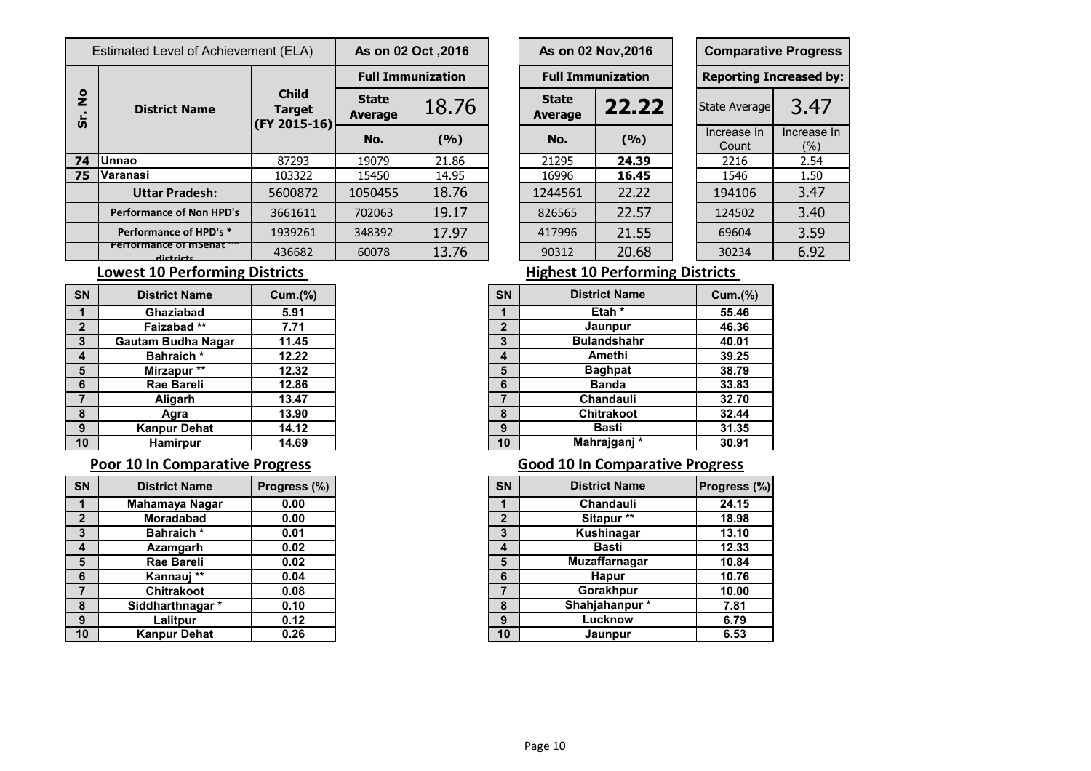| Estimated Level of Achievement (ELA) |                                    |                                               | As on 02 Oct , 2016            |                          | As on 02 Nov, 2016             |                          |  | <b>Comparative Progre</b>  |                     |  |
|--------------------------------------|------------------------------------|-----------------------------------------------|--------------------------------|--------------------------|--------------------------------|--------------------------|--|----------------------------|---------------------|--|
|                                      | <b>District Name</b>               |                                               |                                | <b>Full Immunization</b> |                                | <b>Full Immunization</b> |  | <b>Reporting Increased</b> |                     |  |
| $\frac{1}{2}$                        |                                    | <b>Child</b><br><b>Target</b><br>(FY 2015-16) | <b>State</b><br><b>Average</b> | 18.76                    | <b>State</b><br><b>Average</b> | 22.22                    |  | State Average              | 3.4                 |  |
| $\boldsymbol{\omega}$                |                                    |                                               | No.                            | (%)                      | No.                            | (9/6)                    |  | Increase In<br>Count       | Increase<br>$(\% )$ |  |
| 74                                   | <b>Unnao</b>                       | 87293                                         | 19079                          | 21.86                    | 21295                          | 24.39                    |  | 2216                       | 2.54                |  |
| 75                                   | <b>Varanasi</b>                    | 103322                                        | 15450                          | 14.95                    | 16996                          | 16.45                    |  | 1546                       | 1.50                |  |
|                                      | <b>Uttar Pradesh:</b>              | 5600872                                       | 1050455                        | 18.76                    | 1244561                        | 22.22                    |  | 194106                     | 3.47                |  |
|                                      | <b>Performance of Non HPD's</b>    | 3661611                                       | 702063                         | 19.17                    | 826565                         | 22.57                    |  | 124502                     | 3.40                |  |
|                                      | Performance of HPD's *             | 1939261                                       | 348392                         | 17.97                    | 417996                         | 21.55                    |  | 69604                      | 3.59                |  |
|                                      | Percontructo Institut<br>dictricts | 436682                                        | 60078                          | 13.76                    | 90312                          | 20.68                    |  | 30234                      | 6.92                |  |

|                       | s on 02 Oct ,2016 | As on 02 Nov, 2016             |       |  | <b>Comparative Progress</b>    |                        |  |  |
|-----------------------|-------------------|--------------------------------|-------|--|--------------------------------|------------------------|--|--|
|                       | ull Immunization  | <b>Full Immunization</b>       |       |  | <b>Reporting Increased by:</b> |                        |  |  |
| <b>itate</b><br>erage | 18.76             | <b>State</b><br><b>Average</b> | 22.22 |  | <b>State Average</b>           | 3.47                   |  |  |
| No.                   | (%)               | No.                            | (9/6) |  | Increase In<br>Count           | Increase In<br>$(\% )$ |  |  |
| 9079                  | 21.86             | 21295                          | 24.39 |  | 2216                           | 2.54                   |  |  |
| 5450                  | 14.95             | 16996                          | 16.45 |  | 1546                           | 1.50                   |  |  |
| 50455                 | 18.76             | 1244561                        | 22.22 |  | 194106                         | 3.47                   |  |  |
| )2063                 | 19.17             | 826565                         | 22.57 |  | 124502                         | 3.40                   |  |  |
| 18392                 | 17.97             | 417996                         | 21.55 |  | 69604                          | 3.59                   |  |  |
| 13.76<br>0078         |                   | 90312                          | 20.68 |  | 30234                          | 6.92                   |  |  |

### **Lowest 10 Performing Districts Highest 10 Performing Districts**

| <b>SN</b>        | <b>District Name</b>      | <b>Cum.(%)</b> |
|------------------|---------------------------|----------------|
| $\mathbf 1$      | Ghaziabad                 | 5.91           |
| $\overline{2}$   | Faizabad**                | 7.71           |
| $3\overline{3}$  | <b>Gautam Budha Nagar</b> | 11.45          |
| $\boldsymbol{4}$ | <b>Bahraich</b> *         | 12.22          |
| $5\phantom{1}$   | Mirzapur **               | 12.32          |
| 6                | Rae Bareli                | 12.86          |
| $\overline{7}$   | Aligarh                   | 13.47          |
| 8                | Agra                      | 13.90          |
| 9                | <b>Kanpur Dehat</b>       | 14.12          |
| 10               | <b>Hamirpur</b>           | 14.69          |

| <b>SN</b>        | <b>District Name</b> | Progress (%) |
|------------------|----------------------|--------------|
| $\mathbf 1$      | Mahamaya Nagar       | 0.00         |
| $\mathbf{2}$     | <b>Moradabad</b>     | 0.00         |
| $\mathbf{3}$     | <b>Bahraich*</b>     | 0.01         |
| $\boldsymbol{4}$ | Azamgarh             | 0.02         |
| $5\phantom{1}$   | <b>Rae Bareli</b>    | 0.02         |
| 6                | Kannauj **           | 0.04         |
| $\overline{7}$   | <b>Chitrakoot</b>    | 0.08         |
| 8                | Siddharthnagar *     | 0.10         |
| 9                | Lalitpur             | 0.12         |
| 10               | <b>Kanpur Dehat</b>  | 0.26         |

| <b>Lowest 10 Performing Districts</b> |  |  |  |
|---------------------------------------|--|--|--|
|                                       |  |  |  |

| <b>SN</b>      | <b>District Name</b>      | Cum.(%) |
|----------------|---------------------------|---------|
| 1              | <b>Ghaziabad</b>          | 5.91    |
| $\overline{2}$ | Faizabad **               | 7.71    |
| 3              | <b>Gautam Budha Nagar</b> | 11.45   |
| 4              | <b>Bahraich*</b>          | 12.22   |
| 5              | Mirzapur **               | 12.32   |
| 6              | <b>Rae Bareli</b>         | 12.86   |
| $\overline{7}$ | Aligarh                   | 13.47   |
| 8              | Agra                      | 13.90   |
| 9              | <b>Kanpur Dehat</b>       | 14.12   |
| 10             | <b>Hamirpur</b>           | 14.69   |

### **Poor 10 In Comparative Progress Comparative Progress Good 10 In Comparative Progress**

| <b>SN</b>    | <b>District Name</b> | Progress (%) |
|--------------|----------------------|--------------|
| 1            | Mahamaya Nagar       | 0.00         |
| $\mathbf{2}$ | <b>Moradabad</b>     | 0.00         |
| $\mathbf{3}$ | <b>Bahraich</b> *    | 0.01         |
| 4            | Azamgarh             | 0.02         |
| 5            | <b>Rae Bareli</b>    | 0.02         |
| 6            | Kannauj **           | 0.04         |
| 7            | <b>Chitrakoot</b>    | 0.08         |
| 8            | Siddharthnagar *     | 0.10         |
| 9            | Lalitpur             | 0.12         |
| 10           | <b>Kanpur Dehat</b>  | 0.26         |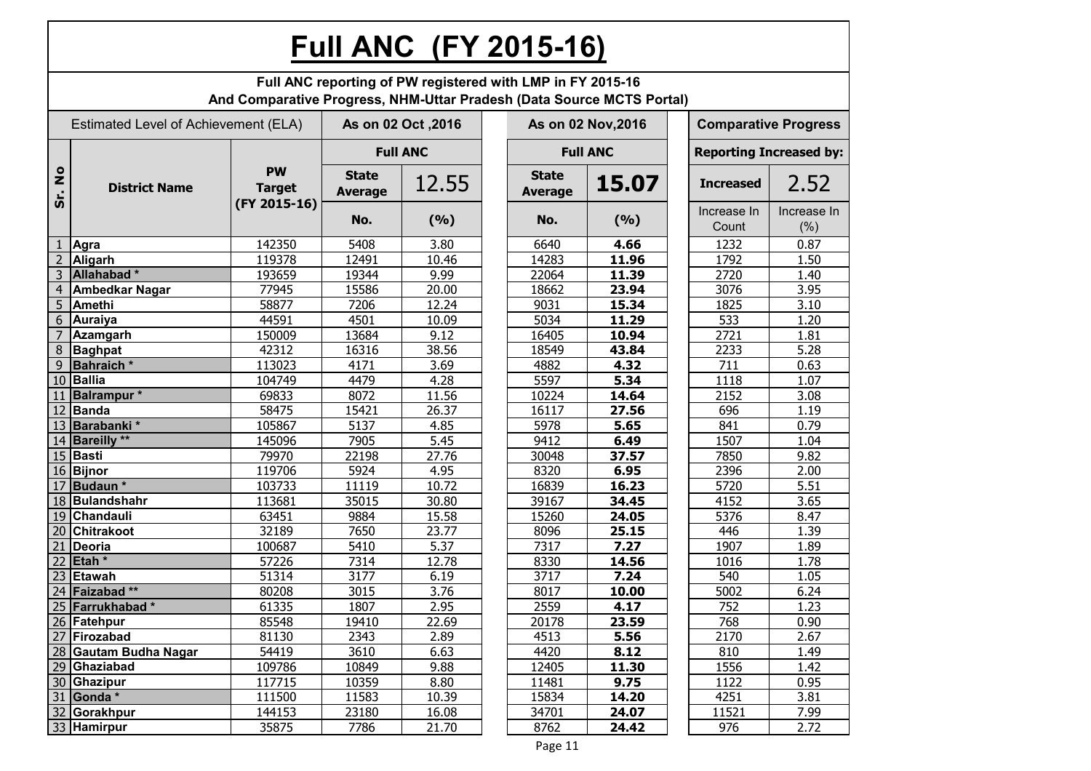## **Full ANC (FY 2015-16)**

|                     |                                      | And Comparative Progress, NHM-Uttar Pradesh (Data Source MCTS Portal) |                                | Full ANC reporting of PW registered with LMP in FY 2015-16 |                                |                    |                                |                             |  |  |
|---------------------|--------------------------------------|-----------------------------------------------------------------------|--------------------------------|------------------------------------------------------------|--------------------------------|--------------------|--------------------------------|-----------------------------|--|--|
|                     | Estimated Level of Achievement (ELA) |                                                                       |                                | As on 02 Oct , 2016                                        |                                | As on 02 Nov, 2016 |                                | <b>Comparative Progress</b> |  |  |
|                     |                                      |                                                                       |                                | <b>Full ANC</b>                                            |                                | <b>Full ANC</b>    | <b>Reporting Increased by:</b> |                             |  |  |
| $\frac{1}{2}$<br>ູ່ | <b>District Name</b>                 | <b>PW</b><br><b>Target</b>                                            | <b>State</b><br><b>Average</b> | 12.55                                                      | <b>State</b><br><b>Average</b> | 15.07              | <b>Increased</b>               | 2.52                        |  |  |
|                     |                                      | (FY 2015-16)                                                          | No.                            | (9/6)                                                      | No.                            | (9/6)              | Increase In<br>Count           | Increase In<br>(% )         |  |  |
|                     | Agra                                 | 142350                                                                | 5408                           | 3.80                                                       | 6640                           | 4.66               | 1232                           | 0.87                        |  |  |
| $\overline{2}$      | Aligarh                              | 119378                                                                | 12491                          | 10.46                                                      | 14283                          | 11.96              | 1792                           | 1.50                        |  |  |
| 3                   | Allahabad*                           | 193659                                                                | 19344                          | 9.99                                                       | 22064                          | 11.39              | 2720                           | 1.40                        |  |  |
| 4                   | <b>Ambedkar Nagar</b>                | 77945                                                                 | 15586                          | 20.00                                                      | 18662                          | 23.94              | 3076                           | 3.95                        |  |  |
| 5                   | <b>Amethi</b>                        | 58877                                                                 | 7206                           | 12.24                                                      | 9031                           | 15.34              | 1825                           | 3.10                        |  |  |
| 6                   | Auraiya                              | 44591                                                                 | 4501                           | 10.09                                                      | 5034                           | 11.29              | 533                            | 1.20                        |  |  |
| $\overline{7}$      | <b>Azamgarh</b>                      | 150009                                                                | 13684                          | 9.12                                                       | 16405                          | 10.94              | 2721                           | 1.81                        |  |  |
| 8                   | Baghpat                              | 42312                                                                 | 16316                          | 38.56                                                      | 18549                          | 43.84              | 2233                           | 5.28                        |  |  |
| 9                   | <b>Bahraich</b> *                    | 113023                                                                | 4171                           | 3.69                                                       | 4882                           | 4.32               | 711                            | 0.63                        |  |  |
| 10                  | <b>Ballia</b>                        | 104749                                                                | 4479                           | 4.28                                                       | 5597                           | 5.34               | 1118                           | 1.07                        |  |  |
| 11                  | Balrampur <sup>*</sup>               | 69833                                                                 | 8072                           | 11.56                                                      | 10224                          | 14.64              | 2152                           | 3.08                        |  |  |
|                     | 12 Banda                             | 58475                                                                 | 15421                          | 26.37                                                      | 16117                          | 27.56              | 696                            | 1.19                        |  |  |
|                     | 13 Barabanki *                       | 105867                                                                | 5137                           | 4.85                                                       | 5978                           | 5.65               | 841                            | 0.79                        |  |  |
|                     | 14 Bareilly **                       | 145096                                                                | 7905                           | 5.45                                                       | 9412                           | 6.49               | 1507                           | 1.04                        |  |  |
|                     | 15 Basti                             | 79970                                                                 | 22198                          | 27.76                                                      | 30048                          | 37.57              | 7850                           | 9.82                        |  |  |
|                     | 16 Bijnor                            | 119706                                                                | 5924                           | 4.95                                                       | 8320                           | 6.95               | 2396                           | 2.00                        |  |  |
| 17                  | Budaun <sup>*</sup>                  | 103733                                                                | 11119                          | 10.72                                                      | 16839                          | 16.23              | 5720                           | 5.51                        |  |  |
|                     | 18 Bulandshahr                       | 113681                                                                | 35015                          | 30.80                                                      | 39167                          | 34.45              | 4152                           | 3.65                        |  |  |
| 19                  | Chandauli                            | 63451                                                                 | 9884                           | 15.58                                                      | 15260                          | 24.05              | 5376                           | 8.47                        |  |  |
| 20                  | <b>Chitrakoot</b>                    | 32189                                                                 | 7650                           | 23.77                                                      | 8096                           | 25.15              | 446                            | 1.39                        |  |  |
| 21                  | <b>Deoria</b>                        | 100687                                                                | 5410                           | 5.37                                                       | 7317                           | 7.27               | 1907                           | 1.89                        |  |  |
| 22                  | Etah <sup>*</sup>                    | 57226                                                                 | 7314                           | 12.78                                                      | 8330                           | 14.56              | 1016                           | 1.78                        |  |  |
| 23                  | <b>Etawah</b>                        | 51314                                                                 | 3177                           | 6.19                                                       | 3717                           | 7.24               | 540                            | 1.05                        |  |  |
|                     | 24 Faizabad **                       | 80208                                                                 | 3015                           | 3.76                                                       | 8017                           | 10.00              | 5002                           | 6.24                        |  |  |
| 25                  | Farrukhabad*                         | 61335                                                                 | 1807                           | 2.95                                                       | 2559                           | 4.17               | 752                            | 1.23                        |  |  |
|                     | 26 Fatehpur                          | 85548                                                                 | 19410                          | 22.69                                                      | 20178                          | 23.59              | 768                            | 0.90                        |  |  |
|                     | 27 Firozabad                         | 81130                                                                 | 2343                           | 2.89                                                       | 4513                           | 5.56               | 2170                           | 2.67                        |  |  |
|                     | 28 Gautam Budha Nagar                | 54419                                                                 | 3610                           | 6.63                                                       | 4420                           | 8.12               | 810                            | 1.49                        |  |  |
|                     | 29 Ghaziabad                         | 109786                                                                | 10849                          | 9.88                                                       | 12405                          | 11.30              | 1556                           | 1.42                        |  |  |
|                     | 30 Ghazipur                          | 117715                                                                | 10359                          | 8.80                                                       | 11481                          | 9.75               | 1122                           | 0.95                        |  |  |
|                     | 31 Gonda $*$                         | 111500                                                                | 11583                          | 10.39                                                      | 15834                          | 14.20              | 4251                           | 3.81                        |  |  |
|                     | 32 Gorakhpur                         | 144153                                                                | 23180                          | 16.08                                                      | 34701                          | 24.07              | 11521                          | 7.99                        |  |  |
|                     | 33 Hamirpur                          | 35875                                                                 | 7786                           | 21.70                                                      | 8762                           | 24.42              | 976                            | 2.72                        |  |  |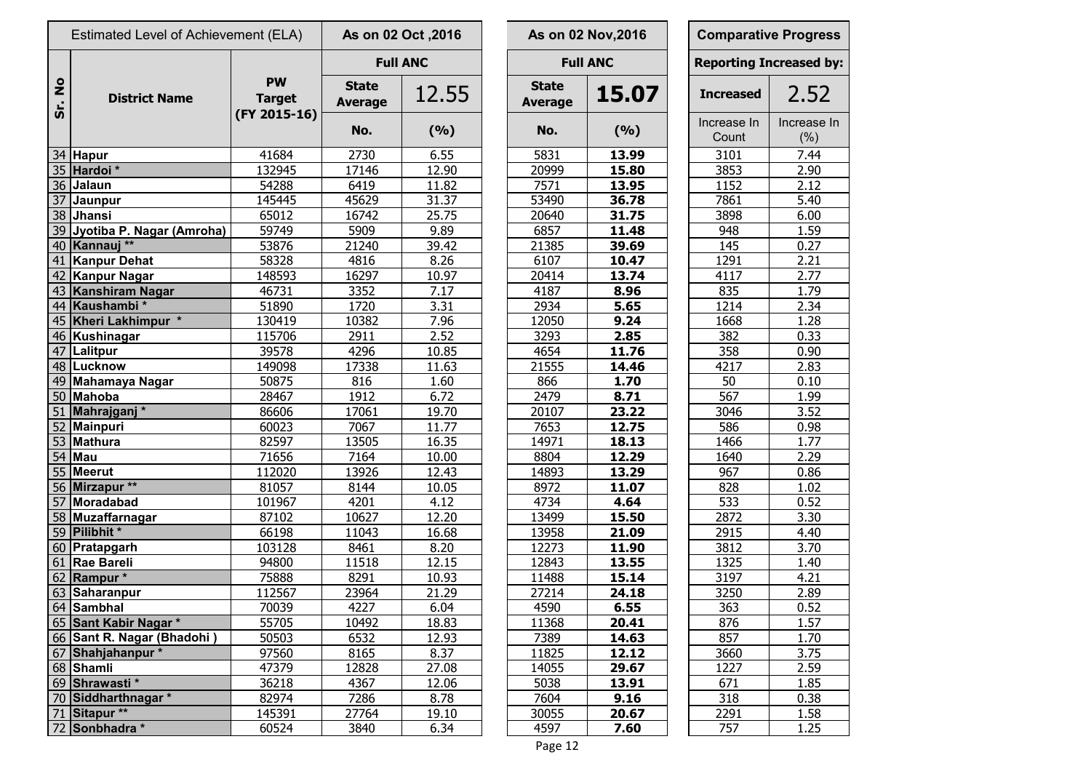|                      | Estimated Level of Achievement (ELA) |                            |                                | As on 02 Oct, 2016 |                                | As on 02 Nov, 2016 | <b>Comparative Progr</b>   |                    |
|----------------------|--------------------------------------|----------------------------|--------------------------------|--------------------|--------------------------------|--------------------|----------------------------|--------------------|
|                      |                                      |                            |                                | <b>Full ANC</b>    |                                | <b>Full ANC</b>    | <b>Reporting Increased</b> |                    |
| $\frac{1}{2}$<br>Sr. | <b>District Name</b>                 | <b>PW</b><br><b>Target</b> | <b>State</b><br><b>Average</b> | 12.55              | <b>State</b><br><b>Average</b> | 15.07              | <b>Increased</b>           | 2.5                |
|                      |                                      | (FY 2015-16)               | No.                            | (9/6)              | No.                            | (9/6)              | Increase In<br>Count       | Increas<br>$(\% )$ |
|                      | 34 Hapur                             | 41684                      | 2730                           | 6.55               | 5831                           | 13.99              | 3101                       | 7.44               |
|                      | 35 Hardoi *                          | 132945                     | 17146                          | 12.90              | 20999                          | 15.80              | 3853                       | 2.90               |
|                      | 36 Jalaun                            | 54288                      | 6419                           | 11.82              | 7571                           | 13.95              | 1152                       | 2.12               |
|                      | 37 Jaunpur                           | 145445                     | 45629                          | 31.37              | 53490                          | 36.78              | 7861                       | 5.40               |
|                      | 38 Jhansi                            | 65012                      | 16742                          | 25.75              | 20640                          | 31.75              | 3898                       | 6.00               |
|                      | 39 Jyotiba P. Nagar (Amroha)         | 59749                      | 5909                           | 9.89               | 6857                           | 11.48              | 948                        | 1.59               |
|                      | 40 Kannauj **                        | 53876                      | 21240                          | 39.42              | 21385                          | 39.69              | 145                        | 0.27               |
|                      | 41 Kanpur Dehat                      | 58328                      | 4816                           | 8.26               | 6107                           | 10.47              | 1291                       | 2.21               |
|                      | 42 Kanpur Nagar                      | 148593                     | 16297                          | 10.97              | 20414                          | 13.74              | 4117                       | 2.77               |
|                      | 43 Kanshiram Nagar                   | 46731                      | 3352                           | 7.17               | 4187                           | 8.96               | 835                        | 1.79               |
|                      | 44 Kaushambi*                        | 51890                      | 1720                           | 3.31               | 2934                           | 5.65               | $\overline{1}$ 214         | 2.34               |
|                      | 45 Kheri Lakhimpur *                 | 130419                     | 10382                          | 7.96               | 12050                          | 9.24               | 1668                       | 1.28               |
|                      | 46 Kushinagar                        | 115706                     | 2911                           | 2.52               | 3293                           | 2.85               | 382                        | 0.33               |
|                      | 47 Lalitpur                          | 39578                      | 4296                           | 10.85              | 4654                           | 11.76              | 358                        | 0.90               |
|                      | 48 Lucknow                           | 149098                     | 17338                          | 11.63              | 21555                          | 14.46              | 4217                       | 2.83               |
|                      | 49 Mahamaya Nagar                    | 50875                      | 816                            | 1.60               | 866                            | 1.70               | 50                         | 0.10               |
|                      | 50 Mahoba                            | 28467                      | 1912                           | 6.72               | 2479                           | 8.71               | 567                        | 1.99               |
|                      | 51 Mahrajganj*                       | 86606                      | 17061                          | 19.70              | 20107                          | 23.22              | 3046                       | 3.52               |
|                      | 52 Mainpuri                          | 60023                      | 7067                           | 11.77              | 7653                           | 12.75              | 586                        | 0.98               |
|                      | 53 Mathura                           | 82597                      | 13505                          | 16.35              | 14971                          | 18.13              | 1466                       | 1.77               |
|                      | $54$ Mau                             | 71656                      | 7164                           | 10.00              | 8804                           | 12.29              | 1640                       | 2.29               |
|                      | 55 Meerut                            | 112020                     | 13926                          | 12.43              | 14893                          | 13.29              | 967                        | 0.86               |
|                      | 56 Mirzapur **                       | 81057                      | 8144                           | 10.05              | 8972                           | 11.07              | 828                        | 1.02               |
|                      | 57 Moradabad                         | 101967                     | 4201                           | 4.12               | 4734                           | 4.64               | 533                        | 0.52               |
|                      | 58 Muzaffarnagar                     | 87102                      | 10627                          | 12.20              | 13499                          | 15.50              | 2872                       | 3.30               |
|                      | 59 Pilibhit *                        | 66198                      | 11043                          | 16.68              | 13958                          | 21.09              | 2915                       | 4.40               |
|                      | 60 Pratapgarh                        | 103128                     | 8461                           | 8.20               | 12273                          | 11.90              | 3812                       | 3.70               |
|                      | 61 Rae Bareli                        | 94800                      | 11518                          | 12.15              | 12843                          | 13.55              | 1325                       | 1.40               |
|                      | 62 Rampur *                          | 75888                      | 8291                           | 10.93              | 11488                          | 15.14              | 3197                       | 4.21               |
|                      | 63 Saharanpur                        | 112567                     | 23964                          | 21.29              | 27214                          | 24.18              | 3250                       | 2.89               |
|                      | 64 Sambhal                           | 70039                      | 4227                           | 6.04               | 4590                           | 6.55               | 363                        | 0.52               |
|                      | 65 Sant Kabir Nagar *                | 55705                      | 10492                          | 18.83              | 11368                          | 20.41              | 876                        | 1.57               |
|                      | 66 Sant R. Nagar (Bhadohi)           | 50503                      | 6532                           | 12.93              | 7389                           | 14.63              | 857                        | 1.70               |
|                      | 67 Shahjahanpur*                     | 97560                      | 8165                           | 8.37               | 11825                          | 12.12              | 3660                       | 3.75               |
|                      | 68 Shamli                            | 47379                      | 12828                          | 27.08              | 14055                          | 29.67              | 1227                       | 2.59               |
|                      | 69 Shrawasti *                       | 36218                      | 4367                           | 12.06              | 5038                           | 13.91              | 671                        | 1.85               |
|                      | 70 Siddharthnagar *                  | 82974                      | 7286                           | 8.78               | 7604                           | 9.16               | 318                        | 0.38               |
|                      | 71 Sitapur **                        | 145391                     | 27764                          | 19.10              | 30055                          | 20.67              | 2291                       | 1.58               |
|                      | 72 Sonbhadra *                       | 60524                      | 3840                           | 6.34               | 4597                           | 7.60               | 757                        | <u>1.25</u>        |

|                                | As on 02 Oct, 2016 |                                | As on 02 Nov, 2016 | <b>Comparative Progress</b>    |                    |
|--------------------------------|--------------------|--------------------------------|--------------------|--------------------------------|--------------------|
|                                | <b>Full ANC</b>    |                                | <b>Full ANC</b>    | <b>Reporting Increased by:</b> |                    |
| <b>State</b><br><b>Average</b> | 12.55              | <b>State</b><br><b>Average</b> | 15.07              | <b>Increased</b>               | 2.52               |
| No.                            | (%)                | No.                            | (%)                | Increase In<br>Count           | Increase In<br>(%) |
| 2730                           | 6.55               | 5831                           | 13.99              | 3101                           | 7.44               |
| 17146                          | 12.90              | 20999                          | 15.80              | 3853                           | 2.90               |
| 6419                           | 11.82              | 7571                           | 13.95              | 1152                           | 2.12               |
| 45629                          | 31.37              | 53490                          | 36.78              | 7861                           | 5.40               |
| 16742                          | 25.75              | 20640                          | 31.75              | 3898                           | 6.00               |
| 5909                           | 9.89               | 6857                           | 11.48              | 948                            | 1.59               |
| 21240                          | 39.42              | 21385                          | 39.69              | 145                            | 0.27               |
| 4816                           | 8.26               | 6107                           | 10.47              | 1291                           | 2.21               |
| 16297                          | 10.97              | 20414                          | 13.74              | 4117                           | 2.77               |
| 3352                           | 7.17               | 4187                           | 8.96               | 835                            | 1.79               |
| 1720                           | 3.31               | 2934                           | 5.65               | 1214                           | 2.34               |
| 10382                          | 7.96               | 12050                          | 9.24               | 1668                           | 1.28               |
| 2911                           | 2.52               | 3293                           | 2.85               | 382                            | 0.33               |
| 4296                           | 10.85              | 4654                           | 11.76              | 358                            | 0.90               |
| 17338                          | 11.63              | 21555                          | 14.46              | 4217                           | 2.83               |
| 816                            | 1.60               | 866                            | 1.70               | 50                             | 0.10               |
| 1912                           | 6.72               | 2479                           | 8.71               | 567                            | 1.99               |
| 17061                          | 19.70              | 20107                          | 23.22              | 3046                           | 3.52               |
| 7067                           | 11.77              | 7653                           | 12.75              | 586                            | 0.98               |
| 13505                          | 16.35              | 14971                          | 18.13              | 1466                           | 1.77               |
| 7164                           | 10.00              | 8804                           | 12.29              | 1640                           | 2.29               |
| 13926                          | 12.43              | 14893                          | 13.29              | 967                            | 0.86               |
| 8144                           | 10.05              | 8972                           | 11.07              | 828                            | 1.02               |
| 4201                           | 4.12               | 4734                           | 4.64               | 533                            | 0.52               |
| 10627                          | 12.20              | 13499                          | 15.50              | 2872                           | 3.30               |
| 11043                          | 16.68              | 13958                          | 21.09              | 2915                           | 4.40               |
| 8461                           | 8.20               | 12273                          | 11.90              | 3812                           | 3.70               |
| 11518                          | 12.15              | 12843                          | 13.55              | 1325                           | 1.40               |
| 8291                           | 10.93              | 11488                          | 15.14              | 3197                           | 4.21               |
| 23964                          | 21.29              | 27214                          | 24.18              | 3250                           | 2.89               |
| 4227                           | 6.04               | 4590                           | 6.55               | 363                            | 0.52               |
| 10492                          | 18.83              | 11368                          | 20.41              | 876                            | 1.57               |
| 6532                           | 12.93              | 7389                           | 14.63              | 857                            | 1.70               |
| 8165                           | 8.37               | 11825                          | 12.12              | 3660                           | 3.75               |
| 12828                          | 27.08              | 14055                          | 29.67              | 1227                           | 2.59               |
| 4367                           | 12.06              | 5038                           | 13.91              | 671                            | 1.85               |
| 7286                           | 8.78               | 7604                           | 9.16               | 318                            | 0.38               |
| 27764                          | 19.10              | 30055                          | 20.67              | 2291                           | 1.58               |
| 3840                           | 6.34               | 4597                           | 7.60               | 757                            | 1.25               |
|                                |                    |                                |                    |                                |                    |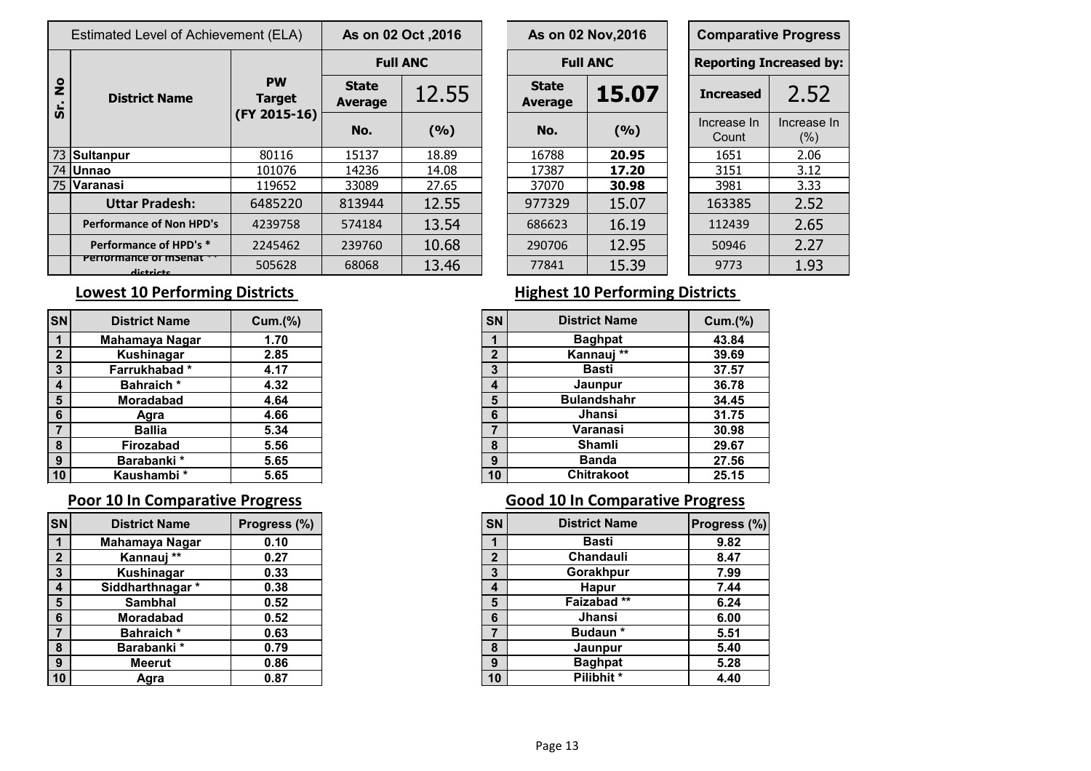|                                 |                                                                  |                                                      |       |                                        |                         |       |                                       | <b>Comparative Progre</b>  |                     |
|---------------------------------|------------------------------------------------------------------|------------------------------------------------------|-------|----------------------------------------|-------------------------|-------|---------------------------------------|----------------------------|---------------------|
|                                 |                                                                  |                                                      |       |                                        |                         |       |                                       | <b>Reporting Increased</b> |                     |
| <b>District Name</b>            | <b>PW</b><br><b>Target</b>                                       | <b>State</b><br><b>Average</b>                       | 12.55 |                                        | <b>State</b><br>Average | 15.07 |                                       | <b>Increased</b>           | 2.57                |
|                                 |                                                                  | No.                                                  | (9/6) |                                        | No.                     | (9/0) |                                       | Increase In<br>Count       | Increase<br>$(\% )$ |
|                                 | 80116                                                            | 15137                                                | 18.89 |                                        | 16788                   | 20.95 |                                       | 1651                       | 2.06                |
|                                 | 101076                                                           | 14236                                                | 14.08 |                                        | 17387                   | 17.20 |                                       | 3151                       | 3.12                |
|                                 | 119652                                                           | 33089                                                | 27.65 |                                        | 37070                   | 30.98 |                                       | 3981                       | 3.33                |
| <b>Uttar Pradesh:</b>           | 6485220                                                          | 813944                                               | 12.55 |                                        | 977329                  | 15.07 |                                       | 163385                     | 2.52                |
| <b>Performance of Non HPD's</b> | 4239758                                                          | 574184                                               | 13.54 |                                        | 686623                  | 16.19 |                                       | 112439                     | 2.65                |
| Performance of HPD's *          | 2245462                                                          | 239760                                               | 10.68 |                                        | 290706                  | 12.95 |                                       | 50946                      | 2.27                |
| dictricts                       | 505628                                                           | 68068                                                | 13.46 |                                        | 77841                   | 15.39 |                                       | 9773                       | 1.93                |
|                                 | 73 Sultanpur<br>74 Unnao<br>75 Varanasi<br>Performance of msenat | Estimated Level of Achievement (ELA)<br>(FY 2015-16) |       | As on 02 Oct , 2016<br><b>Full ANC</b> |                         |       | As on 02 Nov, 2016<br><b>Full ANC</b> |                            |                     |

|                                             | As on 02 Oct , 2016 |                                | As on 02 Nov, 2016 | <b>Comparative Progress</b>    |                     |
|---------------------------------------------|---------------------|--------------------------------|--------------------|--------------------------------|---------------------|
|                                             | <b>Full ANC</b>     |                                | <b>Full ANC</b>    | <b>Reporting Increased by:</b> |                     |
| <b>State</b><br><b><i><u>verage</u></i></b> | 12.55               | <b>State</b><br><b>Average</b> | 15.07              | <b>Increased</b>               | 2.52                |
| No.                                         | (9/6)               | No.                            | (9/6)              | Increase In<br>Count           | Increase In<br>(% ) |
| 15137                                       | 18.89               | 16788                          | 20.95              | 1651                           | 2.06                |
| 14236                                       | 14.08               | 17387                          | 17.20              | 3151                           | 3.12                |
| 33089                                       | 27.65               | 37070                          | 30.98              | 3981                           | 3.33                |
| 313944                                      | 12.55               | 977329                         | 15.07              | 163385                         | 2.52                |
| 574184                                      | 13.54               | 686623                         | 16.19              | 112439                         | 2.65                |
| 239760                                      | 10.68               | 290706                         | 12.95              | 50946                          | 2.27                |
| 68068                                       | 13.46               | 77841                          | 15.39              | 9773                           | 1.93                |

| SN              | <b>District Name</b> | Cum.(% ) | <b>SN</b>      | <b>District Name</b> | Cum.( |
|-----------------|----------------------|----------|----------------|----------------------|-------|
|                 | Mahamaya Nagar       | 1.70     |                | <b>Baghpat</b>       | 43.84 |
| $\overline{2}$  | Kushinagar           | 2.85     | $\overline{2}$ | Kannauj **           | 39.69 |
| $\mathbf{3}$    | Farrukhabad*         | 4.17     | 3              | <b>Basti</b>         | 37.57 |
| $\overline{4}$  | Bahraich*            | 4.32     | 4              | Jaunpur              | 36.78 |
| 5               | <b>Moradabad</b>     | 4.64     | 5              | <b>Bulandshahr</b>   | 34.45 |
| $6\phantom{1}6$ | Agra                 | 4.66     | $6\phantom{1}$ | Jhansi               | 31.75 |
|                 | <b>Ballia</b>        | 5.34     |                | Varanasi             | 30.98 |
| 8               | <b>Firozabad</b>     | 5.56     | 8              | Shamli               | 29.67 |
| 9               | Barabanki *          | 5.65     | 9              | <b>Banda</b>         | 27.56 |
| 10              | Kaushambi *          | 5.65     | 10             | <b>Chitrakoot</b>    | 25.15 |

| SN                      | <b>District Name</b> | Progress (%) | <b>SN</b> | <b>District Name</b> | <b>Progress</b> |
|-------------------------|----------------------|--------------|-----------|----------------------|-----------------|
|                         | Mahamaya Nagar       | 0.10         |           | <b>Basti</b>         |                 |
| $\overline{2}$          | Kannauj **           | 0.27         | C         | Chandauli            |                 |
| $\mathbf{3}$            | Kushinagar           | 0.33         | 3         | Gorakhpur            |                 |
| $\overline{\mathbf{4}}$ | Siddharthnagar *     | 0.38         | 4         | <b>Hapur</b>         |                 |
| $5\phantom{1}$          | <b>Sambhal</b>       | 0.52         | 5         | Faizabad **          |                 |
| $6\phantom{1}6$         | <b>Moradabad</b>     | 0.52         | 6         | Jhansi               |                 |
| 7                       | <b>Bahraich</b> *    | 0.63         |           | <b>Budaun</b> *      |                 |
| 8                       | Barabanki*           | 0.79         | 8         | Jaunpur              |                 |
| 9                       | Meerut               | 0.86         | 9         | <b>Baghpat</b>       |                 |
| 10                      | Agra                 | 0.87         | 10        | Pilibhit*            |                 |

### **Lowest 10 Performing Districts Matter Community Property Property Property Property Property Property Property**

| snl                     | <b>District Name</b> | Cum.(% ) |
|-------------------------|----------------------|----------|
| $\overline{\mathbf{1}}$ | Mahamaya Nagar       | 1.70     |
| $\boldsymbol{2}$        | Kushinagar           | 2.85     |
| $\mathbf{3}$            | Farrukhabad*         | 4.17     |
| $\boldsymbol{4}$        | <b>Bahraich*</b>     | 4.32     |
| 5                       | <b>Moradabad</b>     | 4.64     |
| $6\phantom{1}6$         | Agra                 | 4.66     |
| $\overline{7}$          | <b>Ballia</b>        | 5.34     |
| 8                       | Firozabad            | 5.56     |
| 9                       | Barabanki *          | 5.65     |
| 10 <sub>1</sub>         | Kaushambi *          | 5.65     |

### **Poor 10 In Comparative Progress Collection 20 and 10 In Comparative Progress**

| snl             | <b>District Name</b> | Progress (%) | <b>SN</b>    | <b>District Name</b> | Progress (%) |
|-----------------|----------------------|--------------|--------------|----------------------|--------------|
|                 | Mahamaya Nagar       | 0.10         |              | <b>Basti</b>         | 9.82         |
| $\overline{2}$  | Kannauj **           | 0.27         | $\mathbf{2}$ | Chandauli            | 8.47         |
| $\mathbf{3}$    | Kushinagar           | 0.33         | 3            | Gorakhpur            | 7.99         |
| $\overline{4}$  | Siddharthnagar*      | 0.38         | 4            | <b>Hapur</b>         | 7.44         |
| 5               | <b>Sambhal</b>       | 0.52         | 5            | Faizabad**           | 6.24         |
| $6\phantom{1}6$ | <b>Moradabad</b>     | 0.52         | 6            | Jhansi               | 6.00         |
| $\overline{7}$  | <b>Bahraich</b> *    | 0.63         |              | <b>Budaun</b> *      | 5.51         |
| 8               | Barabanki *          | 0.79         | 8            | Jaunpur              | 5.40         |
| 9               | Meerut               | 0.86         | 9            | <b>Baghpat</b>       | 5.28         |
| 10              | Agra                 | 0.87         | 10           | Pilibhit*            | 4.40         |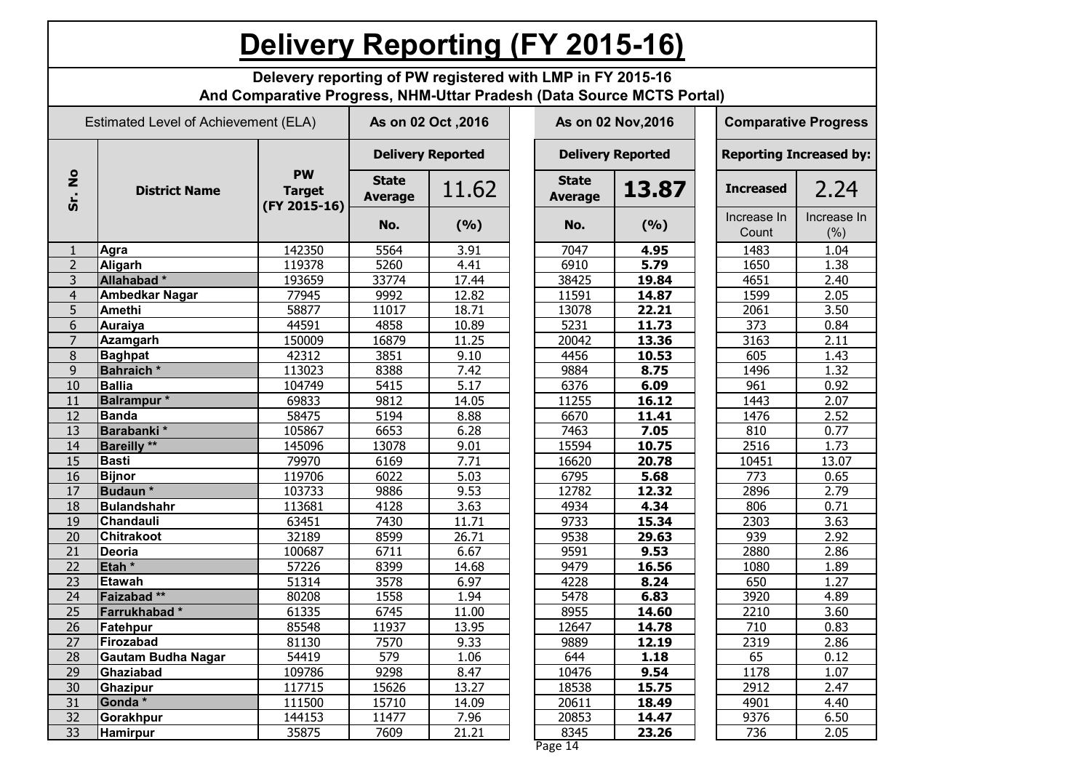|                                                                                                                  | <b>Delivery Reporting (FY 2015-16)</b>                                                                                              |                                            |                                |       |  |                                |       |  |                                |                    |  |
|------------------------------------------------------------------------------------------------------------------|-------------------------------------------------------------------------------------------------------------------------------------|--------------------------------------------|--------------------------------|-------|--|--------------------------------|-------|--|--------------------------------|--------------------|--|
|                                                                                                                  | Delevery reporting of PW registered with LMP in FY 2015-16<br>And Comparative Progress, NHM-Uttar Pradesh (Data Source MCTS Portal) |                                            |                                |       |  |                                |       |  |                                |                    |  |
| Estimated Level of Achievement (ELA)<br>As on 02 Oct , 2016<br>As on 02 Nov, 2016<br><b>Comparative Progress</b> |                                                                                                                                     |                                            |                                |       |  |                                |       |  |                                |                    |  |
|                                                                                                                  |                                                                                                                                     |                                            | <b>Delivery Reported</b>       |       |  | <b>Delivery Reported</b>       |       |  | <b>Reporting Increased by:</b> |                    |  |
| $rac{1}{2}$<br>Sr.                                                                                               | <b>District Name</b>                                                                                                                | <b>PW</b><br><b>Target</b><br>(FY 2015-16) | <b>State</b><br><b>Average</b> | 11.62 |  | <b>State</b><br><b>Average</b> | 13.87 |  | <b>Increased</b>               | 2.24               |  |
|                                                                                                                  |                                                                                                                                     |                                            | No.                            | (9/6) |  | No.                            | (9/6) |  | Increase In<br>Count           | Increase In<br>(%) |  |
| 1                                                                                                                | <b>Agra</b>                                                                                                                         | 142350                                     | 5564                           | 3.91  |  | 7047                           | 4.95  |  | 1483                           | 1.04               |  |
| $\overline{2}$                                                                                                   | Aligarh                                                                                                                             | 119378                                     | 5260                           | 4.41  |  | 6910                           | 5.79  |  | 1650                           | 1.38               |  |
| 3                                                                                                                | Allahabad*                                                                                                                          | 193659                                     | 33774                          | 17.44 |  | 38425                          | 19.84 |  | 4651                           | 2.40               |  |
| $\overline{4}$                                                                                                   | <b>Ambedkar Nagar</b>                                                                                                               | 77945                                      | 9992                           | 12.82 |  | 11591                          | 14.87 |  | 1599                           | 2.05               |  |
| 5                                                                                                                | <b>Amethi</b>                                                                                                                       | 58877                                      | 11017                          | 18.71 |  | 13078                          | 22.21 |  | 2061                           | 3.50               |  |
| 6                                                                                                                | Auraiya                                                                                                                             | 44591                                      | 4858                           | 10.89 |  | 5231                           | 11.73 |  | 373                            | 0.84               |  |
| $\overline{7}$                                                                                                   | <b>Azamgarh</b>                                                                                                                     | 150009                                     | 16879                          | 11.25 |  | 20042                          | 13.36 |  | 3163                           | 2.11               |  |
| 8                                                                                                                | <b>Baghpat</b>                                                                                                                      | 42312                                      | 3851                           | 9.10  |  | 4456                           | 10.53 |  | 605                            | 1.43               |  |
| 9                                                                                                                | <b>Bahraich</b> *                                                                                                                   | 113023                                     | 8388                           | 7.42  |  | 9884                           | 8.75  |  | 1496                           | 1.32               |  |
| 10                                                                                                               | <b>Ballia</b>                                                                                                                       | 104749                                     | 5415                           | 5.17  |  | 6376                           | 6.09  |  | 961                            | 0.92               |  |
| 11                                                                                                               | <b>Balrampur</b> *                                                                                                                  | 69833                                      | 9812                           | 14.05 |  | 11255                          | 16.12 |  | 1443                           | 2.07               |  |
| 12                                                                                                               | <b>Banda</b>                                                                                                                        | 58475                                      | 5194                           | 8.88  |  | 6670                           | 11.41 |  | 1476                           | 2.52               |  |
| 13                                                                                                               | Barabanki*                                                                                                                          | 105867                                     | 6653                           | 6.28  |  | 7463                           | 7.05  |  | 810                            | 0.77               |  |
| 14                                                                                                               | <b>Bareilly</b> **                                                                                                                  | 145096                                     | 13078                          | 9.01  |  | 15594                          | 10.75 |  | 2516                           | 1.73               |  |
| 15                                                                                                               | <b>Basti</b>                                                                                                                        | 79970                                      | 6169                           | 7.71  |  | 16620                          | 20.78 |  | 10451                          | 13.07              |  |
| 16                                                                                                               | <b>Bijnor</b>                                                                                                                       | 119706                                     | 6022                           | 5.03  |  | 6795                           | 5.68  |  | 773                            | 0.65               |  |
| 17                                                                                                               | Budaun*                                                                                                                             | 103733                                     | 9886                           | 9.53  |  | 12782                          | 12.32 |  | 2896                           | 2.79               |  |
| 18                                                                                                               | Bulandshahr                                                                                                                         | 113681                                     | 4128                           | 3.63  |  | 4934                           | 4.34  |  | 806                            | 0.71               |  |
| 19                                                                                                               | Chandauli                                                                                                                           | 63451                                      | 7430                           | 11.71 |  | 9733                           | 15.34 |  | 2303                           | 3.63               |  |
| 20                                                                                                               | <b>Chitrakoot</b>                                                                                                                   | 32189                                      | 8599                           | 26.71 |  | 9538                           | 29.63 |  | 939                            | 2.92               |  |
| 21                                                                                                               | Deoria                                                                                                                              | 100687                                     | 6711                           | 6.67  |  | 9591                           | 9.53  |  | 2880                           | 2.86               |  |
| $\overline{22}$                                                                                                  | Etah <sup>*</sup>                                                                                                                   | 57226                                      | 8399                           | 14.68 |  | 9479                           | 16.56 |  | 1080                           | 1.89               |  |
| $\overline{23}$                                                                                                  | Etawah                                                                                                                              | 51314                                      | 3578                           | 6.97  |  | 4228                           | 8.24  |  | 650                            | 1.27               |  |
| 24                                                                                                               | Faizabad**                                                                                                                          | 80208                                      | 1558                           | 1.94  |  | 5478                           | 6.83  |  | 3920                           | 4.89               |  |
| 25                                                                                                               | Farrukhabad*                                                                                                                        | 61335                                      | 6745                           | 11.00 |  | 8955                           | 14.60 |  | 2210                           | 3.60               |  |
| 26                                                                                                               | Fatehpur                                                                                                                            | 85548                                      | 11937                          | 13.95 |  | 12647                          | 14.78 |  | 710                            | 0.83               |  |
| 27                                                                                                               | Firozabad                                                                                                                           | 81130                                      | 7570                           | 9.33  |  | 9889                           | 12.19 |  | 2319                           | 2.86               |  |
| 28                                                                                                               | Gautam Budha Nagar                                                                                                                  | 54419                                      | 579                            | 1.06  |  | 644                            | 1.18  |  | 65                             | 0.12               |  |
| 29                                                                                                               | Ghaziabad                                                                                                                           | 109786                                     | 9298                           | 8.47  |  | 10476                          | 9.54  |  | 1178                           | 1.07               |  |
| 30                                                                                                               | Ghazipur                                                                                                                            | 117715                                     | 15626                          | 13.27 |  | 18538                          | 15.75 |  | 2912                           | 2.47               |  |
| 31                                                                                                               | Gonda*                                                                                                                              | 111500                                     | 15710                          | 14.09 |  | 20611                          | 18.49 |  | 4901                           | 4.40               |  |
| 32                                                                                                               | Gorakhpur                                                                                                                           | 144153                                     | 11477                          | 7.96  |  | 20853                          | 14.47 |  | 9376                           | 6.50               |  |
| 33                                                                                                               | <b>Hamirpur</b>                                                                                                                     | 35875                                      | 7609                           | 21.21 |  | 8345                           | 23.26 |  | 736                            | 2.05               |  |

Page 14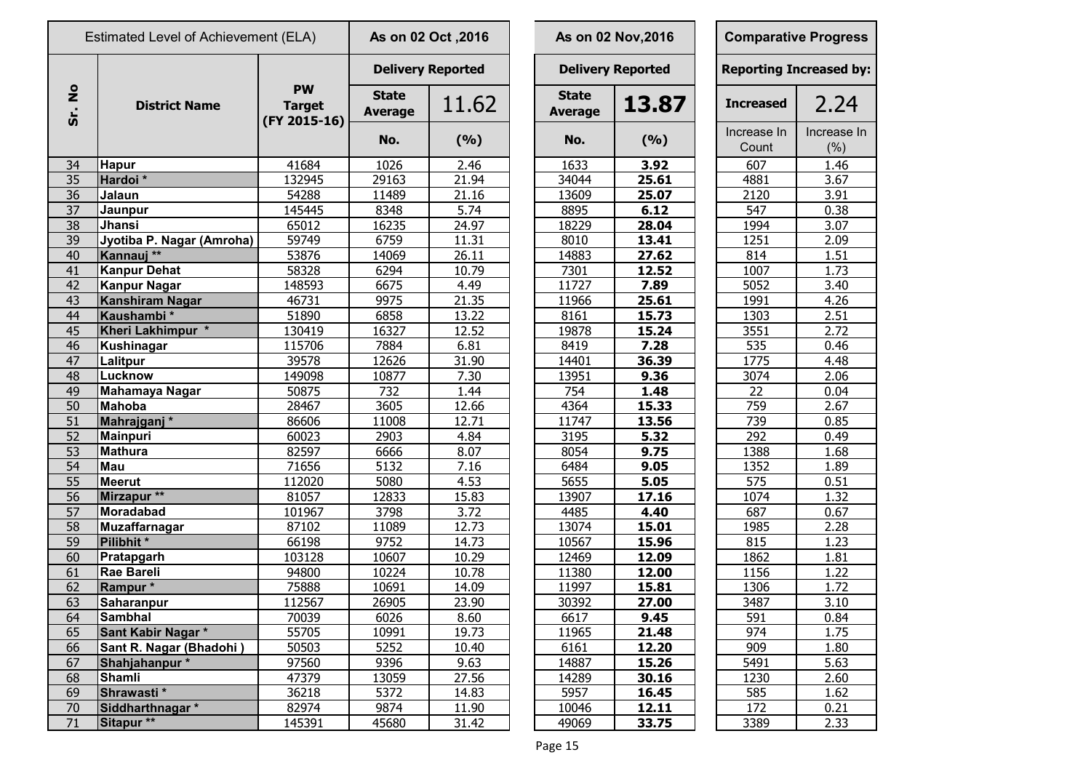|                       | Estimated Level of Achievement (ELA) |                                            |                                | As on 02 Oct , 2016      |                                | As on 02 Nov, 2016       | <b>Comparative Progress</b>    |                     |  |  |
|-----------------------|--------------------------------------|--------------------------------------------|--------------------------------|--------------------------|--------------------------------|--------------------------|--------------------------------|---------------------|--|--|
|                       |                                      |                                            |                                | <b>Delivery Reported</b> |                                | <b>Delivery Reported</b> | <b>Reporting Increased by:</b> |                     |  |  |
| $\bullet$<br>Ž<br>Sr. | <b>District Name</b>                 | <b>PW</b><br><b>Target</b><br>(FY 2015-16) | <b>State</b><br><b>Average</b> | 11.62                    | <b>State</b><br><b>Average</b> | 13.87                    | <b>Increased</b>               | 2.24                |  |  |
|                       |                                      |                                            | No.                            | (%)                      | No.                            | (%)                      | Increase In<br>Count           | Increase In<br>(% ) |  |  |
| 34                    | <b>Hapur</b>                         | 41684                                      | 1026                           | 2.46                     | 1633                           | 3.92                     | 607                            | 1.46                |  |  |
| 35                    | Hardoi*                              | 132945                                     | 29163                          | 21.94                    | 34044                          | 25.61                    | 4881                           | 3.67                |  |  |
| 36                    | Jalaun                               | 54288                                      | 11489                          | 21.16                    | 13609                          | 25.07                    | 2120                           | 3.91                |  |  |
| 37                    | Jaunpur                              | 145445                                     | 8348                           | 5.74                     | 8895                           | 6.12                     | 547                            | 0.38                |  |  |
| $\overline{38}$       | Jhansi                               | 65012                                      | 16235                          | 24.97                    | 18229                          | 28.04                    | 1994                           | 3.07                |  |  |
| 39                    | Jyotiba P. Nagar (Amroha)            | 59749                                      | 6759                           | 11.31                    | 8010                           | 13.41                    | 1251                           | 2.09                |  |  |
| 40                    | Kannauj <sup>**</sup>                | 53876                                      | 14069                          | 26.11                    | 14883                          | 27.62                    | 814                            | 1.51                |  |  |
| 41                    | <b>Kanpur Dehat</b>                  | 58328                                      | 6294                           | 10.79                    | 7301                           | 12.52                    | 1007                           | 1.73                |  |  |
| 42                    | <b>Kanpur Nagar</b>                  | 148593                                     | 6675                           | 4.49                     | 11727                          | 7.89                     | 5052                           | 3.40                |  |  |
| 43                    | Kanshiram Nagar                      | 46731                                      | 9975                           | 21.35                    | 11966                          | 25.61                    | 1991                           | 4.26                |  |  |
| 44                    | Kaushambi*                           | 51890                                      | 6858                           | 13.22                    | 8161                           | 15.73                    | 1303                           | 2.51                |  |  |
| 45                    | Kheri Lakhimpur *                    | 130419                                     | 16327                          | 12.52                    | 19878                          | 15.24                    | 3551                           | 2.72                |  |  |
| 46                    | <b>Kushinagar</b>                    | 115706                                     | 7884                           | 6.81                     | 8419                           | 7.28                     | 535                            | 0.46                |  |  |
| 47                    | Lalitpur                             | 39578                                      | 12626                          | 31.90                    | 14401                          | 36.39                    | 1775                           | 4.48                |  |  |
| 48                    | Lucknow                              | 149098                                     | 10877                          | 7.30                     | 13951                          | 9.36                     | 3074                           | 2.06                |  |  |
| 49                    | Mahamaya Nagar                       | 50875                                      | 732                            | 1.44                     | 754                            | 1.48                     | 22                             | 0.04                |  |  |
| 50                    | Mahoba                               | 28467                                      | 3605                           | 12.66                    | 4364                           | 15.33                    | 759                            | 2.67                |  |  |
| 51                    | Mahrajganj <sup>*</sup>              | 86606                                      | 11008                          | 12.71                    | 11747                          | 13.56                    | 739                            | 0.85                |  |  |
| 52                    | Mainpuri                             | 60023                                      | 2903                           | 4.84                     | 3195                           | 5.32                     | 292                            | 0.49                |  |  |
| 53                    | Mathura                              | 82597                                      | 6666                           | 8.07                     | 8054                           | 9.75                     | 1388                           | 1.68                |  |  |
| 54                    | Mau                                  | 71656                                      | 5132                           | 7.16                     | 6484                           | 9.05                     | 1352                           | 1.89                |  |  |
| 55                    | <b>Meerut</b>                        | 112020                                     | 5080                           | 4.53                     | 5655                           | 5.05                     | 575                            | 0.51                |  |  |
| 56                    | Mirzapur <sup>**</sup>               | 81057                                      | 12833                          | 15.83                    | 13907                          | 17.16                    | 1074                           | 1.32                |  |  |
| 57                    | Moradabad                            | 101967                                     | 3798                           | 3.72                     | 4485                           | 4.40                     | 687                            | 0.67                |  |  |
| 58                    | <b>Muzaffarnagar</b>                 | 87102                                      | 11089                          | 12.73                    | 13074                          | 15.01                    | 1985                           | 2.28                |  |  |
| 59                    | Pilibhit*                            | 66198                                      | 9752                           | 14.73                    | 10567                          | 15.96                    | 815                            | 1.23                |  |  |
| 60                    | Pratapgarh                           | 103128                                     | 10607                          | 10.29                    | 12469                          | 12.09                    | 1862                           | 1.81                |  |  |
| 61                    | Rae Bareli                           | 94800                                      | 10224                          | 10.78                    | 11380                          | 12.00                    | 1156                           | 1.22                |  |  |
| 62                    | Rampur *                             | 75888                                      | 10691                          | 14.09                    | 11997                          | 15.81                    | 1306                           | 1.72                |  |  |
| 63                    | <b>Saharanpur</b>                    | 112567                                     | 26905                          | 23.90                    | 30392                          | 27.00                    | 3487                           | 3.10                |  |  |
| 64                    | <b>Sambhal</b>                       | 70039                                      | 6026                           | 8.60                     | 6617                           | 9.45                     | 591                            | 0.84                |  |  |
| 65                    | Sant Kabir Nagar *                   | 55705                                      | 10991                          | 19.73                    | 11965                          | 21.48                    | 974                            | 1.75                |  |  |
| 66                    | Sant R. Nagar (Bhadohi)              | 50503                                      | 5252                           | 10.40                    | 6161                           | 12.20                    | 909                            | 1.80                |  |  |
| 67                    | Shahjahanpur*                        | 97560                                      | 9396                           | 9.63                     | 14887                          | 15.26                    | 5491                           | 5.63                |  |  |
| 68                    | <b>Shamli</b>                        | 47379                                      | 13059                          | 27.56                    | 14289                          | 30.16                    | 1230                           | 2.60                |  |  |
| 69                    | Shrawasti*                           | 36218                                      | 5372                           | 14.83                    | 5957                           | 16.45                    | 585                            | 1.62                |  |  |
| 70                    | Siddharthnagar *                     | 82974                                      | 9874                           | 11.90                    | 10046                          | 12.11                    | 172                            | 0.21                |  |  |
| 71                    | Sitapur <sup>**</sup>                | 145391                                     | 45680                          | 31.42                    | 49069                          | 33.75                    | 3389                           | 2.33                |  |  |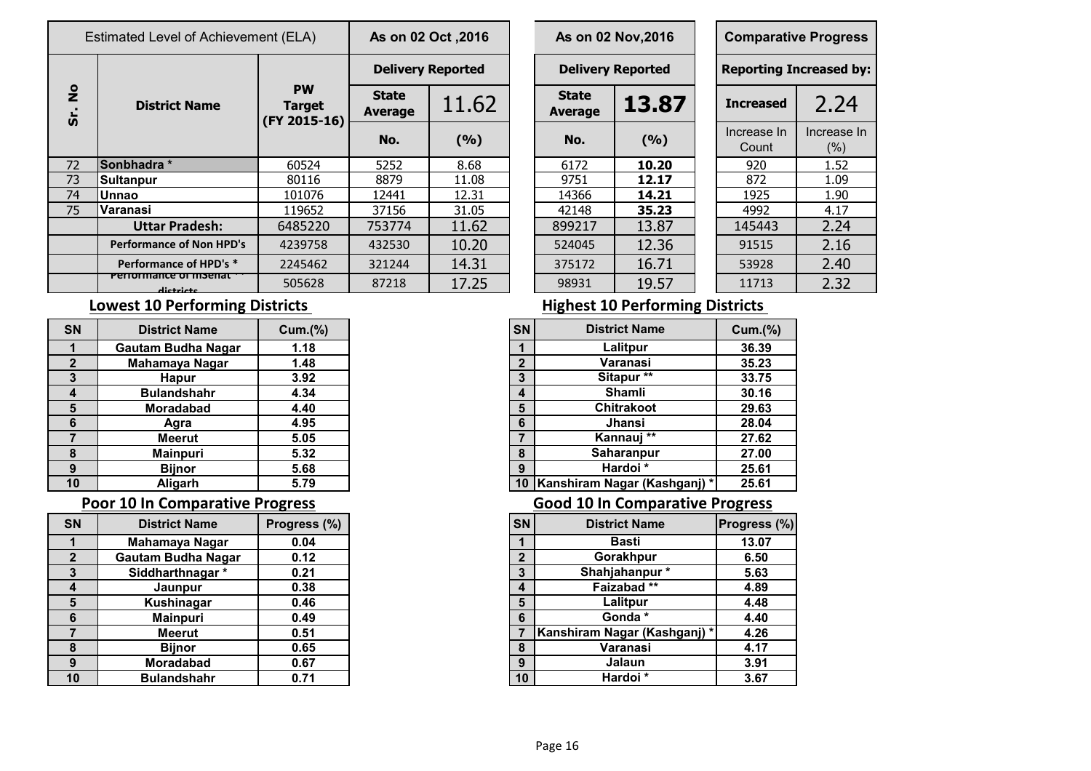| Estimated Level of Achievement (ELA) |                                                                                     |                                            | As on 02 Oct , 2016            |       |  |                                | As on 02 Nov, 2016       |  | <b>Comparative Progress</b>   |                     |  |
|--------------------------------------|-------------------------------------------------------------------------------------|--------------------------------------------|--------------------------------|-------|--|--------------------------------|--------------------------|--|-------------------------------|---------------------|--|
|                                      | <b>District Name</b>                                                                |                                            | <b>Delivery Reported</b>       |       |  |                                | <b>Delivery Reported</b> |  | <b>Reporting Increased by</b> |                     |  |
| $\frac{1}{2}$<br>Sr.                 |                                                                                     | <b>PW</b><br><b>Target</b><br>(FY 2015-16) | <b>State</b><br><b>Average</b> | 11.62 |  | <b>State</b><br><b>Average</b> | 13.87                    |  | <b>Increased</b>              | 2.24                |  |
|                                      |                                                                                     |                                            | No.                            | (9/6) |  | No.                            | (9/6)                    |  | Increase In<br>Count          | Increase In<br>(% ) |  |
| 72                                   | Sonbhadra *                                                                         | 60524                                      | 5252                           | 8.68  |  | 6172                           | 10.20                    |  | 920                           | 1.52                |  |
| 73                                   | <b>Sultanpur</b>                                                                    | 80116                                      | 8879                           | 11.08 |  | 9751                           | 12.17                    |  | 872                           | 1.09                |  |
| 74                                   | <b>Unnao</b>                                                                        | 101076                                     | 12441                          | 12.31 |  | 14366                          | 14.21                    |  | 1925                          | 1.90                |  |
| 75                                   | lVaranasi                                                                           | 119652                                     | 37156                          | 31.05 |  | 42148                          | 35.23                    |  | 4992                          | 4.17                |  |
| <b>Uttar Pradesh:</b>                |                                                                                     | 6485220                                    | 753774                         | 11.62 |  | 899217                         | 13.87                    |  | 145443                        | 2.24                |  |
|                                      | <b>Performance of Non HPD's</b>                                                     | 4239758                                    | 432530                         | 10.20 |  | 524045                         | 12.36                    |  | 91515                         | 2.16                |  |
|                                      | Performance of HPD's *<br>2245462<br>Pendingnce of Institute<br>505628<br>dictricts |                                            | 321244                         | 14.31 |  | 375172                         | 16.71                    |  | 53928                         | 2.40                |  |
|                                      |                                                                                     |                                            | 87218                          | 17.25 |  | 98931                          | 19.57                    |  | 11713                         | 2.32                |  |

|                       | s on 02 Oct , 2016 |  |                                         | As on 02 Nov, 2016 |  | <b>Comparative Progres</b>   |                  |  |  |  |
|-----------------------|--------------------|--|-----------------------------------------|--------------------|--|------------------------------|------------------|--|--|--|
|                       | Delivery Reported  |  | <b>Delivery Reported</b>                |                    |  | <b>Reporting Increased b</b> |                  |  |  |  |
| <b>itate</b><br>erage | 11.62              |  | <b>State</b><br>13.87<br><b>Average</b> |                    |  | <b>Increased</b>             | 2.24             |  |  |  |
| No.                   | (9/6)              |  | No.                                     | (9/6)              |  | Increase In<br>Count         | Increase<br>(% ) |  |  |  |
| $\frac{1}{2}$         | 8.68               |  | 6172                                    | 10.20              |  | 920                          | 1.52             |  |  |  |
| 3879                  | 11.08              |  | 9751                                    | 12.17              |  | 872                          | 1.09             |  |  |  |
| 2441                  | 12.31              |  | 14366                                   | 14.21              |  | 1925                         | 1.90             |  |  |  |
| 7156                  | 31.05              |  | 42148                                   | 35.23              |  | 4992                         | 4.17             |  |  |  |
| 3774                  | 11.62              |  | 899217                                  | 13.87              |  | 145443                       | 2.24             |  |  |  |
| 32530                 | 10.20              |  | 524045                                  | 12.36              |  | 91515                        | 2.16             |  |  |  |
| 21244                 | 14.31              |  | 375172                                  | 16.71              |  | 53928                        | 2.40             |  |  |  |
| 7218                  | 17.25              |  | 98931                                   | 19.57              |  | 11713                        | 2.32             |  |  |  |

| <b>Comparative Progress</b> |                                |
|-----------------------------|--------------------------------|
|                             | <b>Reporting Increased by:</b> |
| <b>Increased</b>            | 2.24                           |
| Increase In                 | Increase In                    |
| Count                       | (%)                            |
| 920                         | 1.52                           |
| 872                         | 1.09                           |
| 1925                        | 1.90                           |
| 4992                        | 4.17                           |
| 145443                      | 2.24                           |
| 91515                       | 2.16                           |
| 53928                       | 2.40                           |
| 11713                       | 2.32                           |

| <b>SN</b>    | <b>District Name</b>        | Cum.(%) |
|--------------|-----------------------------|---------|
| 1            | Lalitpur                    | 36.39   |
| $\mathbf{2}$ | Varanasi                    | 35.23   |
| 3            | Sitapur**                   | 33.75   |
| 4            | <b>Shamli</b>               | 30.16   |
| 5            | <b>Chitrakoot</b>           | 29.63   |
| 6            | <b>Jhansi</b>               | 28.04   |
| 7            | $***$<br>Kannauj            | 27.62   |
| 8            | Saharanpur                  | 27.00   |
| 9            | Hardoi *                    | 25.61   |
| 10           | Kanshiram Nagar (Kashganj)* | 25.61   |

| <b>SN</b>       | <b>District Name</b>      | Progress (%) | SN             | <b>District Name</b>         | Progress (%) |
|-----------------|---------------------------|--------------|----------------|------------------------------|--------------|
|                 | Mahamaya Nagar            | 0.04         |                | <b>Basti</b>                 | 13.07        |
| $\overline{2}$  | <b>Gautam Budha Nagar</b> | 0.12         | $\overline{2}$ | Gorakhpur                    | 6.50         |
| 3               | Siddharthnagar*           | 0.21         | 3              | Shahjahanpur*                | 5.63         |
| $\overline{4}$  | Jaunpur                   | 0.38         | 4              | Faizabad**                   | 4.89         |
| $5\phantom{1}$  | Kushinagar                | 0.46         | 5              | Lalitpur                     | 4.48         |
| $6\phantom{1}6$ | <b>Mainpuri</b>           | 0.49         | 6              | Gonda*                       | 4.40         |
| $\overline{7}$  | Meerut                    | 0.51         |                | Kanshiram Nagar (Kashganj) * | 4.26         |
| 8               | <b>Bijnor</b>             | 0.65         | 8              | Varanasi                     | 4.17         |
| 9               | <b>Moradabad</b>          | 0.67         | 9              | Jalaun                       | 3.91         |
| 10              | <b>Bulandshahr</b>        | 0.71         | 10             | Hardoi *                     | 3.67         |

### **Lowest 10 Performing Districts All and Security Properties All and All and All and All and All and All and All and All and All and All and All and All and All and All and All and All and All and All and All and All and**

| <b>SN</b>    | <b>District Name</b>      | <b>Cum.(%)</b> | <b>SN</b>    | <b>District Name</b>        | <b>Cum.(%)</b> |
|--------------|---------------------------|----------------|--------------|-----------------------------|----------------|
|              | <b>Gautam Budha Nagar</b> | 1.18           |              | Lalitpur                    | 36.39          |
| $\mathbf{2}$ | Mahamaya Nagar            | 1.48           | $\mathbf{2}$ | Varanasi                    | 35.23          |
| 3            | <b>Hapur</b>              | 3.92           | 3            | Sitapur**                   | 33.75          |
| 4            | <b>Bulandshahr</b>        | 4.34           | 4            | <b>Shamli</b>               | 30.16          |
| 5            | <b>Moradabad</b>          | 4.40           | 5            | <b>Chitrakoot</b>           | 29.63          |
| 6            | Agra                      | 4.95           | 6            | Jhansi                      | 28.04          |
|              | <b>Meerut</b>             | 5.05           |              | Kannauj **                  | 27.62          |
| 8            | <b>Mainpuri</b>           | 5.32           | 8            | Saharanpur                  | 27.00          |
| 9            | <b>Bijnor</b>             | 5.68           | 9            | Hardoi *                    | 25.61          |
| 10           | Aligarh                   | 5.79           | 10           | Kanshiram Nagar (Kashganj)* | 25.61          |

### **Poor 10 In Comparative Progress Consumerse Except Apple 20 In Comparative Progress**

| <b>SN</b>    | <b>District Name</b>      | Progress (%) |
|--------------|---------------------------|--------------|
|              | Mahamaya Nagar            | 0.04         |
| $\mathbf{2}$ | <b>Gautam Budha Nagar</b> | 0.12         |
| 3            | Siddharthnagar *          | 0.21         |
| 4            | Jaunpur                   | 0.38         |
| 5            | Kushinagar                | 0.46         |
| 6            | <b>Mainpuri</b>           | 0.49         |
|              | <b>Meerut</b>             | 0.51         |
| 8            | <b>Bijnor</b>             | 0.65         |
| 9            | <b>Moradabad</b>          | 0.67         |
| 10           | <b>Bulandshahr</b>        | 0.71         |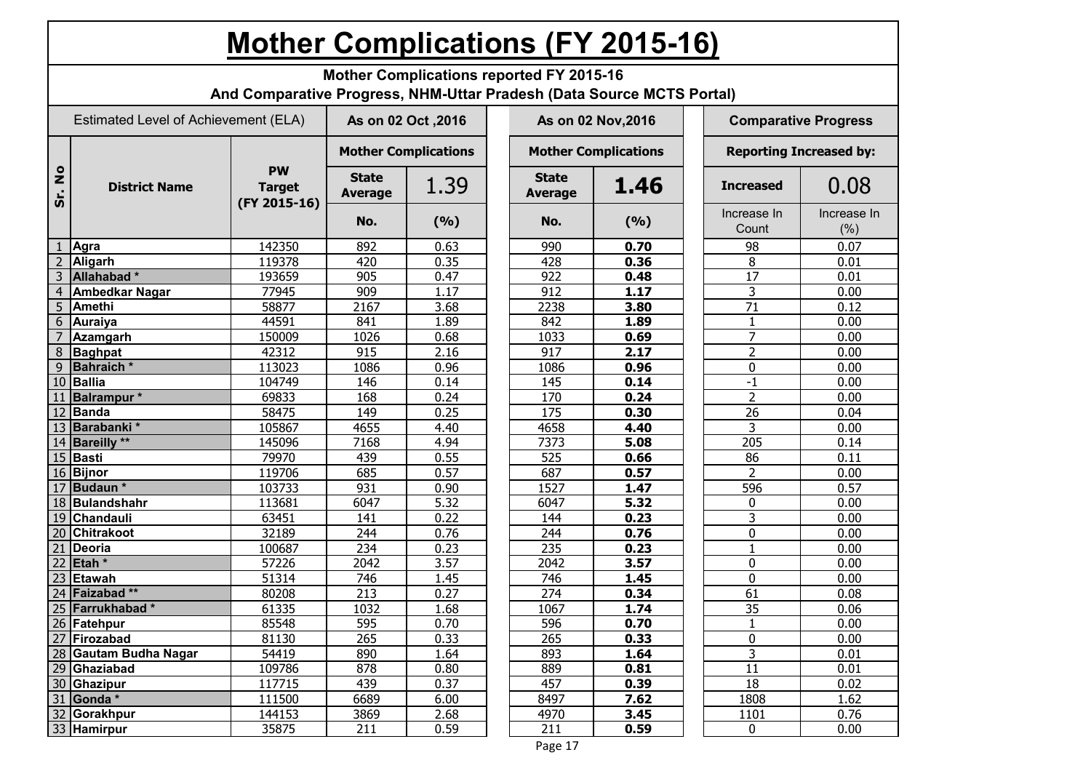## **Mother Complications (FY 2015-16)**

**Mother Complications reported FY 2015-16**

**And Comparative Progress, NHM-Uttar Pradesh (Data Source MCTS Portal)**

|                      | Estimated Level of Achievement (ELA) |                                            | As on 02 Oct , 2016            |                             |  |                                | As on 02 Nov, 2016          | <b>Comparative Progress</b>    |                      |                     |  |  |
|----------------------|--------------------------------------|--------------------------------------------|--------------------------------|-----------------------------|--|--------------------------------|-----------------------------|--------------------------------|----------------------|---------------------|--|--|
|                      |                                      |                                            |                                | <b>Mother Complications</b> |  |                                | <b>Mother Complications</b> | <b>Reporting Increased by:</b> |                      |                     |  |  |
| $\frac{1}{2}$<br>ທ່ີ | <b>District Name</b>                 | <b>PW</b><br><b>Target</b><br>(FY 2015-16) | <b>State</b><br><b>Average</b> | 1.39                        |  | <b>State</b><br><b>Average</b> | 1.46                        |                                | <b>Increased</b>     | 0.08                |  |  |
|                      |                                      |                                            | No.                            | (9/6)                       |  | No.                            | (9/6)                       |                                | Increase In<br>Count | Increase In<br>(% ) |  |  |
|                      | Agra                                 | 142350                                     | 892                            | 0.63                        |  | 990                            | 0.70                        |                                | 98                   | 0.07                |  |  |
| $\overline{2}$       | Aligarh                              | 119378                                     | 420                            | 0.35                        |  | 428                            | 0.36                        |                                | 8                    | 0.01                |  |  |
| 3                    | Allahabad*                           | 193659                                     | 905                            | 0.47                        |  | 922                            | 0.48                        |                                | $\overline{17}$      | 0.01                |  |  |
| $\overline{4}$       | <b>Ambedkar Nagar</b>                | 77945                                      | 909                            | 1.17                        |  | 912                            | 1.17                        |                                | $\overline{3}$       | 0.00                |  |  |
| 5                    | <b>Amethi</b>                        | 58877                                      | 2167                           | 3.68                        |  | 2238                           | 3.80                        |                                | $\overline{71}$      | 0.12                |  |  |
| 6                    | <b>Auraiya</b>                       | 44591                                      | 841                            | 1.89                        |  | 842                            | 1.89                        |                                | $\mathbf{1}$         | 0.00                |  |  |
| 7                    | <b>Azamgarh</b>                      | 150009                                     | 1026                           | 0.68                        |  | 1033                           | 0.69                        |                                | $\overline{7}$       | 0.00                |  |  |
| 8                    | <b>Baghpat</b>                       | 42312                                      | 915                            | 2.16                        |  | $\overline{917}$               | 2.17                        |                                | $\overline{2}$       | 0.00                |  |  |
| 9                    | Bahraich <sup>*</sup>                | 113023                                     | 1086                           | 0.96                        |  | 1086                           | 0.96                        |                                | $\mathbf 0$          | 0.00                |  |  |
| 10                   | <b>Ballia</b>                        | 104749                                     | 146                            | 0.14                        |  | 145                            | 0.14                        |                                | $-1$                 | 0.00                |  |  |
| 11                   | <b>Balrampur</b> *                   | 69833                                      | 168                            | 0.24                        |  | 170                            | 0.24                        |                                | $\overline{2}$       | 0.00                |  |  |
| 12                   | <b>Banda</b>                         | 58475                                      | 149                            | 0.25                        |  | $\frac{175}{175}$              | 0.30                        |                                | $\overline{26}$      | 0.04                |  |  |
| 13                   | Barabanki *                          | 105867                                     | 4655                           | 4.40                        |  | 4658                           | 4.40                        |                                | $\overline{3}$       | 0.00                |  |  |
| 14                   | <b>Bareilly</b> **                   | 145096                                     | 7168                           | 4.94                        |  | 7373                           | 5.08                        |                                | $\overline{205}$     | $0.\overline{14}$   |  |  |
| 15                   | Basti                                | 79970                                      | 439                            | 0.55                        |  | 525                            | 0.66                        |                                | 86                   | $\overline{0.11}$   |  |  |
| 16                   | <b>Bijnor</b>                        | 119706                                     | 685                            | 0.57                        |  | 687                            | 0.57                        |                                | $\overline{2}$       | 0.00                |  |  |
| 17                   | <b>Budaun</b> *                      | 103733                                     | 931                            | 0.90                        |  | 1527                           | 1.47                        |                                | 596                  | 0.57                |  |  |
| 18                   | Bulandshahr                          | 113681                                     | 6047                           | 5.32                        |  | 6047                           | 5.32                        |                                | 0                    | 0.00                |  |  |
| 19                   | Chandauli                            | 63451                                      | 141                            | 0.22                        |  | 144                            | 0.23                        |                                | 3                    | 0.00                |  |  |
| 20                   | <b>Chitrakoot</b>                    | 32189                                      | 244                            | 0.76                        |  | 244                            | 0.76                        |                                | 0                    | 0.00                |  |  |
| 21                   | <b>Deoria</b>                        | 100687                                     | 234                            | 0.23                        |  | 235                            | 0.23                        |                                | $\mathbf{1}$         | 0.00                |  |  |
| 22                   | Etah <sup>*</sup>                    | 57226                                      | 2042                           | 3.57                        |  | 2042                           | 3.57                        |                                | 0                    | 0.00                |  |  |
| 23                   | <b>Etawah</b>                        | 51314                                      | 746                            | 1.45                        |  | $\overline{746}$               | 1.45                        |                                | $\overline{0}$       | 0.00                |  |  |
|                      | 24 Faizabad**                        | 80208                                      | 213                            | 0.27                        |  | 274                            | 0.34                        |                                | 61                   | 0.08                |  |  |
| 25                   | Farrukhabad*                         | 61335                                      | 1032                           | 1.68                        |  | 1067                           | 1.74                        |                                | $\overline{35}$      | 0.06                |  |  |
| 26                   | Fatehpur                             | 85548                                      | 595                            | 0.70                        |  | 596                            | 0.70                        |                                | $\mathbf{1}$         | 0.00                |  |  |
| 27                   | Firozabad                            | 81130                                      | 265                            | 0.33                        |  | 265                            | 0.33                        |                                | $\mathbf 0$          | 0.00                |  |  |
| 28                   | <b>Gautam Budha Nagar</b>            | 54419                                      | 890                            | 1.64                        |  | 893                            | 1.64                        |                                | $\overline{3}$       | 0.01                |  |  |
| 29                   | Ghaziabad                            | 109786                                     | 878                            | 0.80                        |  | 889                            | 0.81                        |                                | $\overline{11}$      | 0.01                |  |  |
| 30                   | Ghazipur                             | 117715                                     | 439                            | 0.37                        |  | 457                            | 0.39                        |                                | 18                   | 0.02                |  |  |
| 31                   | Gonda*                               | 111500                                     | 6689                           | 6.00                        |  | 8497                           | 7.62                        |                                | 1808                 | 1.62                |  |  |
| 32                   | Gorakhpur                            | 144153                                     | 3869                           | 2.68                        |  | 4970                           | 3.45                        |                                | 1101                 | 0.76                |  |  |
|                      | 33 Hamirpur                          | 35875                                      | 211                            | 0.59                        |  | $\overline{211}$               | 0.59                        |                                | 0                    | 0.00                |  |  |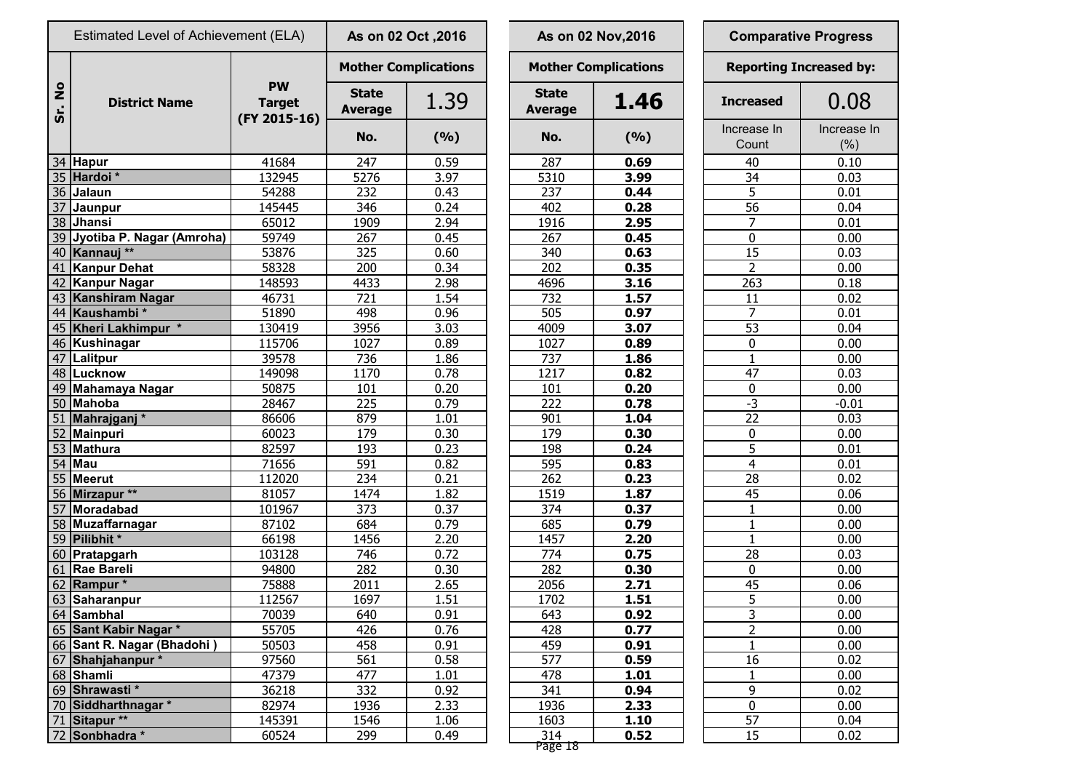|                     | Estimated Level of Achievement (ELA) |                                            | As on 02 Oct , 2016            |       |  |                                | As on 02 Nov, 2016          | <b>Comparative Progress</b> |  |                               |
|---------------------|--------------------------------------|--------------------------------------------|--------------------------------|-------|--|--------------------------------|-----------------------------|-----------------------------|--|-------------------------------|
|                     |                                      |                                            | <b>Mother Complications</b>    |       |  |                                | <b>Mother Complications</b> |                             |  | <b>Reporting Increased by</b> |
| $\circ$<br>Ž<br>Sr. | <b>District Name</b>                 | <b>PW</b><br><b>Target</b><br>(FY 2015-16) | <b>State</b><br><b>Average</b> | 1.39  |  | <b>State</b><br><b>Average</b> | 1.46                        | <b>Increased</b>            |  | 0.08                          |
|                     |                                      |                                            | No.                            | (9/6) |  | No.                            | (9/6)                       | Increase In<br>Count        |  | Increase I<br>(% )            |
|                     | 34 Hapur                             | 41684                                      | 247                            | 0.59  |  | 287                            | 0.69                        | 40                          |  | 0.10                          |
|                     | 35 Hardoi*                           | 132945                                     | 5276                           | 3.97  |  | 5310                           | 3.99                        | 34                          |  | 0.03                          |
|                     | 36 Jalaun                            | 54288                                      | 232                            | 0.43  |  | 237                            | 0.44                        | 5                           |  | 0.01                          |
|                     | 37 Jaunpur                           | 145445                                     | 346                            | 0.24  |  | 402                            | 0.28                        | 56                          |  | 0.04                          |
|                     | 38 Jhansi                            | 65012                                      | 1909                           | 2.94  |  | 1916                           | 2.95                        | $\overline{7}$              |  | 0.01                          |
|                     | 39 Jyotiba P. Nagar (Amroha)         | 59749                                      | 267                            | 0.45  |  | 267                            | 0.45                        | $\mathbf 0$                 |  | 0.00                          |
|                     | 40 Kannauj **                        | 53876                                      | 325                            | 0.60  |  | 340                            | 0.63                        | 15                          |  | 0.03                          |
|                     | 41 Kanpur Dehat                      | 58328                                      | 200                            | 0.34  |  | 202                            | 0.35                        | 2                           |  | 0.00                          |
|                     | 42 Kanpur Nagar                      | 148593                                     | 4433                           | 2.98  |  | 4696                           | 3.16                        | 263                         |  | 0.18                          |
|                     | 43 Kanshiram Nagar                   | 46731                                      | 721                            | 1.54  |  | $\overline{732}$               | 1.57                        | 11                          |  | 0.02                          |
|                     | 44 Kaushambi*                        | 51890                                      | 498                            | 0.96  |  | 505                            | 0.97                        | $\overline{7}$              |  | 0.01                          |
|                     | 45 Kheri Lakhimpur *                 | 130419                                     | 3956                           | 3.03  |  | 4009                           | 3.07                        | $\overline{53}$             |  | 0.04                          |
|                     | 46 Kushinagar                        | 115706                                     | 1027                           | 0.89  |  | 1027                           | 0.89                        | $\mathbf 0$                 |  | 0.00                          |
|                     | 47   Lalitpur                        | 39578                                      | 736                            | 1.86  |  | 737                            | 1.86                        | $\mathbf{1}$                |  | 0.00                          |
|                     | 48 Lucknow                           | 149098                                     | 1170                           | 0.78  |  | 1217                           | 0.82                        | 47                          |  | 0.03                          |
|                     | 49 Mahamaya Nagar                    | 50875                                      | 101                            | 0.20  |  | 101                            | 0.20                        | 0                           |  | 0.00                          |
|                     | 50 Mahoba                            | 28467                                      | 225                            | 0.79  |  | 222                            | 0.78                        | $-3$                        |  | $-0.01$                       |
|                     | 51 Mahrajganj *                      | 86606                                      | 879                            | 1.01  |  | 901                            | 1.04                        | 22                          |  | 0.03                          |
|                     | 52 Mainpuri                          | 60023                                      | 179                            | 0.30  |  | 179                            | 0.30                        | 0                           |  | 0.00                          |
|                     | 53 Mathura                           | 82597                                      | 193                            | 0.23  |  | 198                            | 0.24                        | 5                           |  | 0.01                          |
|                     | <b>54 Mau</b>                        | 71656                                      | 591                            | 0.82  |  | 595                            | 0.83                        | $\overline{4}$              |  | 0.01                          |
|                     | 55 Meerut                            | 112020                                     | 234                            | 0.21  |  | 262                            | 0.23                        | 28                          |  | 0.02                          |
|                     | 56 Mirzapur **                       | 81057                                      | 1474                           | 1.82  |  | 1519                           | 1.87                        | 45                          |  | 0.06                          |
|                     | 57 Moradabad                         | 101967                                     | 373                            | 0.37  |  | 374                            | 0.37                        | 1                           |  | 0.00                          |
|                     | 58 Muzaffarnagar                     | 87102                                      | 684                            | 0.79  |  | 685                            | 0.79                        | 1                           |  | 0.00                          |
|                     | 59 Pilibhit *                        | 66198                                      | 1456                           | 2.20  |  | 1457                           | 2.20                        | 1                           |  | 0.00                          |
|                     | 60 Pratapgarh                        | 103128                                     | 746                            | 0.72  |  | 774                            | 0.75                        | 28                          |  | 0.03                          |
|                     | 61 Rae Bareli                        | 94800                                      | 282                            | 0.30  |  | 282                            | 0.30                        | $\pmb{0}$                   |  | 0.00                          |
|                     | 62 Rampur *                          | 75888                                      | 2011                           | 2.65  |  | 2056                           | 2.71                        | $\overline{45}$             |  | 0.06                          |
|                     | 63 Saharanpur                        | 112567                                     | 1697                           | 1.51  |  | 1702                           | 1.51                        | 5                           |  | 0.00                          |
|                     | 64 Sambhal                           | 70039                                      | 640                            | 0.91  |  | 643                            | 0.92                        | 3                           |  | 0.00                          |
|                     | 65 Sant Kabir Nagar *                | 55705                                      | 426                            | 0.76  |  | 428                            | 0.77                        | $\overline{2}$              |  | 0.00                          |
|                     | 66 Sant R. Nagar (Bhadohi)           | 50503                                      | 458                            | 0.91  |  | 459                            | 0.91                        | $\mathbf{1}$                |  | 0.00                          |
|                     | 67 Shahjahanpur *                    | 97560                                      | 561                            | 0.58  |  | 577                            | 0.59                        | 16                          |  | 0.02                          |
|                     | $\overline{68}$ Shamli               | 47379                                      | 477                            | 1.01  |  | 478                            | 1.01                        | $\mathbf{1}$                |  | 0.00                          |
|                     | 69 Shrawasti*                        | 36218                                      | 332                            | 0.92  |  | 341                            | 0.94                        | 9                           |  | 0.02                          |
|                     | 70 Siddharthnagar *                  | 82974                                      | 1936                           | 2.33  |  | 1936                           | 2.33                        | $\pmb{0}$                   |  | 0.00                          |
|                     | 71 Sitapur **                        | 145391                                     | 1546                           | 1.06  |  | 1603                           | 1.10                        | $\overline{57}$             |  | 0.04                          |
|                     | 72 Sonbhadra *                       | 60524                                      | 299                            | 0.49  |  | $\overline{314}$               | 0.52                        | $\overline{15}$             |  | 0.02                          |
|                     |                                      |                                            |                                |       |  |                                |                             |                             |  |                               |

|                       | s on 02 Oct , 2016 |                                | As on 02 Nov, 2016          |                               | <b>Comparative Progress</b> |  |  |  |  |
|-----------------------|--------------------|--------------------------------|-----------------------------|-------------------------------|-----------------------------|--|--|--|--|
|                       | ther Complications |                                | <b>Mother Complications</b> | <b>Reporting Increased by</b> |                             |  |  |  |  |
| <b>itate</b><br>erage | 1.39               | <b>State</b><br><b>Average</b> | 1.46                        | <b>Increased</b>              | 0.08                        |  |  |  |  |
| No.                   | (9/6)              | No.                            | (%)                         | Increase In<br>Count          | Increase<br>(% )            |  |  |  |  |
| 247                   | 0.59               | 287                            | 0.69                        | 40                            | 0.10                        |  |  |  |  |
| 5276                  | 3.97               | 5310                           | 3.99                        | 34                            | 0.03                        |  |  |  |  |
| 232                   | 0.43               | 237                            | 0.44                        | 5                             | 0.01                        |  |  |  |  |
| 346                   | 0.24               | 402                            | 0.28                        | 56                            | 0.04                        |  |  |  |  |
| 1909                  | 2.94               | 1916                           | 2.95                        | 7                             | 0.01                        |  |  |  |  |
| 267                   | 0.45               | 267                            | 0.45                        | 0                             | 0.00                        |  |  |  |  |
| <u>325</u>            | 0.60               | 340                            | 0.63                        | 15                            | 0.03                        |  |  |  |  |
| 200                   | 0.34               | 202                            | 0.35                        | $\overline{2}$                | 0.00                        |  |  |  |  |
| 1433                  | 2.98               | 4696                           | 3.16                        | 263                           | 0.18                        |  |  |  |  |
| 721                   | 1.54               | 732                            | 1.57                        | 11                            | 0.02                        |  |  |  |  |
| 498                   | 0.96               | 505                            | 0.97                        | $\overline{7}$                | 0.01                        |  |  |  |  |
| 3956                  | 3.03               | 4009                           | 3.07                        | 53                            | 0.04                        |  |  |  |  |
| 1027                  | 0.89               | 1027                           | 0.89                        | 0                             | 0.00                        |  |  |  |  |
| 736                   | 1.86               | 737                            | 1.86                        | $\mathbf{1}$                  | 0.00                        |  |  |  |  |
| 1170                  | 0.78               | 1217                           | 0.82                        | 47                            | 0.03                        |  |  |  |  |
| 101                   | 0.20               | 101                            | 0.20                        | $\bf{0}$                      | 0.00                        |  |  |  |  |
| <u>225</u>            | 0.79               | 222                            | 0.78                        | $-3$                          | $-0.01$                     |  |  |  |  |
| 879                   | 1.01               | 901                            | 1.04                        | 22                            | 0.03                        |  |  |  |  |
| 179                   | 0.30               | 179                            | 0.30                        | $\bf{0}$                      | 0.00                        |  |  |  |  |
| 193                   | 0.23               | 198                            | 0.24                        | 5                             | 0.01                        |  |  |  |  |
| 591                   | 0.82               | 595                            | 0.83                        | $\overline{4}$                | 0.01                        |  |  |  |  |
| 234                   | 0.21               | 262                            | 0.23                        | 28                            | 0.02                        |  |  |  |  |
| 14 <u>74</u>          | 1.82               | 1519                           | 1.87                        | 45                            | 0.06                        |  |  |  |  |
| 373                   | 0.37               | 374                            | 0.37                        | $\mathbf{1}$                  | 0.00                        |  |  |  |  |
| 684                   | 0.79               | 685                            | 0.79                        | $\mathbf{1}$                  | 0.00                        |  |  |  |  |
| 1456                  | 2.20               | 1457                           | 2.20                        | $\mathbf{1}$                  | 0.00                        |  |  |  |  |
| 746                   | 0.72               | 774                            | 0.75                        | 28                            | 0.03                        |  |  |  |  |
| <u>282</u>            | 0.30               | 282                            | 0.30                        | 0                             | 0.00                        |  |  |  |  |
| 2011                  | 2.65               | 2056                           | 2.71                        | 45                            | 0.06                        |  |  |  |  |
| 1697                  | 1.51               | 1702                           | 1.51                        | 5                             | 0.00                        |  |  |  |  |
| 640                   | 0.91               | 643                            | 0.92                        | $\overline{3}$                | 0.00                        |  |  |  |  |
| 426                   | 0.76               | 428                            | 0.77                        | $\overline{2}$                | 0.00                        |  |  |  |  |
| 458                   | 0.91               | 459                            | 0.91                        | $\overline{1}$                | 0.00                        |  |  |  |  |
| 561                   | 0.58               | 577                            | 0.59                        | 16                            | 0.02                        |  |  |  |  |
| 477                   | 1.01               | 478                            | 1.01                        | $\mathbf{1}$                  | 0.00                        |  |  |  |  |
| 332                   | 0.92               | 341                            | 0.94                        | 9                             | 0.02                        |  |  |  |  |
| 1936                  | 2.33               | 1936                           | 2.33                        | 0                             | 0.00                        |  |  |  |  |
| 1546                  | 1.06               | 1603                           | 1.10                        | 57                            | 0.04                        |  |  |  |  |
| 299                   | 0.49               | 314                            | 0.52                        | 15                            | 0.02                        |  |  |  |  |
|                       |                    | אז ממכס                        |                             |                               |                             |  |  |  |  |

| <b>Comparative Progress</b> |                                |  |  |  |  |  |  |  |
|-----------------------------|--------------------------------|--|--|--|--|--|--|--|
|                             | <b>Reporting Increased by:</b> |  |  |  |  |  |  |  |
| <b>Increased</b>            | 0.08                           |  |  |  |  |  |  |  |
| Increase In<br>Count        | Increase In<br>$(\% )$         |  |  |  |  |  |  |  |
| 40                          | 0.10                           |  |  |  |  |  |  |  |
| 34                          | 0.03                           |  |  |  |  |  |  |  |
| 5                           | 0.01                           |  |  |  |  |  |  |  |
| 56                          | 0.04                           |  |  |  |  |  |  |  |
| $\overline{7}$              | 0.01                           |  |  |  |  |  |  |  |
| $\pmb{0}$                   | 0.00                           |  |  |  |  |  |  |  |
| $\overline{15}$             | 0.03                           |  |  |  |  |  |  |  |
| $\overline{2}$              | 0.00                           |  |  |  |  |  |  |  |
| $\frac{263}{ }$             | 0.18                           |  |  |  |  |  |  |  |
| 11                          | 0.02                           |  |  |  |  |  |  |  |
| 7                           | 0.01                           |  |  |  |  |  |  |  |
| 53                          | 0.04                           |  |  |  |  |  |  |  |
| 0                           | 0.00                           |  |  |  |  |  |  |  |
| $\overline{1}$              | 0.00                           |  |  |  |  |  |  |  |
| 47                          | 0.03                           |  |  |  |  |  |  |  |
| $\overline{0}$              | 0.00                           |  |  |  |  |  |  |  |
| $-3$                        | $-0.01$                        |  |  |  |  |  |  |  |
| $\frac{1}{22}$              | 0.03                           |  |  |  |  |  |  |  |
| $\frac{0}{5}$               | 0.00                           |  |  |  |  |  |  |  |
|                             | 0.01                           |  |  |  |  |  |  |  |
|                             | 0.01                           |  |  |  |  |  |  |  |
| $\overline{28}$             | 0.02                           |  |  |  |  |  |  |  |
| 45                          | 0.06                           |  |  |  |  |  |  |  |
| $\overline{1}$              | 0.00                           |  |  |  |  |  |  |  |
| $\overline{1}$              | 0.00                           |  |  |  |  |  |  |  |
| ī                           | 0.00                           |  |  |  |  |  |  |  |
| 28                          | 0.03                           |  |  |  |  |  |  |  |
| $\overline{0}$              | 0.00                           |  |  |  |  |  |  |  |
| $\overline{45}$             | 0.06                           |  |  |  |  |  |  |  |
|                             | 0.00                           |  |  |  |  |  |  |  |
|                             | 0.00                           |  |  |  |  |  |  |  |
| $\frac{5}{2}$ $\frac{2}{1}$ | 0.00                           |  |  |  |  |  |  |  |
|                             | 0.00                           |  |  |  |  |  |  |  |
| 16                          | 0.02                           |  |  |  |  |  |  |  |
| $\mathbf 1$                 | 0.00                           |  |  |  |  |  |  |  |
| 9                           | 0.02                           |  |  |  |  |  |  |  |
| $\overline{0}$              | 0.00                           |  |  |  |  |  |  |  |
| 57                          | 0.04                           |  |  |  |  |  |  |  |
| 15                          | 0.02                           |  |  |  |  |  |  |  |

Page 18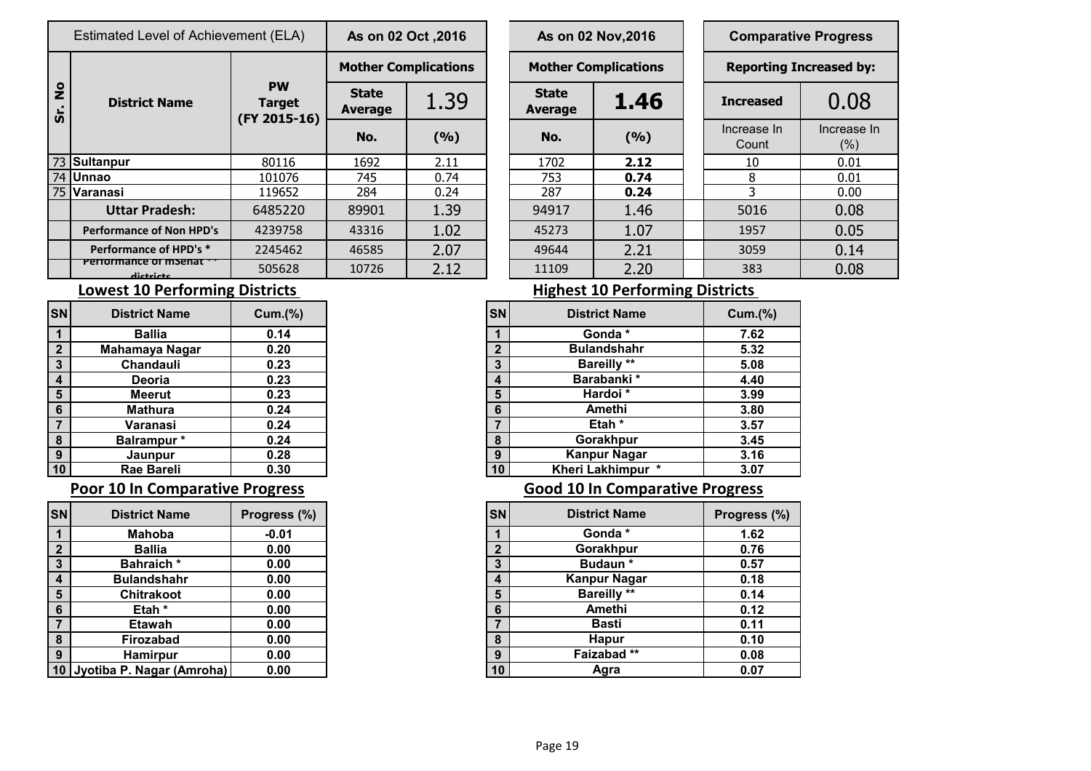|                      | Estimated Level of Achievement (ELA) | As on 02 Oct , 2016                        |                                |       | As on 02 Nov, 2016          | <b>Comparative Progress</b> |  |                               |                    |  |
|----------------------|--------------------------------------|--------------------------------------------|--------------------------------|-------|-----------------------------|-----------------------------|--|-------------------------------|--------------------|--|
|                      |                                      |                                            | <b>Mother Complications</b>    |       | <b>Mother Complications</b> |                             |  | <b>Reporting Increased by</b> |                    |  |
| $\frac{1}{2}$<br>ທີ່ | <b>District Name</b>                 | <b>PW</b><br><b>Target</b><br>(FY 2015-16) | <b>State</b><br><b>Average</b> | 1.39  | <b>State</b><br>Average     | 1.46                        |  | <b>Increased</b>              | 0.08               |  |
|                      |                                      |                                            | No.                            | (9/6) | No.                         | (%)                         |  | Increase In<br>Count          | Increase I<br>(% ) |  |
|                      | 73 Sultanpur                         | 80116                                      | 1692                           | 2.11  | 1702                        | 2.12                        |  | 10                            | 0.01               |  |
|                      | 74 Unnao                             | 101076                                     | 745                            | 0.74  | 753                         | 0.74                        |  | 8                             | 0.01               |  |
|                      | 75 Varanasi                          | 119652                                     | 284                            | 0.24  | 287                         | 0.24                        |  |                               | 0.00               |  |
|                      | <b>Uttar Pradesh:</b>                | 6485220                                    | 89901                          | 1.39  | 94917                       | 1.46                        |  | 5016                          | 0.08               |  |
|                      | <b>Performance of Non HPD's</b>      | 4239758                                    | 43316                          | 1.02  | 45273                       | 1.07                        |  | 1957                          | 0.05               |  |
|                      | Performance of HPD's *               | 2245462                                    | 46585                          | 2.07  | 49644                       | 2.21                        |  | 3059                          | 0.14               |  |
|                      | Periormance of msenar<br>dictricts   | 505628                                     | 10726                          | 2.12  | 11109                       | 2.20                        |  | 383                           | 0.08               |  |

| I Level of Achievement (ELA) |                                            | As on 02 Oct , 2016         |       |  |                                                 | As on 02 Nov, 2016          | <b>Comparative Progress</b> |                                |  |  |
|------------------------------|--------------------------------------------|-----------------------------|-------|--|-------------------------------------------------|-----------------------------|-----------------------------|--------------------------------|--|--|
|                              |                                            | <b>Mother Complications</b> |       |  |                                                 | <b>Mother Complications</b> |                             | <b>Reporting Increased by:</b> |  |  |
| <b>trict Name</b>            | <b>PW</b><br><b>Target</b><br>(FY 2015-16) | <b>State</b><br>Average     | 1.39  |  | <b>State</b><br>1.46<br>Average<br>(9/6)<br>No. |                             | <b>Increased</b>            | 0.08                           |  |  |
|                              |                                            | No.                         | (9/6) |  |                                                 |                             | Increase In<br>Count        | Increase In<br>(% )            |  |  |
|                              | 80116                                      | 1692                        | 2.11  |  | 1702                                            | 2.12                        | 10                          | 0.01                           |  |  |
|                              | 101076                                     | 745                         | 0.74  |  | 753                                             | 0.74                        | 8                           | 0.01                           |  |  |
|                              | 119652                                     | 284                         | 0.24  |  | 287                                             | 0.24                        | 3                           | 0.00                           |  |  |
| <b>Ir Pradesh:</b>           | 6485220                                    | 89901                       | 1.39  |  | 94917                                           | 1.46                        | 5016                        | 0.08                           |  |  |
| nce of Non HPD's             | 4239758                                    | 43316                       | 1.02  |  | 45273                                           | 1.07                        | 1957                        | 0.05                           |  |  |
| ance of HPD's *              | 2245462                                    | 46585                       | 2.07  |  | 49644                                           | 2.21                        | 3059                        | 0.14                           |  |  |
| nce or msenat<br>dictricts   | 505628                                     | 10726                       | 2.12  |  | 11109                                           | 2.20                        | 383                         | 0.08                           |  |  |
|                              |                                            |                             |       |  |                                                 |                             |                             |                                |  |  |

### **Lowest 10 Performing Districts Lowest 10 Performing Districts**

| SN           | <b>District Name</b> | Cum.(%) |
|--------------|----------------------|---------|
|              | <b>Ballia</b>        | 0.14    |
| $\mathbf{2}$ | Mahamaya Nagar       | 0.20    |
| 3            | <b>Chandauli</b>     | 0.23    |
| 4            | Deoria               | 0.23    |
| 5            | <b>Meerut</b>        | 0.23    |
| 6            | <b>Mathura</b>       | 0.24    |
| 7            | Varanasi             | 0.24    |
| 8            | Balrampur*           | 0.24    |
| 9            | Jaunpur              | 0.28    |
| 10           | <b>Rae Bareli</b>    | 0.30    |

### **Poor 10 In Comparative Progress Comparative Progress Good 10 In Comparative Progress**

| <b>SN</b>      | <b>District Name</b>      | Progress (%) |
|----------------|---------------------------|--------------|
|                | Mahoba                    | $-0.01$      |
| $\overline{2}$ | Ballia                    | 0.00         |
| $\mathbf{3}$   | <b>Bahraich</b> *         | 0.00         |
| 4              | <b>Bulandshahr</b>        | 0.00         |
| 5              | Chitrakoot                | 0.00         |
| 6              | Etah *                    | 0.00         |
| $\overline{7}$ | Etawah                    | 0.00         |
| 8              | Firozabad                 | 0.00         |
| 9              | <b>Hamirpur</b>           | 0.00         |
| $\vert$ 10     | Jyotiba P. Nagar (Amroha) | 0.00         |

| <b>District Name</b> | Cum.(%) | <b>SN</b> | <b>District Name</b> |  |
|----------------------|---------|-----------|----------------------|--|
| <b>Ballia</b>        | 0.14    |           | Gonda *              |  |
| Mahamaya Nagar       | 0.20    | C         | <b>Bulandshahr</b>   |  |
| Chandauli            | 0.23    | 3         | <b>Bareilly</b> **   |  |
| Deoria               | 0.23    | 4         | Barabanki *          |  |
| <b>Meerut</b>        | 0.23    | 5         | Hardoi*              |  |
| <b>Mathura</b>       | 0.24    | 6         | Amethi               |  |
| Varanasi             | 0.24    | ⇁         | Etah *               |  |
| Balrampur *          | 0.24    | 8         | Gorakhpur            |  |
| Jaunpur              | 0.28    | 9         | <b>Kanpur Nagar</b>  |  |
| Rae Bareli           | 0.30    | 10        | Kheri Lakhimpur *    |  |

| SNİ                     | <b>District Name</b>         | Progress (%) | <b>SN</b>              |    | <b>District Name</b> | Progress (%) |
|-------------------------|------------------------------|--------------|------------------------|----|----------------------|--------------|
|                         | <b>Mahoba</b>                | $-0.01$      |                        |    | Gonda *              | 1.62         |
| $\mathbf{2}$            | <b>Ballia</b>                | 0.00         | C                      |    | Gorakhpur            | 0.76         |
| 3                       | <b>Bahraich*</b>             | 0.00         | 3                      |    | Budaun*              | 0.57         |
| $\overline{\mathbf{4}}$ | <b>Bulandshahr</b>           | 0.00         | $\boldsymbol{\Lambda}$ |    | <b>Kanpur Nagar</b>  | 0.18         |
| 5                       | <b>Chitrakoot</b>            | 0.00         | 5                      |    | <b>Bareilly **</b>   | 0.14         |
| $6\phantom{1}6$         | Etah *                       | 0.00         | 6                      |    | Amethi               | 0.12         |
| 7                       | Etawah                       | 0.00         |                        |    | Basti                | 0.11         |
| $\boldsymbol{8}$        | Firozabad                    | 0.00         | 8                      |    | <b>Hapur</b>         | 0.10         |
| 9                       | <b>Hamirpur</b>              | 0.00         | 9                      |    | Faizabad**           | 0.08         |
|                         | 10 Jyotiba P. Nagar (Amroha) | 0.00         |                        | 10 | Agra                 | 0.07         |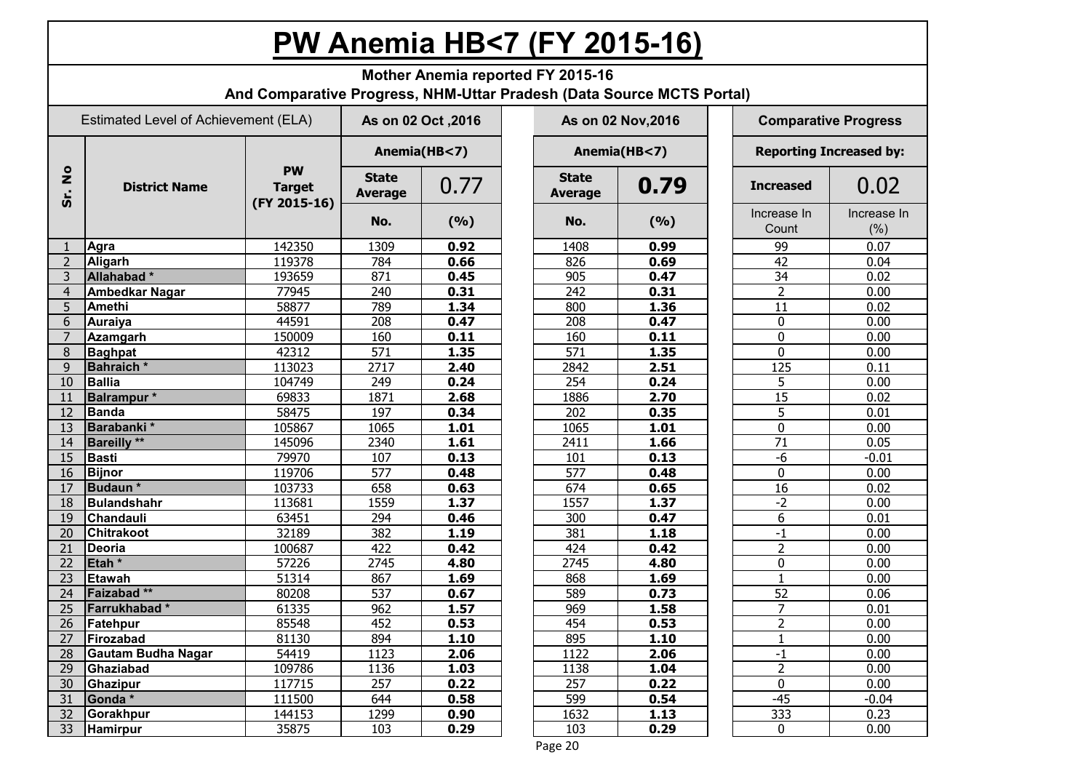## **PW Anemia HB<7 (FY 2015-16)**

|                             | Mother Anemia reported FY 2015-16<br>And Comparative Progress, NHM-Uttar Pradesh (Data Source MCTS Portal) |                                            |                                |                     |  |                         |                    |  |                      |                                |  |  |  |
|-----------------------------|------------------------------------------------------------------------------------------------------------|--------------------------------------------|--------------------------------|---------------------|--|-------------------------|--------------------|--|----------------------|--------------------------------|--|--|--|
|                             | Estimated Level of Achievement (ELA)                                                                       |                                            |                                | As on 02 Oct , 2016 |  |                         | As on 02 Nov, 2016 |  |                      | <b>Comparative Progress</b>    |  |  |  |
|                             |                                                                                                            |                                            | Anemia(HB<7)                   |                     |  |                         | Anemia(HB<7)       |  |                      | <b>Reporting Increased by:</b> |  |  |  |
| $\frac{1}{2}$<br><b>Sr.</b> | <b>District Name</b>                                                                                       | <b>PW</b><br><b>Target</b><br>(FY 2015-16) | <b>State</b><br><b>Average</b> | 0.77                |  | <b>State</b><br>Average | 0.79               |  | <b>Increased</b>     | 0.02                           |  |  |  |
|                             |                                                                                                            |                                            | No.                            | (%)                 |  | No.                     | (9/6)              |  | Increase In<br>Count | Increase In<br>(% )            |  |  |  |
| 1                           | Agra                                                                                                       | 142350                                     | 1309                           | 0.92                |  | 1408                    | 0.99               |  | 99                   | 0.07                           |  |  |  |
| $\overline{2}$              | <b>Aligarh</b>                                                                                             | 119378                                     | 784                            | 0.66                |  | 826                     | 0.69               |  | 42                   | 0.04                           |  |  |  |
| 3                           | Allahabad*                                                                                                 | 193659                                     | 871                            | 0.45                |  | 905                     | 0.47               |  | 34                   | 0.02                           |  |  |  |
| $\overline{4}$              | <b>Ambedkar Nagar</b>                                                                                      | 77945                                      | 240                            | 0.31                |  | 242                     | 0.31               |  | $\overline{2}$       | 0.00                           |  |  |  |
| 5                           | <b>Amethi</b>                                                                                              | 58877                                      | 789                            | 1.34                |  | 800                     | 1.36               |  | 11                   | 0.02                           |  |  |  |
| 6                           | Auraiya                                                                                                    | 44591                                      | 208                            | 0.47                |  | 208                     | 0.47               |  | $\mathbf 0$          | 0.00                           |  |  |  |
| 7                           | <b>Azamgarh</b>                                                                                            | 150009                                     | 160                            | 0.11                |  | 160                     | 0.11               |  | $\mathbf 0$          | 0.00                           |  |  |  |
| 8                           | <b>Baghpat</b>                                                                                             | 42312                                      | 571                            | 1.35                |  | 571                     | 1.35               |  | $\Omega$             | 0.00                           |  |  |  |
| 9                           | <b>Bahraich</b> *                                                                                          | 113023                                     | 2717                           | 2.40                |  | 2842                    | 2.51               |  | 125                  | 0.11                           |  |  |  |
| 10                          | <b>Ballia</b>                                                                                              | 104749                                     | 249                            | 0.24                |  | 254                     | 0.24               |  | 5                    | 0.00                           |  |  |  |
| 11                          | Balrampur <sup>*</sup>                                                                                     | 69833                                      | 1871                           | 2.68                |  | 1886                    | 2.70               |  | 15                   | 0.02                           |  |  |  |
| 12                          | Banda                                                                                                      | 58475                                      | 197                            | 0.34                |  | 202                     | 0.35               |  | 5                    | 0.01                           |  |  |  |
| 13                          | Barabanki*                                                                                                 | 105867                                     | 1065                           | 1.01                |  | 1065                    | 1.01               |  | $\mathbf 0$          | 0.00                           |  |  |  |
| 14                          | <b>Bareilly</b> **                                                                                         | 145096                                     | 2340                           | 1.61                |  | 2411                    | 1.66               |  | 71                   | 0.05                           |  |  |  |
| 15                          | <b>Basti</b>                                                                                               | 79970                                      | 107                            | 0.13                |  | 101                     | 0.13               |  | $-6$                 | $-0.01$                        |  |  |  |
| 16                          | <b>Bijnor</b>                                                                                              | 119706                                     | 577                            | 0.48                |  | $\overline{577}$        | 0.48               |  | $\mathbf 0$          | 0.00                           |  |  |  |
| 17                          | Budaun*                                                                                                    | 103733                                     | 658                            | 0.63                |  | 674                     | 0.65               |  | 16                   | 0.02                           |  |  |  |
| 18                          | Bulandshahr                                                                                                | 113681                                     | 1559                           | 1.37                |  | 1557                    | 1.37               |  | $-2$                 | 0.00                           |  |  |  |
| 19                          | <b>Chandauli</b>                                                                                           | 63451                                      | 294                            | 0.46                |  | 300                     | 0.47               |  | 6                    | 0.01                           |  |  |  |
| 20                          | <b>Chitrakoot</b>                                                                                          | 32189                                      | 382                            | 1.19                |  | 381                     | 1.18               |  | -1                   | 0.00                           |  |  |  |
| 21                          | Deoria                                                                                                     | 100687                                     | 422                            | 0.42                |  | 424                     | 0.42               |  | $\overline{2}$       | 0.00                           |  |  |  |
| 22                          | Etah <sup>*</sup>                                                                                          | 57226                                      | 2745                           | 4.80                |  | 2745                    | 4.80               |  | $\mathbf 0$          | 0.00                           |  |  |  |
| 23                          | <b>Etawah</b>                                                                                              | 51314                                      | 867                            | 1.69                |  | 868                     | 1.69               |  | $\mathbf{1}$         | 0.00                           |  |  |  |
| 24                          | Faizabad**                                                                                                 | 80208                                      | 537                            | 0.67                |  | 589                     | 0.73               |  | $\overline{52}$      | 0.06                           |  |  |  |
| 25                          | Farrukhabad*                                                                                               | 61335                                      | 962                            | 1.57                |  | 969                     | 1.58               |  | $\overline{7}$       | 0.01                           |  |  |  |
| 26                          | Fatehpur                                                                                                   | 85548                                      | 452                            | 0.53                |  | 454                     | 0.53               |  | 2                    | 0.00                           |  |  |  |
| 27                          | Firozabad                                                                                                  | 81130                                      | 894                            | 1.10                |  | 895                     | 1.10               |  | $\mathbf{1}$         | 0.00                           |  |  |  |
| 28                          | Gautam Budha Nagar                                                                                         | 54419                                      | 1123                           | 2.06                |  | 1122                    | 2.06               |  | $-1$                 | 0.00                           |  |  |  |
| 29                          | Ghaziabad                                                                                                  | 109786                                     | 1136                           | 1.03                |  | 1138                    | 1.04               |  | $\overline{2}$       | 0.00                           |  |  |  |
| 30                          | Ghazipur                                                                                                   | 117715                                     | 257                            | 0.22                |  | 257                     | 0.22               |  | 0                    | 0.00                           |  |  |  |
| 31                          | Gonda*                                                                                                     | 111500                                     | 644                            | 0.58                |  | 599                     | 0.54               |  | $-45$                | $-0.04$                        |  |  |  |
| 32                          | Gorakhpur                                                                                                  | 144153                                     | 1299                           | 0.90                |  | 1632                    | 1.13               |  | 333                  | 0.23                           |  |  |  |
| 33                          | Hamirpur                                                                                                   | 35875                                      | 103                            | 0.29                |  | 103                     | 0.29               |  | $\mathbf 0$          | 0.00                           |  |  |  |

Page 20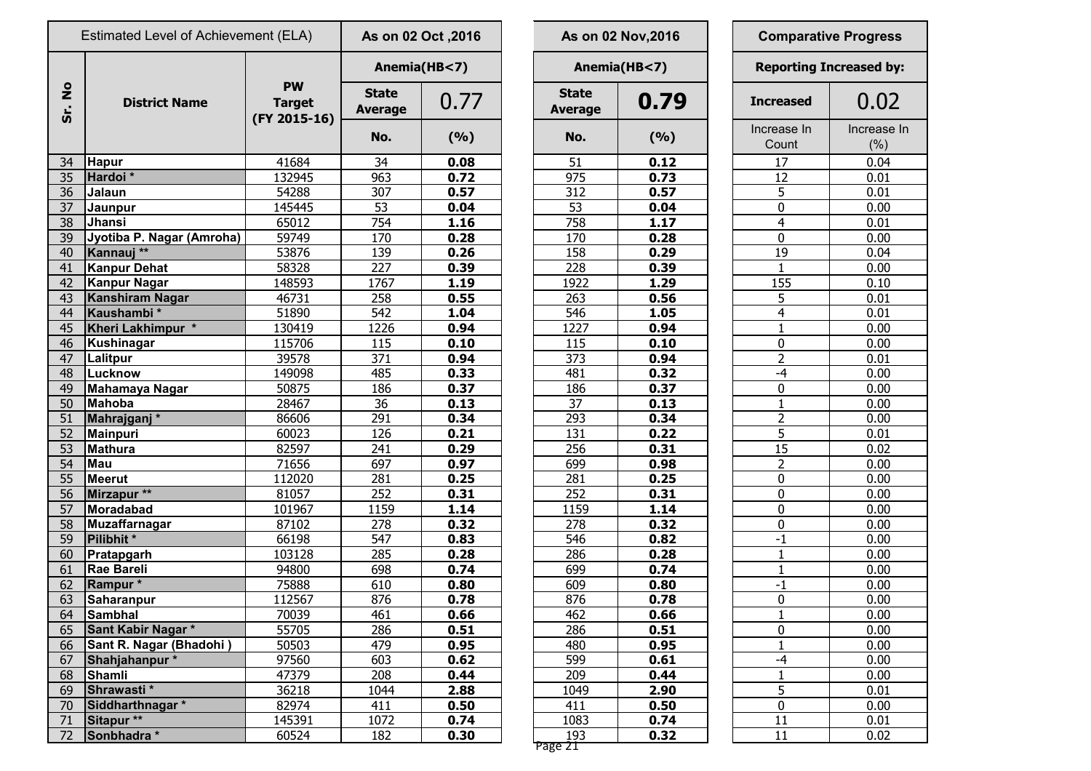|                      | Estimated Level of Achievement (ELA) |                                            | As on 02 Oct , 2016            |      |                                | As on 02 Nov, 2016 | <b>Comparative Progress</b> |                               |                    |
|----------------------|--------------------------------------|--------------------------------------------|--------------------------------|------|--------------------------------|--------------------|-----------------------------|-------------------------------|--------------------|
|                      |                                      |                                            | Anemia(HB<7)                   |      |                                | Anemia(HB<7)       |                             | <b>Reporting Increased by</b> |                    |
| $\frac{1}{2}$<br>Sr. | <b>District Name</b>                 | <b>PW</b><br><b>Target</b><br>(FY 2015-16) | <b>State</b><br><b>Average</b> | 0.77 | <b>State</b><br><b>Average</b> | 0.79               |                             | <b>Increased</b>              | 0.02               |
|                      |                                      |                                            | No.                            | (%)  | No.                            | (%)                |                             | Increase In<br>Count          | Increase I<br>(% ) |
| 34                   | <b>Hapur</b>                         | 41684                                      | 34                             | 0.08 | 51                             | 0.12               |                             | 17                            | 0.04               |
| 35                   | Hardoi*                              | 132945                                     | $\overline{963}$               | 0.72 | 975                            | 0.73               |                             | 12                            | 0.01               |
| 36                   | Jalaun                               | 54288                                      | 307                            | 0.57 | 312                            | 0.57               |                             | 5                             | 0.01               |
| 37                   | Jaunpur                              | 145445                                     | 53                             | 0.04 | 53                             | 0.04               |                             | $\mathbf 0$                   | 0.00               |
| 38                   | Jhansi                               | 65012                                      | 754                            | 1.16 | 758                            | 1.17               |                             | $\overline{4}$                | 0.01               |
| 39                   | Jyotiba P. Nagar (Amroha)            | 59749                                      | 170                            | 0.28 | 170                            | 0.28               |                             | $\mathbf 0$                   | 0.00               |
| 40                   | Kannauj **                           | 53876                                      | 139                            | 0.26 | 158                            | 0.29               |                             | 19                            | 0.04               |
| 41                   | Kanpur Dehat                         | 58328                                      | 227                            | 0.39 | 228                            | 0.39               |                             | $\mathbf{1}$                  | 0.00               |
| 42                   | Kanpur Nagar                         | 148593                                     | 1767                           | 1.19 | 1922                           | 1.29               |                             | 155                           | 0.10               |
| 43                   | <b>Kanshiram Nagar</b>               | 46731                                      | 258                            | 0.55 | 263                            | 0.56               |                             | 5                             | 0.01               |
| 44                   | Kaushambi*                           | 51890                                      | 542                            | 1.04 | 546                            | 1.05               |                             | $\overline{4}$                | 0.01               |
| 45                   | Kheri Lakhimpur *                    | 130419                                     | 1226                           | 0.94 | 1227                           | 0.94               |                             | $\mathbf{1}$                  | 0.00               |
| 46                   | Kushinagar                           | 115706                                     | 115                            | 0.10 | 115                            | 0.10               |                             | $\mathbf 0$                   | 0.00               |
| 47                   | Lalitpur                             | 39578                                      | 371                            | 0.94 | 373                            | 0.94               |                             | $\overline{2}$                | 0.01               |
| 48                   | Lucknow                              | 149098                                     | 485                            | 0.33 | 481                            | 0.32               |                             | $-4$                          | 0.00               |
| 49                   | <b>Mahamaya Nagar</b>                | 50875                                      | 186                            | 0.37 | 186                            | 0.37               |                             | $\mathbf 0$                   | 0.00               |
| 50                   | <b>Mahoba</b>                        | 28467                                      | 36                             | 0.13 | 37                             | 0.13               |                             | $\mathbf{1}$                  | 0.00               |
| 51                   | Mahrajganj*                          | 86606                                      | 291                            | 0.34 | 293                            | 0.34               |                             | $\overline{2}$                | 0.00               |
| 52                   | Mainpuri                             | 60023                                      | 126                            | 0.21 | 131                            | 0.22               |                             | 5                             | 0.01               |
| 53                   | Mathura                              | 82597                                      | 241                            | 0.29 | 256                            | 0.31               |                             | 15                            | 0.02               |
| 54                   | <b>Mau</b>                           | 71656                                      | 697                            | 0.97 | 699                            | 0.98               |                             | $\overline{2}$                | 0.00               |
| 55                   | Meerut                               | 112020                                     | 281                            | 0.25 | 281                            | 0.25               |                             | 0                             | 0.00               |
| 56                   | Mirzapur **                          | 81057                                      | 252                            | 0.31 | 252                            | 0.31               |                             | $\bf{0}$                      | 0.00               |
| 57                   | Moradabad                            | 101967                                     | 1159                           | 1.14 | 1159                           | 1.14               |                             | $\mathbf 0$                   | 0.00               |
| 58                   | Muzaffarnagar                        | 87102                                      | 278                            | 0.32 | 278                            | 0.32               |                             | $\mathbf 0$                   | 0.00               |
| 59                   | Pilibhit *                           | 66198                                      | 547                            | 0.83 | 546                            | 0.82               |                             | $-1$                          | 0.00               |
| 60                   | Pratapgarh                           | 103128                                     | 285                            | 0.28 | 286                            | 0.28               |                             | $\mathbf{1}$                  | 0.00               |
| 61                   | Rae Bareli                           | 94800                                      | 698                            | 0.74 | 699                            | 0.74               |                             | $\mathbf{1}$                  | 0.00               |
| 62                   | Rampur*                              | 75888                                      | 610                            | 0.80 | 609                            | 0.80               |                             | $-1$                          | 0.00               |
| 63                   | Saharanpur                           | 112567                                     | 876                            | 0.78 | 876                            | 0.78               |                             | $\pmb{0}$                     | 0.00               |
| 64                   | Sambhal                              | 70039                                      | 461                            | 0.66 | 462                            | 0.66               |                             | $\mathbf{1}$                  | 0.00               |
| 65                   | Sant Kabir Nagar *                   | 55705                                      | 286                            | 0.51 | 286                            | 0.51               |                             | $\pmb{0}$                     | 0.00               |
| 66                   | Sant R. Nagar (Bhadohi)              | 50503                                      | 479                            | 0.95 | 480                            | 0.95               |                             | $\mathbf{1}$                  | 0.00               |
| 67                   | Shahjahanpur*                        | 97560                                      | 603                            | 0.62 | 599                            | 0.61               |                             | $-4$                          | 0.00               |
| 68                   | Shamli                               | 47379                                      | 208                            | 0.44 | 209                            | 0.44               |                             | $\mathbf{1}$                  | 0.00               |
| 69                   | Shrawasti*                           | 36218                                      | 1044                           | 2.88 | 1049                           | 2.90               |                             | $\overline{5}$                | 0.01               |
| 70                   | Siddharthnagar*                      | 82974                                      | 411                            | 0.50 | 411                            | 0.50               |                             | $\pmb{0}$                     | 0.00               |
| 71                   | Sitapur **                           | 145391                                     | 1072                           | 0.74 | 1083                           | 0.74               |                             | 11                            | 0.01               |
| 72                   | Sonbhadra *                          | 60524                                      | 182                            | 0.30 | 193                            | 0.32               |                             | 11                            | 0.02               |
|                      |                                      |                                            |                                |      |                                |                    |                             |                               |                    |

|                | 2016, s on 02 Oct |                                | As on 02 Nov, 2016 | <b>Comparative Progress</b> |                                |  |  |  |
|----------------|-------------------|--------------------------------|--------------------|-----------------------------|--------------------------------|--|--|--|
| Anemia(HB<7)   |                   |                                | Anemia(HB<7)       |                             | <b>Reporting Increased by:</b> |  |  |  |
| itate<br>erage | 0.77              | <b>State</b><br><b>Average</b> | 0.79               | <b>Increased</b>            | 0.02                           |  |  |  |
| No.            | (9/6)             | No.                            | (%)                | Increase In<br>Count        | Increase In<br>(% )            |  |  |  |
| 34             | 0.08              | 51                             | 0.12               | 17                          | 0.04                           |  |  |  |
| 963            | 0.72              | 975                            | 0.73               | 12                          | 0.01                           |  |  |  |
| 307            | 0.57              | 312                            | 0.57               | 5                           | 0.01                           |  |  |  |
| 53             | 0.04              | 53                             | 0.04               | 0                           | 0.00                           |  |  |  |
| 754            | 1.16              | 758                            | 1.17               | 4                           | 0.01                           |  |  |  |
| 170            | 0.28              | 170                            | 0.28               | 0                           | 0.00                           |  |  |  |
| 139            | 0.26              | 158                            | 0.29               | 19                          | 0.04                           |  |  |  |
| 227            | 0.39              | 228                            | 0.39               | 1                           | 0.00                           |  |  |  |
| 1767           | 1.19              | 1922                           | 1.29               | 155                         | 0.10                           |  |  |  |
| 258            | 0.55              | 263                            | 0.56               | 5                           | 0.01                           |  |  |  |
| 542            | 1.04              | 546                            | 1.05               | 4                           | 0.01                           |  |  |  |
| 1226           | 0.94              | 1227                           | 0.94               | 1                           | 0.00                           |  |  |  |
| 115            | 0.10              | 115                            | 0.10               | 0                           | 0.00                           |  |  |  |
| 371            | 0.94              | 373                            | 0.94               | $\overline{2}$              | 0.01                           |  |  |  |
| 485            | 0.33              | 481                            | 0.32               | $-4$                        | 0.00                           |  |  |  |
| 186            | 0.37              | 186                            | 0.37               | 0                           | 0.00                           |  |  |  |
| 36             | 0.13              | 37                             | 0.13               | $\mathbf{1}$                | 0.00                           |  |  |  |
| <u>291</u>     | 0.34              | 293                            | 0.34               | $\overline{2}$              | 0.00                           |  |  |  |
| 126            | 0.21              | 131                            | 0.22               | 5                           | 0.01                           |  |  |  |
| <u>241</u>     | 0.29              | 256                            | 0.31               | 15                          | 0.02                           |  |  |  |
| 697            | 0.97              | 699                            | 0.98               | $\overline{2}$              | 0.00                           |  |  |  |
| <u>281</u>     | 0.25              | 281                            | 0.25               | 0                           | 0.00                           |  |  |  |
| 252            | 0.31              | 252                            | 0.31               | $\mathbf 0$                 | 0.00                           |  |  |  |
| 1159           | 1.14              | 1159                           | 1.14               | $\mathbf 0$                 | 0.00                           |  |  |  |
| 278            | 0.32              | 278                            | 0.32               | 0                           | 0.00                           |  |  |  |
| 547            | 0.83              | 546                            | 0.82               | $-1$                        | 0.00                           |  |  |  |
| 285            | 0.28              | 286                            | 0.28               | 1                           | 0.00                           |  |  |  |
| 698            | 0.74              | 699                            | 0.74               | 1                           | 0.00                           |  |  |  |
| 610            | 0.80              | 609                            | 0.80               | -1                          | 0.00                           |  |  |  |
| 876            | 0.78              | 876                            | 0.78               | 0                           | 0.00                           |  |  |  |
| <u>461</u>     | 0.66              | 462                            | 0.66               | $\mathbf 1$                 | 0.00                           |  |  |  |
| 286            | 0.51              | 286                            | 0.51               | 0                           | 0.00                           |  |  |  |
| 479            | 0.95              | 480                            | 0.95               | $\mathbf{1}$                | 0.00                           |  |  |  |
| 603            | 0.62              | 599                            | 0.61               | -4                          | 0.00                           |  |  |  |
| 208            | 0.44              | 209                            | 0.44               | $\mathbf{1}$                | 0.00                           |  |  |  |
| 1044           | 2.88              | 1049                           | 2.90               | 5                           | 0.01                           |  |  |  |
| 411            | 0.50              | 411                            | 0.50               | $\pmb{0}$                   | 0.00                           |  |  |  |
| 1072           | 0.74              | 1083                           | 0.74               | 11                          | 0.01                           |  |  |  |
| 182            | 0.30              | 193                            | 0.32               | 11                          | 0.02                           |  |  |  |
|                |                   | Page 21                        |                    |                             |                                |  |  |  |

|                         | <b>Comparative Progress</b>    |
|-------------------------|--------------------------------|
|                         | <b>Reporting Increased by:</b> |
| <b>Increased</b>        | 0.02                           |
| Increase In<br>Count    | Increase In<br>(% )            |
| 17                      | 0.04                           |
| $\overline{12}$         | 0.01                           |
| $\overline{5}$          | 0.01                           |
| $\overline{0}$          | 0.00                           |
| $\overline{4}$          | 0.01                           |
| $\overline{0}$          | 0.00                           |
| 19                      | 0.04                           |
| $\mathbf{1}$            | 0.00                           |
| 155                     | 0.10                           |
| 5                       | 0.01                           |
| $\overline{4}$          | 0.01                           |
| $\overline{1}$          | 0.00                           |
| $\overline{0}$          | 0.00                           |
| $\frac{2}{-4}$          | 0.01                           |
|                         | 0.00                           |
| 0                       | 0.00                           |
| $\overline{1}$          | 0.00                           |
| $\overline{2}$          | 0.00                           |
| $\overline{5}$          | 0.01                           |
| $\overline{15}$         | 0.02                           |
| $\frac{2}{0}$           | 0.00                           |
|                         | 0.00                           |
| $\overline{0}$          | 0.00                           |
| 0                       | 0.00                           |
| 0                       | 0.00                           |
| $\overline{\cdot}$      | 0.00                           |
| $\mathbf{1}$            | 0.00                           |
| <u>1</u>                | <u>0.00</u>                    |
| $\overline{\mathbf{1}}$ | 0.00                           |
| $\overline{0}$          | 0.00                           |
|                         | 0.00                           |
| $\frac{1}{0}$           | 0.00                           |
| $\overline{1}$          | 0.00                           |
|                         | 0.00                           |
| $\frac{-4}{1}$          | 0.00                           |
|                         | 0.01                           |
| $\overline{0}$          | 0.00                           |
| $\overline{11}$         | 0.01                           |
| 11                      | 0.02                           |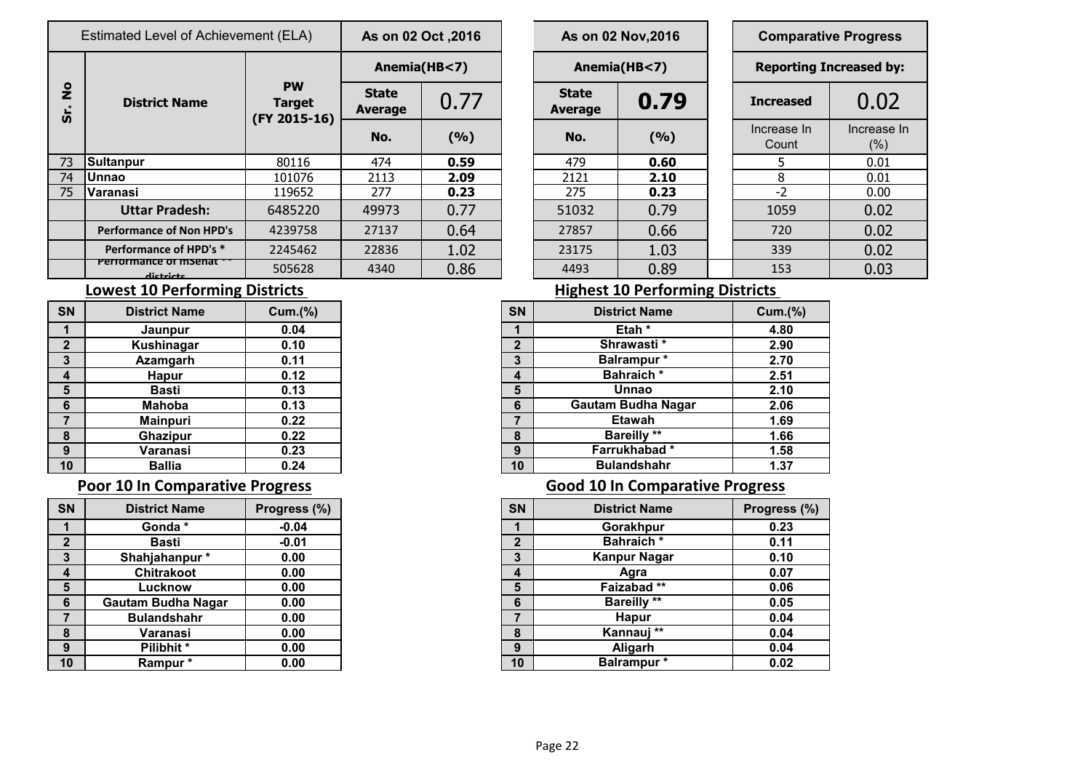|                                        | Estimated Level of Achievement (ELA) |                                            | As on 02 Oct , 2016                    |       |  | As on 02 Nov, 2016             | <b>Comparative Progres</b> |                              |                     |  |
|----------------------------------------|--------------------------------------|--------------------------------------------|----------------------------------------|-------|--|--------------------------------|----------------------------|------------------------------|---------------------|--|
|                                        | <b>District Name</b>                 |                                            | Anemia(HB<7)                           |       |  |                                | Anemia(HB<7)               | <b>Reporting Increased b</b> |                     |  |
| $\frac{1}{2}$<br>$\boldsymbol{\omega}$ |                                      | <b>PW</b><br><b>Target</b><br>(FY 2015-16) | <b>State</b><br>0.77<br><b>Average</b> |       |  | <b>State</b><br><b>Average</b> | 0.79                       | <b>Increased</b>             | 0.02                |  |
|                                        |                                      |                                            | No.                                    | (9/6) |  | No.                            | (9/6)                      | Increase In<br>Count         | Increase<br>$(\% )$ |  |
| 73                                     | Sultanpur                            | 80116                                      | 474                                    | 0.59  |  | 479                            | 0.60                       |                              | 0.01                |  |
| 74                                     | lUnnao                               | 101076                                     | 2113                                   | 2.09  |  | 2121                           | 2.10                       | 8                            | 0.01                |  |
| 75                                     | Varanasi                             | 119652                                     | 277                                    | 0.23  |  | 275                            | 0.23                       | $-2$                         | 0.00                |  |
|                                        | <b>Uttar Pradesh:</b>                | 6485220                                    | 49973                                  | 0.77  |  | 51032                          | 0.79                       | 1059                         | 0.02                |  |
|                                        | <b>Performance of Non HPD's</b>      | 4239758                                    | 27137                                  | 0.64  |  | 27857                          | 0.66                       | 720                          | 0.02                |  |
|                                        | Performance of HPD's *               | 2245462                                    | 22836                                  | 1.02  |  | 23175                          | 1.03                       | 339                          | 0.02                |  |
|                                        | Periormance of msenat<br>dictricts   | 505628                                     | 4340                                   | 0.86  |  | 4493                           | 0.89                       | 153                          | 0.03                |  |

### **Lowest 10 Performing Districts Lowest 10 Performing Districts**

| <b>SN</b>    | <b>District Name</b> | Cum.(%) |
|--------------|----------------------|---------|
|              | Jaunpur              | 0.04    |
| $\mathbf{2}$ | Kushinagar           | 0.10    |
| 3            | <b>Azamgarh</b>      | 0.11    |
| 4            | <b>Hapur</b>         | 0.12    |
| 5            | <b>Basti</b>         | 0.13    |
| 6            | <b>Mahoba</b>        | 0.13    |
|              | <b>Mainpuri</b>      | 0.22    |
| 8            | <b>Ghazipur</b>      | 0.22    |
| 9            | Varanasi             | 0.23    |
| 10           | <b>Ballia</b>        | 0.24    |

| <b>SN</b>      | <b>District Name</b>      | Progress (%) |
|----------------|---------------------------|--------------|
| 1              | Gonda*                    | $-0.04$      |
| $\overline{2}$ | <b>Basti</b>              | $-0.01$      |
| 3              | Shahjahanpur*             | 0.00         |
| 4              | <b>Chitrakoot</b>         | 0.00         |
| 5              | Lucknow                   | 0.00         |
| 6              | <b>Gautam Budha Nagar</b> | 0.00         |
| 7              | <b>Bulandshahr</b>        | 0.00         |
| 8              | Varanasi                  | 0.00         |
| 9              | Pilibhit*                 | 0.00         |
| 10             | Rampur *                  | 0.00         |

|                        | s on 02 Oct ,2016 | As on 02 Nov, 2016             | Compara          |                      |
|------------------------|-------------------|--------------------------------|------------------|----------------------|
|                        | Anemia(HB<7)      | Anemia(HB<7)                   | <b>Reporting</b> |                      |
| itate<br>0.77<br>erage |                   | <b>State</b><br><b>Average</b> | 0.79             | <b>Increased</b>     |
| No.                    | (%)               | No.                            | (%)              | Increase In<br>Count |
| 474                    | 0.59              | 479                            | 0.60             | 5.                   |
| $\overline{2113}$      | 2.09              | 2121                           | 2.10             | 8                    |
| 277                    | 0.23              | 275                            | 0.23             | $-2$                 |
| 9973                   | 0.77              | 51032                          | 0.79             | 1059                 |
| 7137                   | 0.64              | 27857                          | 0.66             | 720                  |
| 2836                   | 1.02              | 23175                          | 1.03             | 339                  |
| 1340                   | በ ጸ6              | 4493                           | <b>0.89</b>      | 153                  |

## **Arrival Exercise 1** 0.02 Count Increase In (%) **Comparative Progress Reporting Increased by:**

| <b>SN</b>               | <b>District Name</b> | <b>Cum.(%)</b> |
|-------------------------|----------------------|----------------|
|                         | <b>Jaunpur</b>       | 0.04           |
| $\overline{2}$          | Kushinagar           | 0.10           |
| 3                       | Azamgarh             | 0.11           |
| $\overline{\mathbf{4}}$ | <b>Hapur</b>         | 0.12           |
| $5\phantom{1}$          | <b>Basti</b>         | 0.13           |
| 6                       | <b>Mahoba</b>        | 0.13           |
| $\overline{7}$          | <b>Mainpuri</b>      | 0.22           |
| 8                       | <b>Ghazipur</b>      | 0.22           |
| 9                       | Varanasi             | 0.23           |
| 10                      | <b>Ballia</b>        | 0.24           |

### **Poor 10 In Comparative Progress Comparative Progress Good 10 In Comparative Progress**

| <b>SN</b>       | <b>District Name</b>      | Progress (%) | <b>SN</b>      | <b>District Name</b> | Progress (%) |
|-----------------|---------------------------|--------------|----------------|----------------------|--------------|
|                 | Gonda*                    | $-0.04$      |                | Gorakhpur            | 0.23         |
| $\mathbf{2}$    | <b>Basti</b>              | $-0.01$      | $\overline{2}$ | <b>Bahraich</b> *    | 0.11         |
| $\mathbf{3}$    | Shahjahanpur*             | 0.00         | 3              | <b>Kanpur Nagar</b>  | 0.10         |
| $\overline{4}$  | <b>Chitrakoot</b>         | 0.00         | 4              | Agra                 | 0.07         |
| 5               | Lucknow                   | 0.00         | 5              | Faizabad**           | 0.06         |
| $6\phantom{1}6$ | <b>Gautam Budha Nagar</b> | 0.00         | 6              | <b>Bareilly **</b>   | 0.05         |
| $\overline{7}$  | <b>Bulandshahr</b>        | 0.00         | ⇁              | <b>Hapur</b>         | 0.04         |
| 8               | Varanasi                  | 0.00         | 8              | Kannauj **           | 0.04         |
| 9               | Pilibhit*                 | 0.00         | 9              | Aligarh              | 0.04         |
| 10              | Rampur*                   | 0.00         | 10             | <b>Balrampur</b> *   | 0.02         |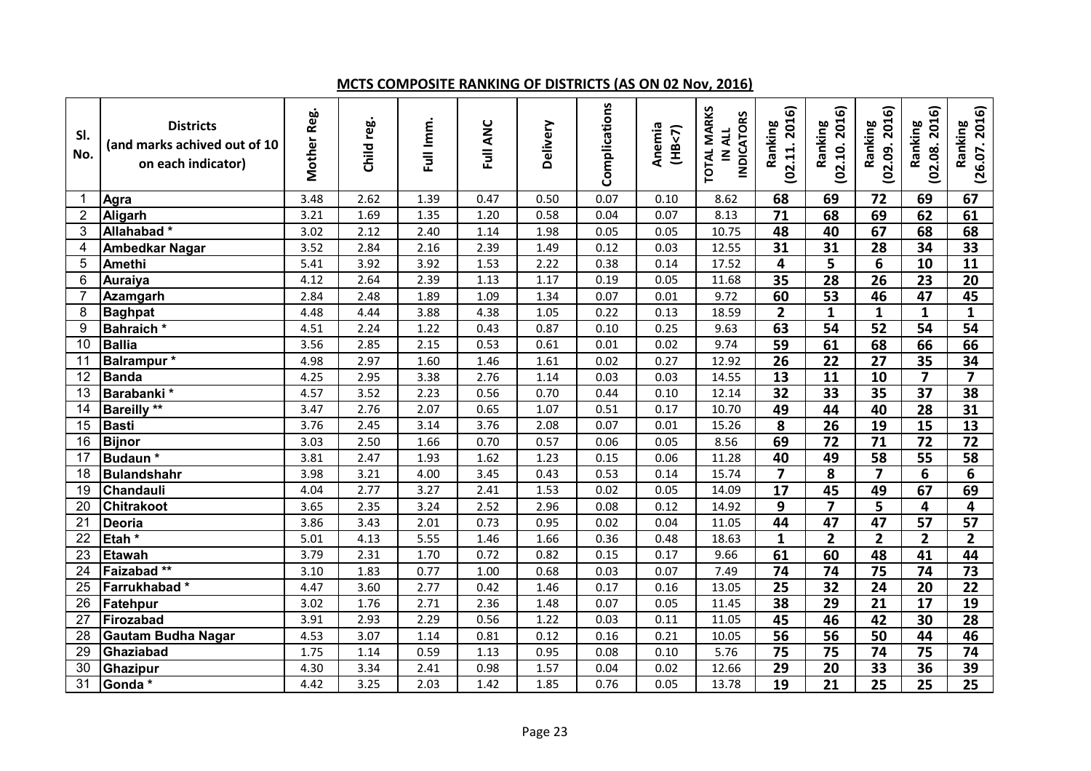### **MCTS COMPOSITE RANKING OF DISTRICTS (AS ON 02 Nov, 2016)**

| SI.<br>No.              | <b>Districts</b><br>(and marks achived out of 10<br>on each indicator) | Mother Reg. | Child reg. | Full Imm. | Full ANC | Delivery | Complications | Anemia<br>(HB<7) | <b>TOTAL MARKS</b><br><b>INDICATORS</b><br>IN ALL | (02.11.2016)<br>Ranking | (02.10.2016)<br>Ranking | (02.09.2016)<br>Ranking | (02.08.2016)<br>Ranking | (26.07.2016)<br>Ranking |
|-------------------------|------------------------------------------------------------------------|-------------|------------|-----------|----------|----------|---------------|------------------|---------------------------------------------------|-------------------------|-------------------------|-------------------------|-------------------------|-------------------------|
| -1                      | Agra                                                                   | 3.48        | 2.62       | 1.39      | 0.47     | 0.50     | 0.07          | 0.10             | 8.62                                              | 68                      | 69                      | 72                      | 69                      | 67                      |
| $\overline{2}$          | Aligarh                                                                | 3.21        | 1.69       | 1.35      | 1.20     | 0.58     | 0.04          | 0.07             | 8.13                                              | $\overline{71}$         | 68                      | 69                      | 62                      | 61                      |
| 3                       | Allahabad*                                                             | 3.02        | 2.12       | 2.40      | 1.14     | 1.98     | 0.05          | 0.05             | 10.75                                             | 48                      | 40                      | 67                      | 68                      | 68                      |
| $\overline{\mathbf{4}}$ | <b>Ambedkar Nagar</b>                                                  | 3.52        | 2.84       | 2.16      | 2.39     | 1.49     | 0.12          | 0.03             | 12.55                                             | 31                      | 31                      | 28                      | 34                      | 33                      |
| 5                       | Amethi                                                                 | 5.41        | 3.92       | 3.92      | 1.53     | 2.22     | 0.38          | 0.14             | 17.52                                             | 4                       | 5                       | 6                       | 10                      | $\overline{11}$         |
| $6\phantom{1}6$         | Auraiya                                                                | 4.12        | 2.64       | 2.39      | 1.13     | 1.17     | 0.19          | 0.05             | 11.68                                             | $\overline{35}$         | $\overline{28}$         | $\overline{26}$         | 23                      | $\overline{20}$         |
| $\overline{7}$          | Azamgarh                                                               | 2.84        | 2.48       | 1.89      | 1.09     | 1.34     | 0.07          | 0.01             | 9.72                                              | 60                      | $\overline{53}$         | 46                      | 47                      | 45                      |
| 8                       | <b>Baghpat</b>                                                         | 4.48        | 4.44       | 3.88      | 4.38     | 1.05     | 0.22          | 0.13             | 18.59                                             | $\overline{2}$          | $\mathbf{1}$            | $\mathbf{1}$            | $\mathbf{1}$            | $\mathbf{1}$            |
| 9                       | Bahraich*                                                              | 4.51        | 2.24       | 1.22      | 0.43     | 0.87     | 0.10          | 0.25             | 9.63                                              | 63                      | 54                      | $\overline{52}$         | 54                      | 54                      |
| 10                      | <b>Ballia</b>                                                          | 3.56        | 2.85       | 2.15      | 0.53     | 0.61     | 0.01          | 0.02             | 9.74                                              | 59                      | 61                      | 68                      | 66                      | 66                      |
| 11                      | Balrampur*                                                             | 4.98        | 2.97       | 1.60      | 1.46     | 1.61     | 0.02          | 0.27             | 12.92                                             | $\overline{26}$         | $\overline{22}$         | $\overline{27}$         | 35                      | 34                      |
| 12                      | <b>Banda</b>                                                           | 4.25        | 2.95       | 3.38      | 2.76     | 1.14     | 0.03          | 0.03             | 14.55                                             | $\overline{13}$         | 11                      | $\overline{10}$         | $\overline{\mathbf{z}}$ | $\overline{ }$          |
| 13                      | Barabanki *                                                            | 4.57        | 3.52       | 2.23      | 0.56     | 0.70     | 0.44          | 0.10             | 12.14                                             | $\overline{32}$         | $\overline{33}$         | $\overline{35}$         | $\overline{37}$         | 38                      |
| 14                      | <b>Bareilly **</b>                                                     | 3.47        | 2.76       | 2.07      | 0.65     | 1.07     | 0.51          | 0.17             | 10.70                                             | 49                      | 44                      | 40                      | 28                      | 31                      |
| 15                      | <b>Basti</b>                                                           | 3.76        | 2.45       | 3.14      | 3.76     | 2.08     | 0.07          | 0.01             | 15.26                                             | 8                       | $\overline{26}$         | $\overline{19}$         | 15                      | $\overline{13}$         |
| 16                      | <b>Bijnor</b>                                                          | 3.03        | 2.50       | 1.66      | 0.70     | 0.57     | 0.06          | 0.05             | 8.56                                              | 69                      | 72                      | $\overline{71}$         | 72                      | 72                      |
| 17                      | Budaun*                                                                | 3.81        | 2.47       | 1.93      | 1.62     | 1.23     | 0.15          | 0.06             | 11.28                                             | 40                      | 49                      | $\overline{58}$         | $\overline{55}$         | 58                      |
| 18                      | <b>Bulandshahr</b>                                                     | 3.98        | 3.21       | 4.00      | 3.45     | 0.43     | 0.53          | 0.14             | 15.74                                             | $\overline{7}$          | 8                       | $\overline{7}$          | 6                       | 6                       |
| 19                      | Chandauli                                                              | 4.04        | 2.77       | 3.27      | 2.41     | 1.53     | 0.02          | 0.05             | 14.09                                             | $\overline{17}$         | $\overline{45}$         | 49                      | 67                      | 69                      |
| 20                      | <b>Chitrakoot</b>                                                      | 3.65        | 2.35       | 3.24      | 2.52     | 2.96     | 0.08          | 0.12             | 14.92                                             | 9                       | $\overline{\mathbf{z}}$ | 5                       | 4                       | 4                       |
| 21                      | <b>Deoria</b>                                                          | 3.86        | 3.43       | 2.01      | 0.73     | 0.95     | 0.02          | 0.04             | 11.05                                             | 44                      | $\overline{47}$         | 47                      | $\overline{57}$         | $\overline{57}$         |
| 22                      | Etah <sup>*</sup>                                                      | 5.01        | 4.13       | 5.55      | 1.46     | 1.66     | 0.36          | 0.48             | 18.63                                             | $\mathbf{1}$            | $\overline{2}$          | $\overline{\mathbf{2}}$ | $\overline{2}$          | $\overline{2}$          |
| 23                      | <b>Etawah</b>                                                          | 3.79        | 2.31       | 1.70      | 0.72     | 0.82     | 0.15          | 0.17             | 9.66                                              | 61                      | 60                      | 48                      | 41                      | 44                      |
| 24                      | Faizabad **                                                            | 3.10        | 1.83       | 0.77      | 1.00     | 0.68     | 0.03          | 0.07             | 7.49                                              | 74                      | 74                      | 75                      | 74                      | 73                      |
| 25                      | Farrukhabad*                                                           | 4.47        | 3.60       | 2.77      | 0.42     | 1.46     | 0.17          | 0.16             | 13.05                                             | $\overline{25}$         | $\overline{32}$         | 24                      | 20                      | $\overline{22}$         |
| 26                      | Fatehpur                                                               | 3.02        | 1.76       | 2.71      | 2.36     | 1.48     | 0.07          | 0.05             | 11.45                                             | 38                      | $\overline{29}$         | $\overline{21}$         | 17                      | $\overline{19}$         |
| 27                      | Firozabad                                                              | 3.91        | 2.93       | 2.29      | 0.56     | 1.22     | 0.03          | 0.11             | 11.05                                             | 45                      | 46                      | 42                      | 30                      | 28                      |
| 28                      | <b>Gautam Budha Nagar</b>                                              | 4.53        | 3.07       | 1.14      | 0.81     | 0.12     | 0.16          | 0.21             | 10.05                                             | $\overline{56}$         | $\overline{56}$         | $\overline{50}$         | 44                      | 46                      |
| 29                      | Ghaziabad                                                              | 1.75        | 1.14       | 0.59      | 1.13     | 0.95     | 0.08          | 0.10             | 5.76                                              | $\overline{75}$         | $\overline{75}$         | 74                      | 75                      | 74                      |
| 30                      | Ghazipur                                                               | 4.30        | 3.34       | 2.41      | 0.98     | 1.57     | 0.04          | 0.02             | 12.66                                             | $\overline{29}$         | 20                      | 33                      | 36                      | 39                      |
| 31                      | Gonda*                                                                 | 4.42        | 3.25       | 2.03      | 1.42     | 1.85     | 0.76          | 0.05             | 13.78                                             | $\overline{19}$         | 21                      | 25                      | 25                      | 25                      |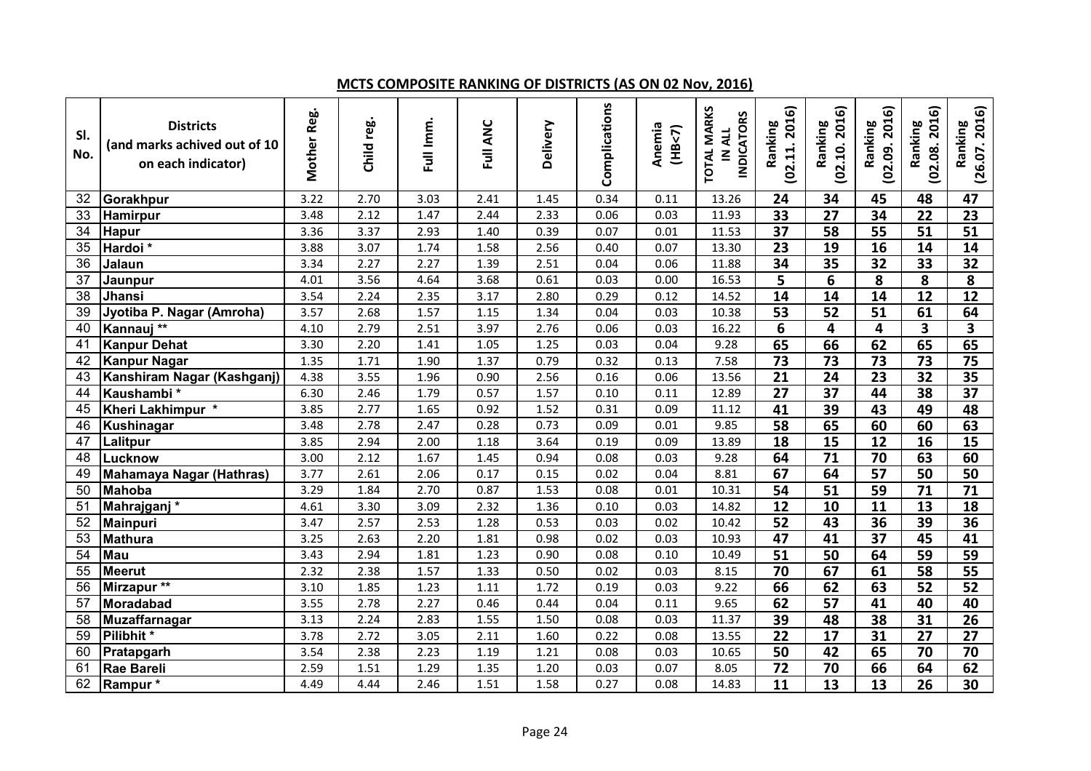### **MCTS COMPOSITE RANKING OF DISTRICTS (AS ON 02 Nov, 2016)**

| SI.<br>No.      | <b>Districts</b><br>(and marks achived out of 10<br>on each indicator) | Mother Reg. | Child reg. | Full Imm. | Full ANC | Delivery | Complications | Anemia<br>(HB<7) | <b>TOTAL MARKS</b><br><b>INDICATORS</b><br>IN ALL | (02.11.2016)<br>Ranking | (02.10.2016)<br>Ranking | (02.09.2016)<br>Ranking | (02.08, 2016)<br>Ranking | (26.07.2016)<br>Ranking |
|-----------------|------------------------------------------------------------------------|-------------|------------|-----------|----------|----------|---------------|------------------|---------------------------------------------------|-------------------------|-------------------------|-------------------------|--------------------------|-------------------------|
| 32              | Gorakhpur                                                              | 3.22        | 2.70       | 3.03      | 2.41     | 1.45     | 0.34          | 0.11             | 13.26                                             | 24                      | 34                      | 45                      | 48                       | 47                      |
| 33              | Hamirpur                                                               | 3.48        | 2.12       | 1.47      | 2.44     | 2.33     | 0.06          | 0.03             | 11.93                                             | 33                      | $\overline{27}$         | $\overline{34}$         | $\overline{22}$          | 23                      |
| 34              | <b>Hapur</b>                                                           | 3.36        | 3.37       | 2.93      | 1.40     | 0.39     | 0.07          | 0.01             | 11.53                                             | $\overline{37}$         | $\overline{58}$         | $\overline{55}$         | $\overline{51}$          | $\overline{51}$         |
| 35              | Hardoi *                                                               | 3.88        | 3.07       | 1.74      | 1.58     | 2.56     | 0.40          | 0.07             | 13.30                                             | 23                      | 19                      | 16                      | 14                       | 14                      |
| $\overline{36}$ | Jalaun                                                                 | 3.34        | 2.27       | 2.27      | 1.39     | 2.51     | 0.04          | 0.06             | 11.88                                             | $\overline{34}$         | $\overline{35}$         | $\overline{32}$         | 33                       | $\overline{32}$         |
| 37              | Jaunpur                                                                | 4.01        | 3.56       | 4.64      | 3.68     | 0.61     | 0.03          | 0.00             | 16.53                                             | 5                       | 6                       | $\overline{\mathbf{8}}$ | 8                        | 8                       |
| 38              | Jhansi                                                                 | 3.54        | 2.24       | 2.35      | 3.17     | 2.80     | 0.29          | 0.12             | 14.52                                             | 14                      | 14                      | 14                      | $\overline{12}$          | $\overline{12}$         |
| 39              | Jyotiba P. Nagar (Amroha)                                              | 3.57        | 2.68       | 1.57      | 1.15     | 1.34     | 0.04          | 0.03             | 10.38                                             | $\overline{53}$         | $\overline{52}$         | 51                      | 61                       | 64                      |
| 40              | Kannauj **                                                             | 4.10        | 2.79       | 2.51      | 3.97     | 2.76     | 0.06          | 0.03             | 16.22                                             | 6                       | 4                       | 4                       | 3                        | $\overline{\mathbf{3}}$ |
| 41              | <b>Kanpur Dehat</b>                                                    | 3.30        | 2.20       | 1.41      | 1.05     | 1.25     | 0.03          | 0.04             | 9.28                                              | 65                      | 66                      | 62                      | 65                       | 65                      |
| 42              | <b>Kanpur Nagar</b>                                                    | 1.35        | 1.71       | 1.90      | 1.37     | 0.79     | 0.32          | 0.13             | 7.58                                              | $\overline{73}$         | $\overline{73}$         | $\overline{73}$         | 73                       | $\overline{75}$         |
| 43              | Kanshiram Nagar (Kashganj)                                             | 4.38        | 3.55       | 1.96      | 0.90     | 2.56     | 0.16          | 0.06             | 13.56                                             | $\overline{21}$         | $\overline{24}$         | $\overline{23}$         | 32                       | $\overline{35}$         |
| 44              | Kaushambi*                                                             | 6.30        | 2.46       | 1.79      | 0.57     | 1.57     | 0.10          | 0.11             | 12.89                                             | $\overline{27}$         | $\overline{37}$         | 44                      | 38                       | $\overline{37}$         |
| 45              | Kheri Lakhimpur *                                                      | 3.85        | 2.77       | 1.65      | 0.92     | 1.52     | 0.31          | 0.09             | 11.12                                             | 41                      | 39                      | 43                      | 49                       | 48                      |
| 46              | <b>Kushinagar</b>                                                      | 3.48        | 2.78       | 2.47      | 0.28     | 0.73     | 0.09          | 0.01             | 9.85                                              | $\overline{58}$         | 65                      | 60                      | 60                       | 63                      |
| 47              | Lalitpur                                                               | 3.85        | 2.94       | 2.00      | 1.18     | 3.64     | 0.19          | 0.09             | 13.89                                             | $\overline{18}$         | $\overline{15}$         | $\overline{12}$         | $\overline{16}$          | $\overline{15}$         |
| 48              | Lucknow                                                                | 3.00        | 2.12       | 1.67      | 1.45     | 0.94     | 0.08          | 0.03             | 9.28                                              | 64                      | $\overline{71}$         | 70                      | 63                       | 60                      |
| 49              | <b>Mahamaya Nagar (Hathras)</b>                                        | 3.77        | 2.61       | 2.06      | 0.17     | 0.15     | 0.02          | 0.04             | 8.81                                              | 67                      | 64                      | 57                      | $\overline{50}$          | 50                      |
| 50              | <b>Mahoba</b>                                                          | 3.29        | 1.84       | 2.70      | 0.87     | 1.53     | 0.08          | 0.01             | 10.31                                             | 54                      | $\overline{51}$         | 59                      | 71                       | $\overline{71}$         |
| 51              | Mahrajganj*                                                            | 4.61        | 3.30       | 3.09      | 2.32     | 1.36     | 0.10          | 0.03             | 14.82                                             | $\overline{12}$         | $\overline{10}$         | 11                      | $\overline{13}$          | 18                      |
| 52              | <b>Mainpuri</b>                                                        | 3.47        | 2.57       | 2.53      | 1.28     | 0.53     | 0.03          | 0.02             | 10.42                                             | $\overline{52}$         | $\overline{43}$         | 36                      | 39                       | 36                      |
| 53              | <b>Mathura</b>                                                         | 3.25        | 2.63       | 2.20      | 1.81     | 0.98     | 0.02          | 0.03             | 10.93                                             | $\overline{47}$         | 41                      | $\overline{37}$         | 45                       | 41                      |
| 54              | Mau                                                                    | 3.43        | 2.94       | 1.81      | 1.23     | 0.90     | 0.08          | 0.10             | 10.49                                             | $\overline{51}$         | 50                      | 64                      | 59                       | 59                      |
| 55              | <b>Meerut</b>                                                          | 2.32        | 2.38       | 1.57      | 1.33     | 0.50     | 0.02          | 0.03             | 8.15                                              | 70                      | 67                      | 61                      | 58                       | 55                      |
| 56              | Mirzapur <sup>**</sup>                                                 | 3.10        | 1.85       | 1.23      | 1.11     | 1.72     | 0.19          | 0.03             | 9.22                                              | 66                      | 62                      | 63                      | 52                       | $\overline{52}$         |
| 57              | Moradabad                                                              | 3.55        | 2.78       | 2.27      | 0.46     | 0.44     | 0.04          | 0.11             | 9.65                                              | 62                      | $\overline{57}$         | 41                      | 40                       | 40                      |
| 58              | Muzaffarnagar                                                          | 3.13        | 2.24       | 2.83      | 1.55     | 1.50     | 0.08          | 0.03             | 11.37                                             | 39                      | 48                      | $\overline{38}$         | 31                       | 26                      |
| 59              | Pilibhit *                                                             | 3.78        | 2.72       | 3.05      | 2.11     | 1.60     | 0.22          | 0.08             | 13.55                                             | $\overline{22}$         | $\overline{17}$         | 31                      | $\overline{27}$          | $\overline{27}$         |
| 60              | Pratapgarh                                                             | 3.54        | 2.38       | 2.23      | 1.19     | 1.21     | 0.08          | 0.03             | 10.65                                             | 50                      | $\overline{42}$         | 65                      | 70                       | 70                      |
| 61              | <b>Rae Bareli</b>                                                      | 2.59        | 1.51       | 1.29      | 1.35     | 1.20     | 0.03          | 0.07             | 8.05                                              | $\overline{72}$         | $\overline{70}$         | 66                      | 64                       | 62                      |
| 62              | Rampur*                                                                | 4.49        | 4.44       | 2.46      | 1.51     | 1.58     | 0.27          | 0.08             | 14.83                                             | 11                      | $\overline{13}$         | 13                      | 26                       | 30                      |